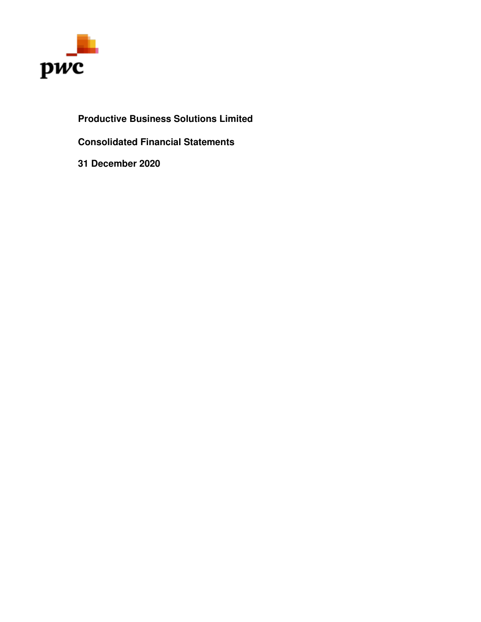

**Consolidated Financial Statements** 

**31 December 2020**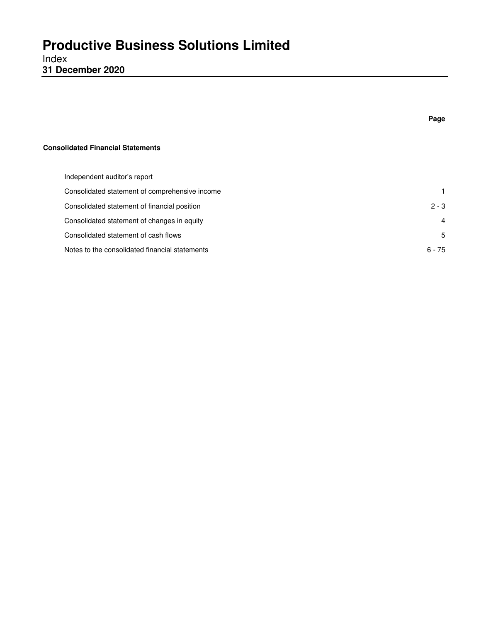**31 December 2020** 

#### **Consolidated Financial Statements**

| Independent auditor's report                   |         |
|------------------------------------------------|---------|
| Consolidated statement of comprehensive income |         |
| Consolidated statement of financial position   | $2 - 3$ |
| Consolidated statement of changes in equity    | 4       |
| Consolidated statement of cash flows           | 5       |
| Notes to the consolidated financial statements | 6 - 75  |

**Page**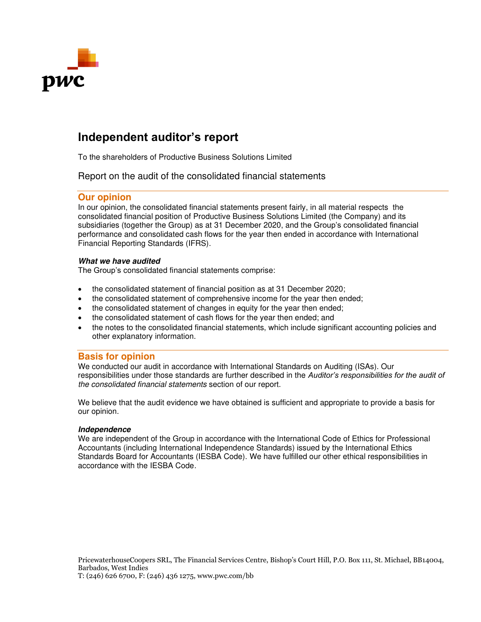

### **Independent auditor's report**

To the shareholders of Productive Business Solutions Limited

Report on the audit of the consolidated financial statements

### **Our opinion**

In our opinion, the consolidated financial statements present fairly, in all material respects the consolidated financial position of Productive Business Solutions Limited (the Company) and its subsidiaries (together the Group) as at 31 December 2020, and the Group's consolidated financial performance and consolidated cash flows for the year then ended in accordance with International Financial Reporting Standards (IFRS).

### **What we have audited**

The Group's consolidated financial statements comprise:

- the consolidated statement of financial position as at 31 December 2020;
- the consolidated statement of comprehensive income for the year then ended;
- the consolidated statement of changes in equity for the year then ended;
- the consolidated statement of cash flows for the year then ended; and
- the notes to the consolidated financial statements, which include significant accounting policies and other explanatory information.

### **Basis for opinion**

We conducted our audit in accordance with International Standards on Auditing (ISAs). Our responsibilities under those standards are further described in the *Auditor's responsibilities for the audit of*  the consolidated financial statements section of our report.

We believe that the audit evidence we have obtained is sufficient and appropriate to provide a basis for our opinion.

#### **Independence**

We are independent of the Group in accordance with the International Code of Ethics for Professional Accountants (including International Independence Standards) issued by the International Ethics Standards Board for Accountants (IESBA Code). We have fulfilled our other ethical responsibilities in accordance with the IESBA Code.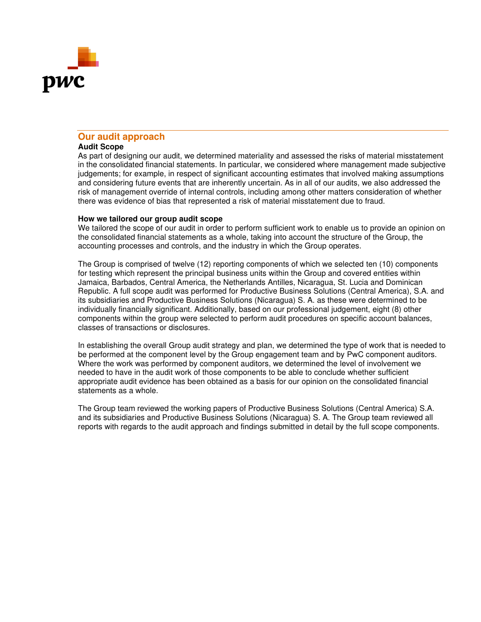

### **Our audit approach**

### **Audit Scope**

As part of designing our audit, we determined materiality and assessed the risks of material misstatement in the consolidated financial statements. In particular, we considered where management made subjective judgements; for example, in respect of significant accounting estimates that involved making assumptions and considering future events that are inherently uncertain. As in all of our audits, we also addressed the risk of management override of internal controls, including among other matters consideration of whether there was evidence of bias that represented a risk of material misstatement due to fraud.

#### **How we tailored our group audit scope**

We tailored the scope of our audit in order to perform sufficient work to enable us to provide an opinion on the consolidated financial statements as a whole, taking into account the structure of the Group, the accounting processes and controls, and the industry in which the Group operates.

The Group is comprised of twelve (12) reporting components of which we selected ten (10) components for testing which represent the principal business units within the Group and covered entities within Jamaica, Barbados, Central America, the Netherlands Antilles, Nicaragua, St. Lucia and Dominican Republic. A full scope audit was performed for Productive Business Solutions (Central America), S.A. and its subsidiaries and Productive Business Solutions (Nicaragua) S. A. as these were determined to be individually financially significant. Additionally, based on our professional judgement, eight (8) other components within the group were selected to perform audit procedures on specific account balances, classes of transactions or disclosures.

In establishing the overall Group audit strategy and plan, we determined the type of work that is needed to be performed at the component level by the Group engagement team and by PwC component auditors. Where the work was performed by component auditors, we determined the level of involvement we needed to have in the audit work of those components to be able to conclude whether sufficient appropriate audit evidence has been obtained as a basis for our opinion on the consolidated financial statements as a whole.

The Group team reviewed the working papers of Productive Business Solutions (Central America) S.A. and its subsidiaries and Productive Business Solutions (Nicaragua) S. A. The Group team reviewed all reports with regards to the audit approach and findings submitted in detail by the full scope components.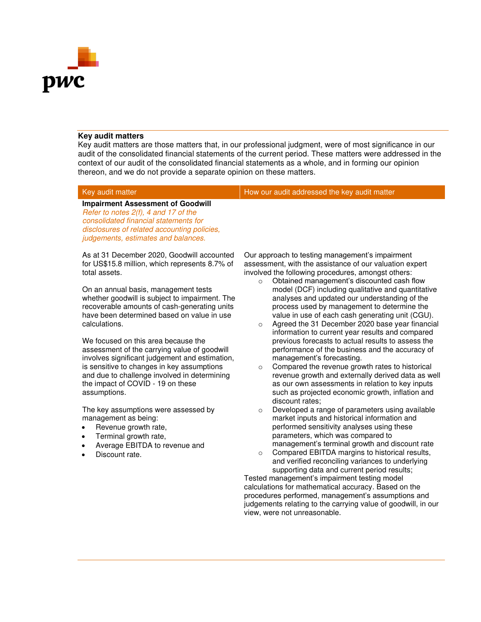

#### **Key audit matters**

Key audit matters are those matters that, in our professional judgment, were of most significance in our audit of the consolidated financial statements of the current period. These matters were addressed in the context of our audit of the consolidated financial statements as a whole, and in forming our opinion thereon, and we do not provide a separate opinion on these matters.

#### Key audit matter **How our audit addressed the key audit matter** How our audit addressed the key audit matter

**Impairment Assessment of Goodwill** Refer to notes 2(f), 4 and 17 of the consolidated financial statements for disclosures of related accounting policies, judgements, estimates and balances.

As at 31 December 2020, Goodwill accounted for US\$15.8 million, which represents 8.7% of total assets.

On an annual basis, management tests whether goodwill is subject to impairment. The recoverable amounts of cash-generating units have been determined based on value in use calculations.

We focused on this area because the assessment of the carrying value of goodwill involves significant judgement and estimation, is sensitive to changes in key assumptions and due to challenge involved in determining the impact of COVID - 19 on these assumptions.

The key assumptions were assessed by management as being:

- Revenue growth rate,
- Terminal growth rate,
- Average EBITDA to revenue and
- Discount rate.

Our approach to testing management's impairment assessment, with the assistance of our valuation expert involved the following procedures, amongst others:

- o Obtained management's discounted cash flow model (DCF) including qualitative and quantitative analyses and updated our understanding of the process used by management to determine the value in use of each cash generating unit (CGU).
- o Agreed the 31 December 2020 base year financial information to current year results and compared previous forecasts to actual results to assess the performance of the business and the accuracy of management's forecasting.
- o Compared the revenue growth rates to historical revenue growth and externally derived data as well as our own assessments in relation to key inputs such as projected economic growth, inflation and discount rates;
- o Developed a range of parameters using available market inputs and historical information and performed sensitivity analyses using these parameters, which was compared to management's terminal growth and discount rate
- o Compared EBITDA margins to historical results, and verified reconciling variances to underlying supporting data and current period results;

Tested management's impairment testing model calculations for mathematical accuracy. Based on the procedures performed, management's assumptions and judgements relating to the carrying value of goodwill, in our view, were not unreasonable.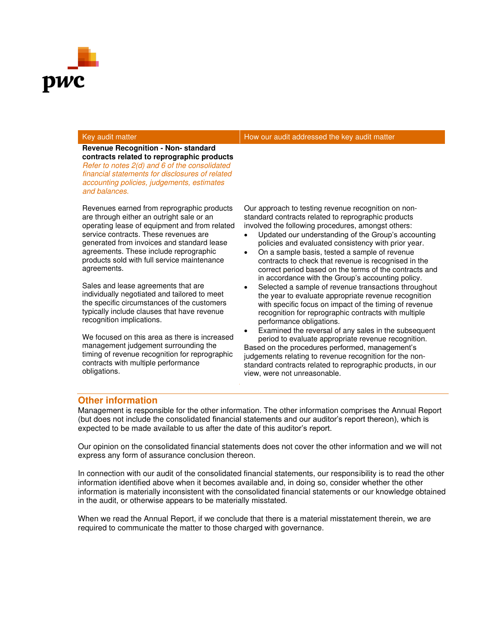

**Revenue Recognition - Non- standard contracts related to reprographic products**  Refer to notes 2(d) and 6 of the consolidated financial statements for disclosures of related accounting policies, judgements, estimates and balances.

Revenues earned from reprographic products are through either an outright sale or an operating lease of equipment and from related service contracts. These revenues are generated from invoices and standard lease agreements. These include reprographic products sold with full service maintenance agreements.

Sales and lease agreements that are individually negotiated and tailored to meet the specific circumstances of the customers typically include clauses that have revenue recognition implications.

We focused on this area as there is increased management judgement surrounding the timing of revenue recognition for reprographic contracts with multiple performance obligations.

Key audit matter **How our audit addressed the key audit matter** How our audit addressed the key audit matter

Our approach to testing revenue recognition on nonstandard contracts related to reprographic products involved the following procedures, amongst others:

- Updated our understanding of the Group's accounting policies and evaluated consistency with prior year.
- On a sample basis, tested a sample of revenue contracts to check that revenue is recognised in the correct period based on the terms of the contracts and in accordance with the Group's accounting policy.
- Selected a sample of revenue transactions throughout the year to evaluate appropriate revenue recognition with specific focus on impact of the timing of revenue recognition for reprographic contracts with multiple performance obligations.
- Examined the reversal of any sales in the subsequent period to evaluate appropriate revenue recognition.

Based on the procedures performed, management's judgements relating to revenue recognition for the nonstandard contracts related to reprographic products, in our view, were not unreasonable.

#### **Other information**

Management is responsible for the other information. The other information comprises the Annual Report (but does not include the consolidated financial statements and our auditor's report thereon), which is expected to be made available to us after the date of this auditor's report.

Our opinion on the consolidated financial statements does not cover the other information and we will not express any form of assurance conclusion thereon.

In connection with our audit of the consolidated financial statements, our responsibility is to read the other information identified above when it becomes available and, in doing so, consider whether the other information is materially inconsistent with the consolidated financial statements or our knowledge obtained in the audit, or otherwise appears to be materially misstated.

When we read the Annual Report, if we conclude that there is a material misstatement therein, we are required to communicate the matter to those charged with governance.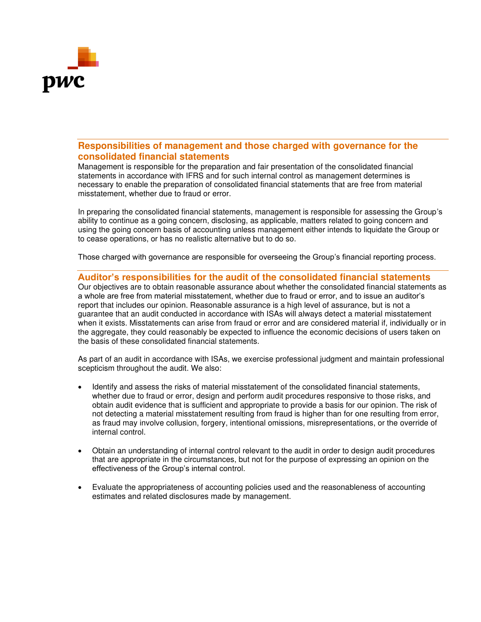

### **Responsibilities of management and those charged with governance for the consolidated financial statements**

Management is responsible for the preparation and fair presentation of the consolidated financial statements in accordance with IFRS and for such internal control as management determines is necessary to enable the preparation of consolidated financial statements that are free from material misstatement, whether due to fraud or error.

In preparing the consolidated financial statements, management is responsible for assessing the Group's ability to continue as a going concern, disclosing, as applicable, matters related to going concern and using the going concern basis of accounting unless management either intends to liquidate the Group or to cease operations, or has no realistic alternative but to do so.

Those charged with governance are responsible for overseeing the Group's financial reporting process.

### **Auditor's responsibilities for the audit of the consolidated financial statements**

Our objectives are to obtain reasonable assurance about whether the consolidated financial statements as a whole are free from material misstatement, whether due to fraud or error, and to issue an auditor's report that includes our opinion. Reasonable assurance is a high level of assurance, but is not a guarantee that an audit conducted in accordance with ISAs will always detect a material misstatement when it exists. Misstatements can arise from fraud or error and are considered material if, individually or in the aggregate, they could reasonably be expected to influence the economic decisions of users taken on the basis of these consolidated financial statements.

As part of an audit in accordance with ISAs, we exercise professional judgment and maintain professional scepticism throughout the audit. We also:

- Identify and assess the risks of material misstatement of the consolidated financial statements, whether due to fraud or error, design and perform audit procedures responsive to those risks, and obtain audit evidence that is sufficient and appropriate to provide a basis for our opinion. The risk of not detecting a material misstatement resulting from fraud is higher than for one resulting from error, as fraud may involve collusion, forgery, intentional omissions, misrepresentations, or the override of internal control.
- Obtain an understanding of internal control relevant to the audit in order to design audit procedures that are appropriate in the circumstances, but not for the purpose of expressing an opinion on the effectiveness of the Group's internal control.
- Evaluate the appropriateness of accounting policies used and the reasonableness of accounting estimates and related disclosures made by management.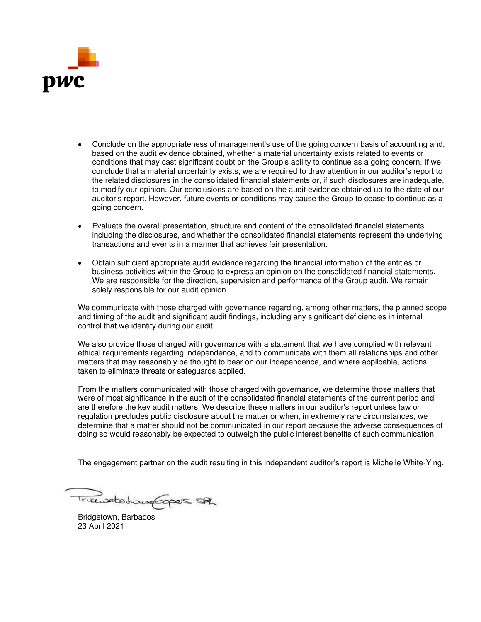

- Conclude on the appropriateness of management's use of the going concern basis of accounting and, based on the audit evidence obtained, whether a material uncertainty exists related to events or conditions that may cast significant doubt on the Group's ability to continue as a going concern. If we conclude that a material uncertainty exists, we are required to draw attention in our auditor's report to the related disclosures in the consolidated financial statements or, if such disclosures are inadequate, to modify our opinion. Our conclusions are based on the audit evidence obtained up to the date of our auditor's report. However, future events or conditions may cause the Group to cease to continue as a going concern.
- Evaluate the overall presentation, structure and content of the consolidated financial statements, including the disclosures, and whether the consolidated financial statements represent the underlying transactions and events in a manner that achieves fair presentation.
- Obtain sufficient appropriate audit evidence regarding the financial information of the entities or business activities within the Group to express an opinion on the consolidated financial statements. We are responsible for the direction, supervision and performance of the Group audit. We remain solely responsible for our audit opinion.

We communicate with those charged with governance regarding, among other matters, the planned scope and timing of the audit and significant audit findings, including any significant deficiencies in internal control that we identify during our audit.

We also provide those charged with governance with a statement that we have complied with relevant ethical requirements regarding independence, and to communicate with them all relationships and other matters that may reasonably be thought to bear on our independence, and where applicable, actions taken to eliminate threats or safeguards applied.

From the matters communicated with those charged with governance, we determine those matters that were of most significance in the audit of the consolidated financial statements of the current period and are therefore the key audit matters. We describe these matters in our auditor's report unless law or regulation precludes public disclosure about the matter or when, in extremely rare circumstances, we determine that a matter should not be communicated in our report because the adverse consequences of doing so would reasonably be expected to outweigh the public interest benefits of such communication.

The engagement partner on the audit resulting in this independent auditor's report is Michelle White-Ying.

aterhandoopers sol

Bridgetown, Barbados 23 April 2021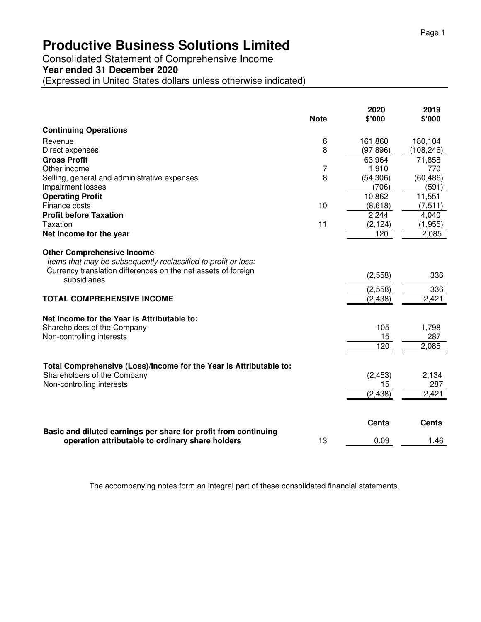### Page 1

# **Productive Business Solutions Limited**

Consolidated Statement of Comprehensive Income

### **Year ended 31 December 2020**

(Expressed in United States dollars unless otherwise indicated)

|                                                                    | <b>Note</b> | 2020<br>\$'000 | 2019<br>\$'000 |
|--------------------------------------------------------------------|-------------|----------------|----------------|
| <b>Continuing Operations</b>                                       |             |                |                |
| Revenue                                                            | 6           | 161,860        | 180,104        |
| Direct expenses                                                    | 8           | (97, 896)      | (108, 246)     |
| <b>Gross Profit</b>                                                |             | 63,964         | 71,858         |
| Other income                                                       | 7           | 1,910          | 770            |
| Selling, general and administrative expenses                       | 8           | (54, 306)      | (60, 486)      |
| Impairment losses                                                  |             | (706)          | (591)          |
| <b>Operating Profit</b>                                            |             | 10,862         | 11,551         |
| Finance costs                                                      | 10          | (8,618)        | (7, 511)       |
| <b>Profit before Taxation</b>                                      |             | 2,244          | 4,040          |
| Taxation                                                           | 11          | (2, 124)       | (1, 955)       |
| Net Income for the year                                            |             | 120            | 2,085          |
|                                                                    |             |                |                |
| <b>Other Comprehensive Income</b>                                  |             |                |                |
| Items that may be subsequently reclassified to profit or loss:     |             |                |                |
| Currency translation differences on the net assets of foreign      |             | (2,558)        | 336            |
| subsidiaries                                                       |             |                |                |
|                                                                    |             | (2, 558)       | 336            |
| <b>TOTAL COMPREHENSIVE INCOME</b>                                  |             | (2, 438)       | 2,421          |
|                                                                    |             |                |                |
| Net Income for the Year is Attributable to:                        |             |                |                |
| Shareholders of the Company                                        |             | 105            | 1,798          |
| Non-controlling interests                                          |             | 15             | 287            |
|                                                                    |             | 120            | 2,085          |
|                                                                    |             |                |                |
| Total Comprehensive (Loss)/Income for the Year is Attributable to: |             |                |                |
| Shareholders of the Company<br>Non-controlling interests           |             | (2, 453)       | 2,134<br>287   |
|                                                                    |             | 15<br>(2, 438) | 2,421          |
|                                                                    |             |                |                |
|                                                                    |             |                |                |
|                                                                    |             | <b>Cents</b>   | <b>Cents</b>   |
| Basic and diluted earnings per share for profit from continuing    |             |                |                |
| operation attributable to ordinary share holders                   | 13          | 0.09           | 1.46           |
|                                                                    |             |                |                |

The accompanying notes form an integral part of these consolidated financial statements.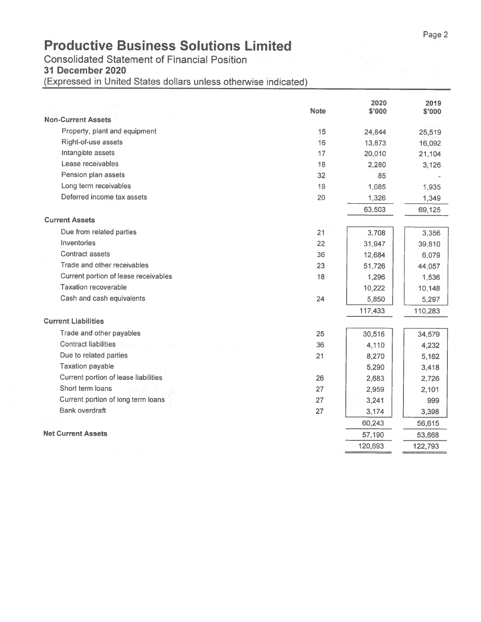**Consolidated Statement of Financial Position** 

**31 December 2020** 

(Expressed in United States dollars unless otherwise indicated)

|                                      | <b>Note</b> | 2020<br>\$'000 | 2019<br>\$'000 |
|--------------------------------------|-------------|----------------|----------------|
| <b>Non-Current Assets</b>            |             |                |                |
| Property, plant and equipment        | 15          | 24,844         | 25,519         |
| Right-of-use assets                  | 16          | 13,873         | 16,092         |
| Intangible assets                    | 17          | 20,010         | 21,104         |
| Lease receivables                    | 18          | 2,280          | 3,126          |
| Pension plan assets                  | 32          | 85             |                |
| Long term receivables                | 19          | 1,085          | 1,935          |
| Deferred income tax assets           | 20          | 1,326          | 1,349          |
|                                      |             | 63,503         | 69,125         |
| <b>Current Assets</b>                |             |                |                |
| Due from related parties             | 21          | 3,708          | 3,356          |
| Inventories                          | 22          | 31,947         | 39,810         |
| <b>Contract assets</b>               | 36          | 12,684         | 6,079          |
| Trade and other receivables          | 23          | 51,726         | 44,057         |
| Current portion of lease receivables | 18          | 1,296          | 1,536          |
| <b>Taxation recoverable</b>          |             | 10,222         | 10,148         |
| Cash and cash equivalents            | 24          | 5,850          | 5,297          |
|                                      |             | 117,433        | 110,283        |
| <b>Current Liabilities</b>           |             |                |                |
| Trade and other payables             | 25          | 30,516         | 34,579         |
| <b>Contract liabilities</b>          | 36          | 4,110          | 4,232          |
| Due to related parties               | 21          | 8,270          | 5,162          |
| <b>Taxation payable</b>              |             | 5,290          | 3,418          |
| Current portion of lease liabilities | 26          | 2,683          | 2,726          |
| Short term loans                     | 27          | 2,959          | 2,101          |
| Current portion of long term loans   | 27          | 3,241          | 999            |
| <b>Bank overdraft</b>                | 27          | 3,174          | 3,398          |
|                                      |             | 60,243         | 56,615         |
| <b>Net Current Assets</b>            |             | 57,190         | 53,668         |
|                                      |             | 120,693        | 122,793        |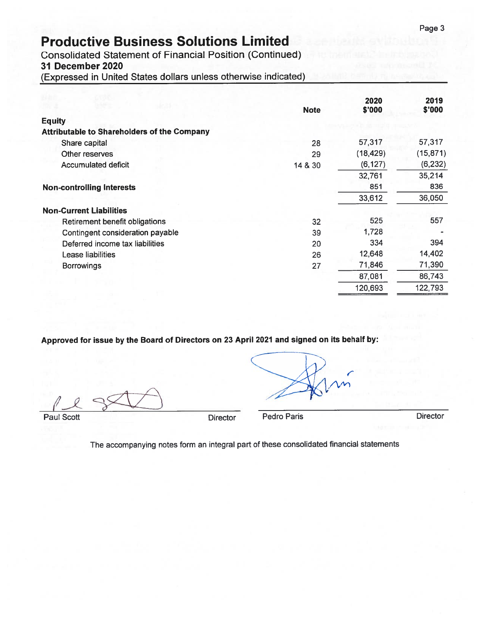**Consolidated Statement of Financial Position (Continued)** 31 December 2020

(Expressed in United States dollars unless otherwise indicated)

|                                                    | <b>Note</b> | 2020<br>\$'000 | 2019<br>\$'000 |
|----------------------------------------------------|-------------|----------------|----------------|
| <b>Equity</b>                                      |             |                |                |
| <b>Attributable to Shareholders of the Company</b> |             |                |                |
| Share capital                                      | 28          | 57,317         | 57,317         |
| Other reserves                                     | 29          | (18, 429)      | (15, 871)      |
| <b>Accumulated deficit</b>                         | 14 & 30     | (6, 127)       | (6, 232)       |
|                                                    |             | 32,761         | 35,214         |
| <b>Non-controlling Interests</b>                   |             | 851            | 836            |
|                                                    |             | 33,612         | 36,050         |
| <b>Non-Current Liabilities</b>                     |             |                |                |
| Retirement benefit obligations                     | 32          | 525            | 557            |
| Contingent consideration payable                   | 39          | 1,728          |                |
| Deferred income tax liabilities                    | 20          | 334            | 394            |
| Lease liabilities                                  | 26          | 12,648         | 14,402         |
| <b>Borrowings</b>                                  | 27          | 71,846         | 71,390         |
|                                                    |             | 87,081         | 86,743         |
|                                                    |             | 120,693        | 122,793        |

Approved for issue by the Board of Directors on 23 April 2021 and signed on its behalf by:

**Paul Scott** 

**Director** 

Pedro Paris

Director

The accompanying notes form an integral part of these consolidated financial statements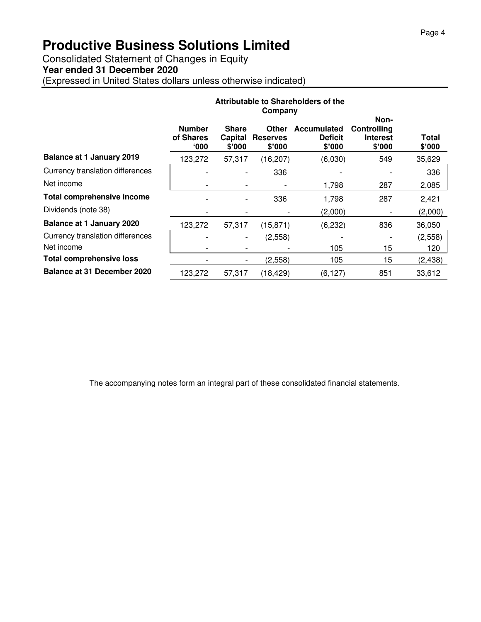### Page 4

# **Productive Business Solutions Limited**

Consolidated Statement of Changes in Equity

### **Year ended 31 December 2020**

(Expressed in United States dollars unless otherwise indicated)

|                                    | Attributable to Shareholders of the<br>Company |                                   |                                    |                                                |                                                         |                 |
|------------------------------------|------------------------------------------------|-----------------------------------|------------------------------------|------------------------------------------------|---------------------------------------------------------|-----------------|
|                                    | <b>Number</b><br>of Shares<br>$000^{\circ}$    | <b>Share</b><br>Capital<br>\$'000 | Other<br><b>Reserves</b><br>\$'000 | <b>Accumulated</b><br><b>Deficit</b><br>\$'000 | Non-<br><b>Controlling</b><br><b>Interest</b><br>\$'000 | Total<br>\$'000 |
| <b>Balance at 1 January 2019</b>   | 123,272                                        | 57,317                            | (16, 207)                          | (6,030)                                        | 549                                                     | 35,629          |
| Currency translation differences   |                                                |                                   | 336                                |                                                |                                                         | 336             |
| Net income                         |                                                |                                   |                                    | 1,798                                          | 287                                                     | 2,085           |
| <b>Total comprehensive income</b>  |                                                |                                   | 336                                | 1,798                                          | 287                                                     | 2,421           |
| Dividends (note 38)                |                                                |                                   |                                    | (2,000)                                        |                                                         | (2,000)         |
| <b>Balance at 1 January 2020</b>   | 123,272                                        | 57,317                            | (15, 871)                          | (6, 232)                                       | 836                                                     | 36,050          |
| Currency translation differences   |                                                |                                   | (2,558)                            |                                                |                                                         | (2,558)         |
| Net income                         |                                                |                                   |                                    | 105                                            | 15                                                      | 120             |
| <b>Total comprehensive loss</b>    |                                                | $\overline{\phantom{a}}$          | (2, 558)                           | 105                                            | 15                                                      | (2, 438)        |
| <b>Balance at 31 December 2020</b> | 123,272                                        | 57,317                            | (18, 429)                          | (6, 127)                                       | 851                                                     | 33,612          |

The accompanying notes form an integral part of these consolidated financial statements.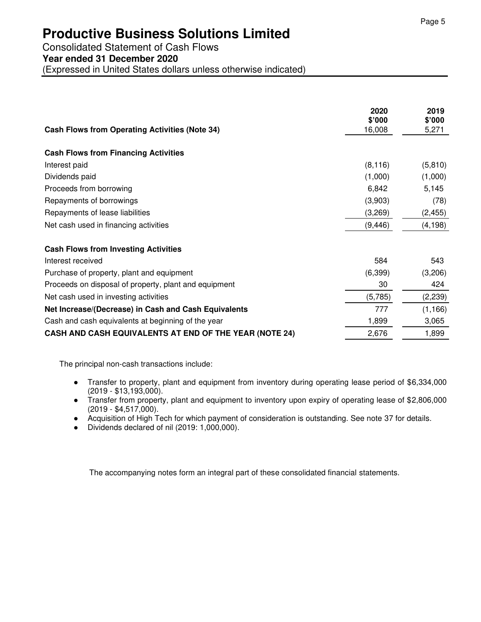Consolidated Statement of Cash Flows

**Year ended 31 December 2020** 

(Expressed in United States dollars unless otherwise indicated)

|                                                               | 2020<br>\$'000 | 2019<br>\$'000 |
|---------------------------------------------------------------|----------------|----------------|
| <b>Cash Flows from Operating Activities (Note 34)</b>         | 16,008         | 5,271          |
| <b>Cash Flows from Financing Activities</b>                   |                |                |
| Interest paid                                                 | (8, 116)       | (5,810)        |
| Dividends paid                                                | (1,000)        | (1,000)        |
| Proceeds from borrowing                                       | 6,842          | 5,145          |
| Repayments of borrowings                                      | (3,903)        | (78)           |
| Repayments of lease liabilities                               | (3,269)        | (2, 455)       |
| Net cash used in financing activities                         | (9, 446)       | (4, 198)       |
| <b>Cash Flows from Investing Activities</b>                   |                |                |
| Interest received                                             | 584            | 543            |
| Purchase of property, plant and equipment                     | (6, 399)       | (3,206)        |
| Proceeds on disposal of property, plant and equipment         | 30             | 424            |
| Net cash used in investing activities                         | (5,785)        | (2,239)        |
| Net Increase/(Decrease) in Cash and Cash Equivalents          | 777            | (1, 166)       |
| Cash and cash equivalents at beginning of the year            | 1,899          | 3,065          |
| <b>CASH AND CASH EQUIVALENTS AT END OF THE YEAR (NOTE 24)</b> | 2,676          | 1,899          |

The principal non-cash transactions include:

- Transfer to property, plant and equipment from inventory during operating lease period of \$6,334,000 (2019 - \$13,193,000).
- Transfer from property, plant and equipment to inventory upon expiry of operating lease of \$2,806,000 (2019 - \$4,517,000).
- Acquisition of High Tech for which payment of consideration is outstanding. See note 37 for details.
- Dividends declared of nil (2019: 1,000,000).

The accompanying notes form an integral part of these consolidated financial statements.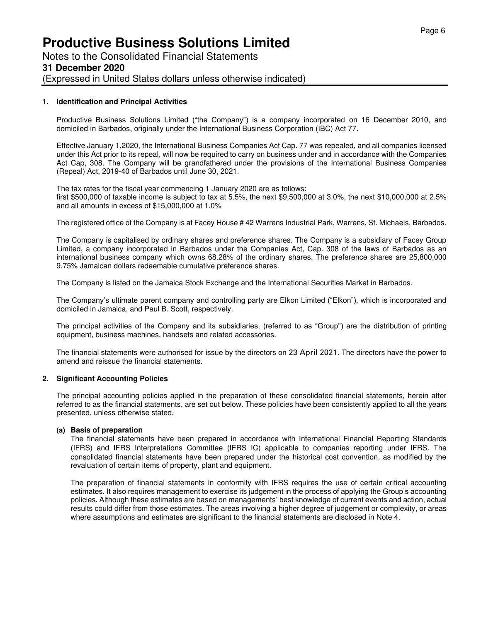Notes to the Consolidated Financial Statements **31 December 2020**  (Expressed in United States dollars unless otherwise indicated)

### **1. Identification and Principal Activities**

Productive Business Solutions Limited ("the Company") is a company incorporated on 16 December 2010, and domiciled in Barbados, originally under the International Business Corporation (IBC) Act 77.

Effective January 1,2020, the International Business Companies Act Cap. 77 was repealed, and all companies licensed under this Act prior to its repeal, will now be required to carry on business under and in accordance with the Companies Act Cap, 308. The Company will be grandfathered under the provisions of the International Business Companies (Repeal) Act, 2019-40 of Barbados until June 30, 2021.

The tax rates for the fiscal year commencing 1 January 2020 are as follows: first \$500,000 of taxable income is subject to tax at 5.5%, the next \$9,500,000 at 3.0%, the next \$10,000,000 at 2.5% and all amounts in excess of \$15,000,000 at 1.0%

The registered office of the Company is at Facey House # 42 Warrens Industrial Park, Warrens, St. Michaels, Barbados.

The Company is capitalised by ordinary shares and preference shares. The Company is a subsidiary of Facey Group Limited, a company incorporated in Barbados under the Companies Act, Cap. 308 of the laws of Barbados as an international business company which owns 68.28% of the ordinary shares. The preference shares are 25,800,000 9.75% Jamaican dollars redeemable cumulative preference shares.

The Company is listed on the Jamaica Stock Exchange and the International Securities Market in Barbados.

The Company's ultimate parent company and controlling party are Elkon Limited ("Elkon"), which is incorporated and domiciled in Jamaica, and Paul B. Scott, respectively.

The principal activities of the Company and its subsidiaries, (referred to as "Group") are the distribution of printing equipment, business machines, handsets and related accessories.

The financial statements were authorised for issue by the directors on 23 April 2021. The directors have the power to amend and reissue the financial statements.

#### **2. Significant Accounting Policies**

The principal accounting policies applied in the preparation of these consolidated financial statements, herein after referred to as the financial statements, are set out below. These policies have been consistently applied to all the years presented, unless otherwise stated.

#### **(a) Basis of preparation**

The financial statements have been prepared in accordance with International Financial Reporting Standards (IFRS) and IFRS Interpretations Committee (IFRS IC) applicable to companies reporting under IFRS. The consolidated financial statements have been prepared under the historical cost convention, as modified by the revaluation of certain items of property, plant and equipment.

The preparation of financial statements in conformity with IFRS requires the use of certain critical accounting estimates. It also requires management to exercise its judgement in the process of applying the Group's accounting policies. Although these estimates are based on managements' best knowledge of current events and action, actual results could differ from those estimates. The areas involving a higher degree of judgement or complexity, or areas where assumptions and estimates are significant to the financial statements are disclosed in Note 4.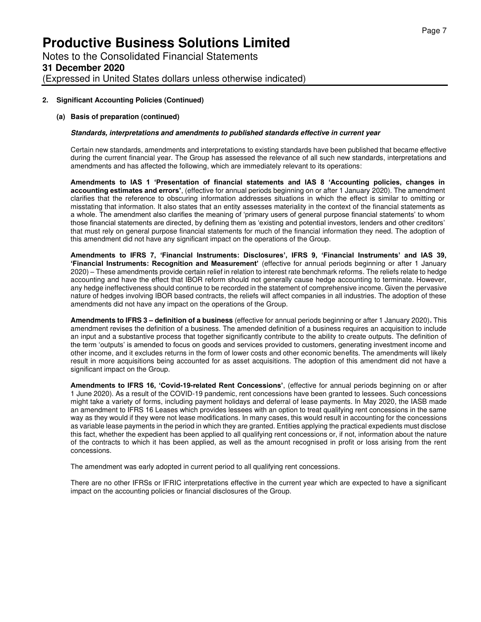### **2. Significant Accounting Policies (Continued)**

#### **(a) Basis of preparation (continued)**

#### **Standards, interpretations and amendments to published standards effective in current year**

Certain new standards, amendments and interpretations to existing standards have been published that became effective during the current financial year. The Group has assessed the relevance of all such new standards, interpretations and amendments and has affected the following, which are immediately relevant to its operations:

**Amendments to IAS 1 'Presentation of financial statements and IAS 8 'Accounting policies, changes in accounting estimates and errors'**, (effective for annual periods beginning on or after 1 January 2020). The amendment clarifies that the reference to obscuring information addresses situations in which the effect is similar to omitting or misstating that information. It also states that an entity assesses materiality in the context of the financial statements as a whole. The amendment also clarifies the meaning of 'primary users of general purpose financial statements' to whom those financial statements are directed, by defining them as 'existing and potential investors, lenders and other creditors' that must rely on general purpose financial statements for much of the financial information they need. The adoption of this amendment did not have any significant impact on the operations of the Group.

**Amendments to IFRS 7, 'Financial Instruments: Disclosures', IFRS 9, 'Financial Instruments' and IAS 39, 'Financial Instruments: Recognition and Measurement'** (effective for annual periods beginning or after 1 January 2020) – These amendments provide certain relief in relation to interest rate benchmark reforms. The reliefs relate to hedge accounting and have the effect that IBOR reform should not generally cause hedge accounting to terminate. However, any hedge ineffectiveness should continue to be recorded in the statement of comprehensive income. Given the pervasive nature of hedges involving IBOR based contracts, the reliefs will affect companies in all industries. The adoption of these amendments did not have any impact on the operations of the Group.

**Amendments to IFRS 3 – definition of a business** (effective for annual periods beginning or after 1 January 2020)**.** This amendment revises the definition of a business. The amended definition of a business requires an acquisition to include an input and a substantive process that together significantly contribute to the ability to create outputs. The definition of the term 'outputs' is amended to focus on goods and services provided to customers, generating investment income and other income, and it excludes returns in the form of lower costs and other economic benefits. The amendments will likely result in more acquisitions being accounted for as asset acquisitions. The adoption of this amendment did not have a significant impact on the Group.

**Amendments to IFRS 16, 'Covid-19-related Rent Concessions'**, (effective for annual periods beginning on or after 1 June 2020). As a result of the COVID-19 pandemic, rent concessions have been granted to lessees. Such concessions might take a variety of forms, including payment holidays and deferral of lease payments. In May 2020, the IASB made an amendment to IFRS 16 Leases which provides lessees with an option to treat qualifying rent concessions in the same way as they would if they were not lease modifications. In many cases, this would result in accounting for the concessions as variable lease payments in the period in which they are granted. Entities applying the practical expedients must disclose this fact, whether the expedient has been applied to all qualifying rent concessions or, if not, information about the nature of the contracts to which it has been applied, as well as the amount recognised in profit or loss arising from the rent concessions.

The amendment was early adopted in current period to all qualifying rent concessions.

There are no other IFRSs or IFRIC interpretations effective in the current year which are expected to have a significant impact on the accounting policies or financial disclosures of the Group.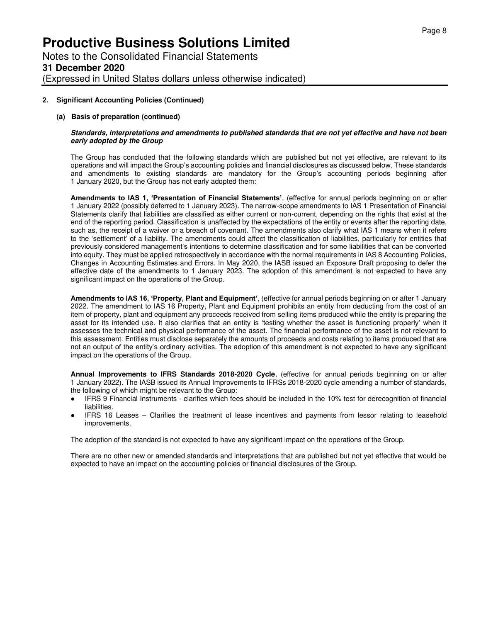Notes to the Consolidated Financial Statements **31 December 2020**  (Expressed in United States dollars unless otherwise indicated)

### **2. Significant Accounting Policies (Continued)**

#### **(a) Basis of preparation (continued)**

#### **Standards, interpretations and amendments to published standards that are not yet effective and have not been early adopted by the Group**

The Group has concluded that the following standards which are published but not yet effective, are relevant to its operations and will impact the Group's accounting policies and financial disclosures as discussed below. These standards and amendments to existing standards are mandatory for the Group's accounting periods beginning after 1 January 2020, but the Group has not early adopted them:

**Amendments to IAS 1, 'Presentation of Financial Statements'**, (effective for annual periods beginning on or after 1 January 2022 (possibly deferred to 1 January 2023). The narrow-scope amendments to IAS 1 Presentation of Financial Statements clarify that liabilities are classified as either current or non-current, depending on the rights that exist at the end of the reporting period. Classification is unaffected by the expectations of the entity or events after the reporting date, such as, the receipt of a waiver or a breach of covenant. The amendments also clarify what IAS 1 means when it refers to the 'settlement' of a liability. The amendments could affect the classification of liabilities, particularly for entities that previously considered management's intentions to determine classification and for some liabilities that can be converted into equity. They must be applied retrospectively in accordance with the normal requirements in IAS 8 Accounting Policies, Changes in Accounting Estimates and Errors. In May 2020, the IASB issued an Exposure Draft proposing to defer the effective date of the amendments to 1 January 2023. The adoption of this amendment is not expected to have any significant impact on the operations of the Group.

**Amendments to IAS 16, 'Property, Plant and Equipment'**, (effective for annual periods beginning on or after 1 January 2022. The amendment to IAS 16 Property, Plant and Equipment prohibits an entity from deducting from the cost of an item of property, plant and equipment any proceeds received from selling items produced while the entity is preparing the asset for its intended use. It also clarifies that an entity is 'testing whether the asset is functioning properly' when it assesses the technical and physical performance of the asset. The financial performance of the asset is not relevant to this assessment. Entities must disclose separately the amounts of proceeds and costs relating to items produced that are not an output of the entity's ordinary activities. The adoption of this amendment is not expected to have any significant impact on the operations of the Group.

**Annual Improvements to IFRS Standards 2018-2020 Cycle**, (effective for annual periods beginning on or after 1 January 2022). The IASB issued its Annual Improvements to IFRSs 2018-2020 cycle amending a number of standards, the following of which might be relevant to the Group:

- IFRS 9 Financial Instruments clarifies which fees should be included in the 10% test for derecognition of financial liabilities.
- IFRS 16 Leases Clarifies the treatment of lease incentives and payments from lessor relating to leasehold improvements.

The adoption of the standard is not expected to have any significant impact on the operations of the Group.

There are no other new or amended standards and interpretations that are published but not yet effective that would be expected to have an impact on the accounting policies or financial disclosures of the Group.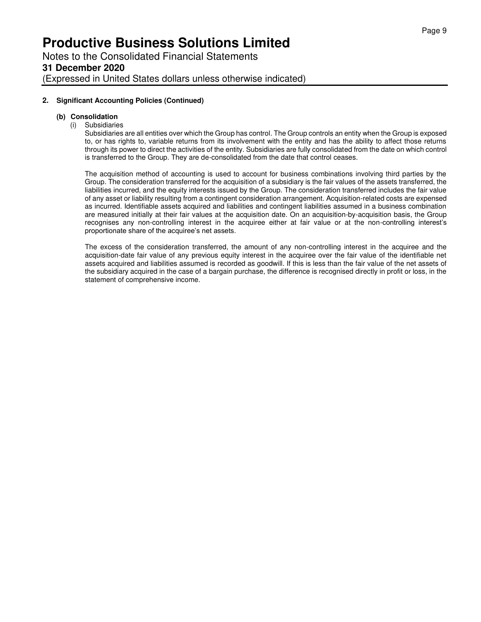### **2. Significant Accounting Policies (Continued)**

#### **(b) Consolidation**

(i) Subsidiaries

Subsidiaries are all entities over which the Group has control. The Group controls an entity when the Group is exposed to, or has rights to, variable returns from its involvement with the entity and has the ability to affect those returns through its power to direct the activities of the entity. Subsidiaries are fully consolidated from the date on which control is transferred to the Group. They are de-consolidated from the date that control ceases.

The acquisition method of accounting is used to account for business combinations involving third parties by the Group. The consideration transferred for the acquisition of a subsidiary is the fair values of the assets transferred, the liabilities incurred, and the equity interests issued by the Group. The consideration transferred includes the fair value of any asset or liability resulting from a contingent consideration arrangement. Acquisition-related costs are expensed as incurred. Identifiable assets acquired and liabilities and contingent liabilities assumed in a business combination are measured initially at their fair values at the acquisition date. On an acquisition-by-acquisition basis, the Group recognises any non-controlling interest in the acquiree either at fair value or at the non-controlling interest's proportionate share of the acquiree's net assets.

The excess of the consideration transferred, the amount of any non-controlling interest in the acquiree and the acquisition-date fair value of any previous equity interest in the acquiree over the fair value of the identifiable net assets acquired and liabilities assumed is recorded as goodwill. If this is less than the fair value of the net assets of the subsidiary acquired in the case of a bargain purchase, the difference is recognised directly in profit or loss, in the statement of comprehensive income.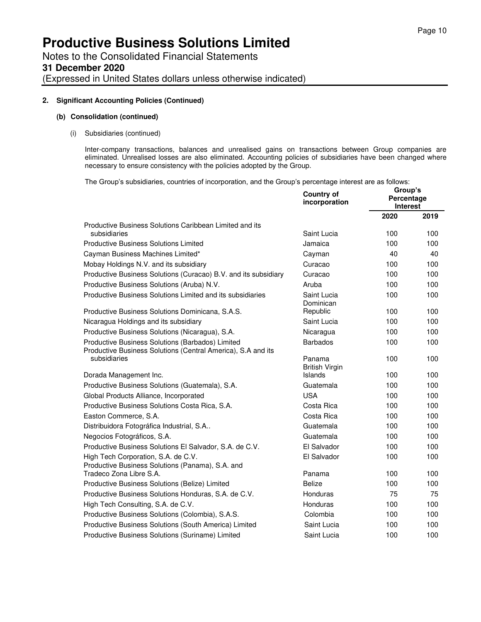Notes to the Consolidated Financial Statements **31 December 2020**  (Expressed in United States dollars unless otherwise indicated)

### **2. Significant Accounting Policies (Continued)**

#### **(b) Consolidation (continued)**

#### (i) Subsidiaries (continued)

Inter-company transactions, balances and unrealised gains on transactions between Group companies are eliminated. Unrealised losses are also eliminated. Accounting policies of subsidiaries have been changed where necessary to ensure consistency with the policies adopted by the Group.

The Group's subsidiaries, countries of incorporation, and the Group's percentage interest are as follows:

|                                                                                                                  | <b>Country of</b><br>incorporation | Group's<br>Percentage<br><b>Interest</b> |      |
|------------------------------------------------------------------------------------------------------------------|------------------------------------|------------------------------------------|------|
|                                                                                                                  |                                    | 2020                                     | 2019 |
| Productive Business Solutions Caribbean Limited and its                                                          |                                    |                                          |      |
| subsidiaries                                                                                                     | Saint Lucia                        | 100                                      | 100  |
| <b>Productive Business Solutions Limited</b>                                                                     | Jamaica                            | 100                                      | 100  |
| Cayman Business Machines Limited*                                                                                | Cayman                             | 40                                       | 40   |
| Mobay Holdings N.V. and its subsidiary                                                                           | Curacao                            | 100                                      | 100  |
| Productive Business Solutions (Curacao) B.V. and its subsidiary                                                  | Curacao                            | 100                                      | 100  |
| Productive Business Solutions (Aruba) N.V.                                                                       | Aruba                              | 100                                      | 100  |
| Productive Business Solutions Limited and its subsidiaries                                                       | Saint Lucia<br>Dominican           | 100                                      | 100  |
| Productive Business Solutions Dominicana, S.A.S.                                                                 | Republic                           | 100                                      | 100  |
| Nicaragua Holdings and its subsidiary                                                                            | Saint Lucia                        | 100                                      | 100  |
| Productive Business Solutions (Nicaragua), S.A.                                                                  | Nicaragua                          | 100                                      | 100  |
| Productive Business Solutions (Barbados) Limited<br>Productive Business Solutions (Central America), S.A and its | <b>Barbados</b>                    | 100                                      | 100  |
| subsidiaries                                                                                                     | Panama<br><b>British Virgin</b>    | 100                                      | 100  |
| Dorada Management Inc.                                                                                           | Islands                            | 100                                      | 100  |
| Productive Business Solutions (Guatemala), S.A.                                                                  | Guatemala                          | 100                                      | 100  |
| Global Products Alliance, Incorporated                                                                           | <b>USA</b>                         | 100                                      | 100  |
| Productive Business Solutions Costa Rica, S.A.                                                                   | Costa Rica                         | 100                                      | 100  |
| Easton Commerce, S.A.                                                                                            | Costa Rica                         | 100                                      | 100  |
| Distribuidora Fotográfica Industrial, S.A                                                                        | Guatemala                          | 100                                      | 100  |
| Negocios Fotográficos, S.A.                                                                                      | Guatemala                          | 100                                      | 100  |
| Productive Business Solutions El Salvador, S.A. de C.V.                                                          | El Salvador                        | 100                                      | 100  |
| High Tech Corporation, S.A. de C.V.<br>Productive Business Solutions (Panama), S.A. and                          | El Salvador                        | 100                                      | 100  |
| Tradeco Zona Libre S.A.                                                                                          | Panama                             | 100                                      | 100  |
| Productive Business Solutions (Belize) Limited                                                                   | Belize                             | 100                                      | 100  |
| Productive Business Solutions Honduras, S.A. de C.V.                                                             | Honduras                           | 75                                       | 75   |
| High Tech Consulting, S.A. de C.V.                                                                               | Honduras                           | 100                                      | 100  |
| Productive Business Solutions (Colombia), S.A.S.                                                                 | Colombia                           | 100                                      | 100  |
| Productive Business Solutions (South America) Limited                                                            | Saint Lucia                        | 100                                      | 100  |
| Productive Business Solutions (Suriname) Limited                                                                 | Saint Lucia                        | 100                                      | 100  |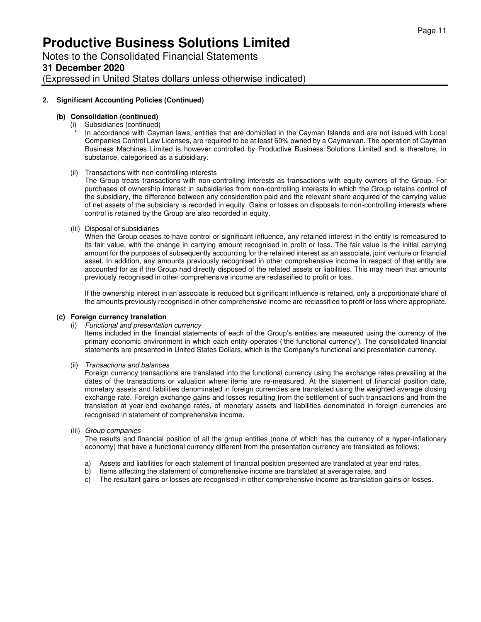Notes to the Consolidated Financial Statements **31 December 2020** 

(Expressed in United States dollars unless otherwise indicated)

### **2. Significant Accounting Policies (Continued)**

#### **(b) Consolidation (continued)**

(i) Subsidiaries (continued)

In accordance with Cayman laws, entities that are domiciled in the Cayman Islands and are not issued with Local Companies Control Law Licenses, are required to be at least 60% owned by a Caymanian. The operation of Cayman Business Machines Limited is however controlled by Productive Business Solutions Limited and is therefore, in substance, categorised as a subsidiary.

(ii) Transactions with non-controlling interests

The Group treats transactions with non-controlling interests as transactions with equity owners of the Group. For purchases of ownership interest in subsidiaries from non-controlling interests in which the Group retains control of the subsidiary, the difference between any consideration paid and the relevant share acquired of the carrying value of net assets of the subsidiary is recorded in equity. Gains or losses on disposals to non-controlling interests where control is retained by the Group are also recorded in equity.

#### (iii) Disposal of subsidiaries

When the Group ceases to have control or significant influence, any retained interest in the entity is remeasured to its fair value, with the change in carrying amount recognised in profit or loss. The fair value is the initial carrying amount for the purposes of subsequently accounting for the retained interest as an associate, joint venture or financial asset. In addition, any amounts previously recognised in other comprehensive income in respect of that entity are accounted for as if the Group had directly disposed of the related assets or liabilities. This may mean that amounts previously recognised in other comprehensive income are reclassified to profit or loss.

If the ownership interest in an associate is reduced but significant influence is retained, only a proportionate share of the amounts previously recognised in other comprehensive income are reclassified to profit or loss where appropriate.

#### **(c) Foreign currency translation**

#### (i) Functional and presentation currency

Items included in the financial statements of each of the Group's entities are measured using the currency of the primary economic environment in which each entity operates ('the functional currency'). The consolidated financial statements are presented in United States Dollars, which is the Company's functional and presentation currency.

(ii) Transactions and balances

Foreign currency transactions are translated into the functional currency using the exchange rates prevailing at the dates of the transactions or valuation where items are re-measured. At the statement of financial position date, monetary assets and liabilities denominated in foreign currencies are translated using the weighted average closing exchange rate. Foreign exchange gains and losses resulting from the settlement of such transactions and from the translation at year-end exchange rates, of monetary assets and liabilities denominated in foreign currencies are recognised in statement of comprehensive income.

#### (iii) Group companies

 The results and financial position of all the group entities (none of which has the currency of a hyper-inflationary economy) that have a functional currency different from the presentation currency are translated as follows:

- a) Assets and liabilities for each statement of financial position presented are translated at year end rates,
- b) Items affecting the statement of comprehensive income are translated at average rates, and
- c) The resultant gains or losses are recognised in other comprehensive income as translation gains or losses.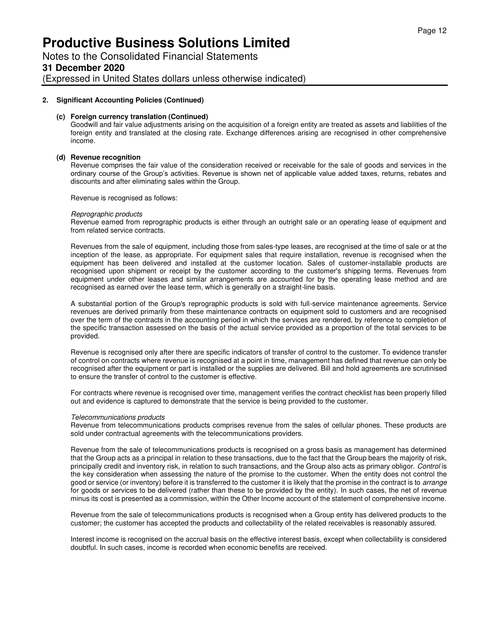Notes to the Consolidated Financial Statements **31 December 2020**  (Expressed in United States dollars unless otherwise indicated)

#### **2. Significant Accounting Policies (Continued)**

#### **(c) Foreign currency translation (Continued)**

 Goodwill and fair value adjustments arising on the acquisition of a foreign entity are treated as assets and liabilities of the foreign entity and translated at the closing rate. Exchange differences arising are recognised in other comprehensive income.

#### **(d) Revenue recognition**

Revenue comprises the fair value of the consideration received or receivable for the sale of goods and services in the ordinary course of the Group's activities. Revenue is shown net of applicable value added taxes, returns, rebates and discounts and after eliminating sales within the Group.

Revenue is recognised as follows:

#### Reprographic products

Revenue earned from reprographic products is either through an outright sale or an operating lease of equipment and from related service contracts.

Revenues from the sale of equipment, including those from sales-type leases, are recognised at the time of sale or at the inception of the lease, as appropriate. For equipment sales that require installation, revenue is recognised when the equipment has been delivered and installed at the customer location. Sales of customer-installable products are recognised upon shipment or receipt by the customer according to the customer's shipping terms. Revenues from equipment under other leases and similar arrangements are accounted for by the operating lease method and are recognised as earned over the lease term, which is generally on a straight-line basis.

A substantial portion of the Group's reprographic products is sold with full-service maintenance agreements. Service revenues are derived primarily from these maintenance contracts on equipment sold to customers and are recognised over the term of the contracts in the accounting period in which the services are rendered, by reference to completion of the specific transaction assessed on the basis of the actual service provided as a proportion of the total services to be provided.

Revenue is recognised only after there are specific indicators of transfer of control to the customer. To evidence transfer of control on contracts where revenue is recognised at a point in time, management has defined that revenue can only be recognised after the equipment or part is installed or the supplies are delivered. Bill and hold agreements are scrutinised to ensure the transfer of control to the customer is effective.

For contracts where revenue is recognised over time, management verifies the contract checklist has been properly filled out and evidence is captured to demonstrate that the service is being provided to the customer.

#### Telecommunications products

Revenue from telecommunications products comprises revenue from the sales of cellular phones. These products are sold under contractual agreements with the telecommunications providers.

Revenue from the sale of telecommunications products is recognised on a gross basis as management has determined that the Group acts as a principal in relation to these transactions, due to the fact that the Group bears the majority of risk, principally credit and inventory risk, in relation to such transactions, and the Group also acts as primary obligor. Control is the key consideration when assessing the nature of the promise to the customer. When the entity does not control the good or service (or inventory) before it is transferred to the customer it is likely that the promise in the contract is to arrange for goods or services to be delivered (rather than these to be provided by the entity). In such cases, the net of revenue minus its cost is presented as a commission, within the Other Income account of the statement of comprehensive income.

Revenue from the sale of telecommunications products is recognised when a Group entity has delivered products to the customer; the customer has accepted the products and collectability of the related receivables is reasonably assured.

Interest income is recognised on the accrual basis on the effective interest basis, except when collectability is considered doubtful. In such cases, income is recorded when economic benefits are received.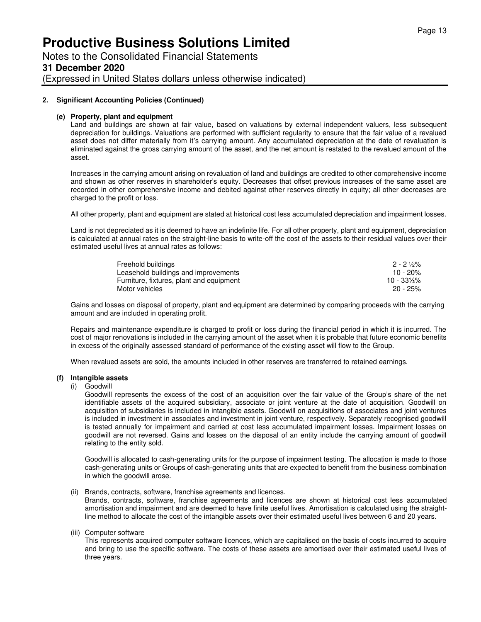Notes to the Consolidated Financial Statements **31 December 2020**  (Expressed in United States dollars unless otherwise indicated)

### **2. Significant Accounting Policies (Continued)**

#### **(e) Property, plant and equipment**

Land and buildings are shown at fair value, based on valuations by external independent valuers, less subsequent depreciation for buildings. Valuations are performed with sufficient regularity to ensure that the fair value of a revalued asset does not differ materially from it's carrying amount. Any accumulated depreciation at the date of revaluation is eliminated against the gross carrying amount of the asset, and the net amount is restated to the revalued amount of the asset.

Increases in the carrying amount arising on revaluation of land and buildings are credited to other comprehensive income and shown as other reserves in shareholder's equity. Decreases that offset previous increases of the same asset are recorded in other comprehensive income and debited against other reserves directly in equity; all other decreases are charged to the profit or loss.

All other property, plant and equipment are stated at historical cost less accumulated depreciation and impairment losses.

Land is not depreciated as it is deemed to have an indefinite life. For all other property, plant and equipment, depreciation is calculated at annual rates on the straight-line basis to write-off the cost of the assets to their residual values over their estimated useful lives at annual rates as follows:

| Freehold buildings                       | $2 - 2\frac{1}{2}\%$   |
|------------------------------------------|------------------------|
| Leasehold buildings and improvements     | 10 - 20%               |
| Furniture, fixtures, plant and equipment | $10 - 33\frac{1}{3}\%$ |
| Motor vehicles                           | 20 - 25%               |

Gains and losses on disposal of property, plant and equipment are determined by comparing proceeds with the carrying amount and are included in operating profit.

Repairs and maintenance expenditure is charged to profit or loss during the financial period in which it is incurred. The cost of major renovations is included in the carrying amount of the asset when it is probable that future economic benefits in excess of the originally assessed standard of performance of the existing asset will flow to the Group.

When revalued assets are sold, the amounts included in other reserves are transferred to retained earnings.

#### **(f) Intangible assets**

#### (i) Goodwill

Goodwill represents the excess of the cost of an acquisition over the fair value of the Group's share of the net identifiable assets of the acquired subsidiary, associate or joint venture at the date of acquisition. Goodwill on acquisition of subsidiaries is included in intangible assets. Goodwill on acquisitions of associates and joint ventures is included in investment in associates and investment in joint venture, respectively. Separately recognised goodwill is tested annually for impairment and carried at cost less accumulated impairment losses. Impairment losses on goodwill are not reversed. Gains and losses on the disposal of an entity include the carrying amount of goodwill relating to the entity sold.

Goodwill is allocated to cash-generating units for the purpose of impairment testing. The allocation is made to those cash-generating units or Groups of cash-generating units that are expected to benefit from the business combination in which the goodwill arose.

(ii) Brands, contracts, software, franchise agreements and licences.

Brands, contracts, software, franchise agreements and licences are shown at historical cost less accumulated amortisation and impairment and are deemed to have finite useful lives. Amortisation is calculated using the straightline method to allocate the cost of the intangible assets over their estimated useful lives between 6 and 20 years.

#### (iii) Computer software

This represents acquired computer software licences, which are capitalised on the basis of costs incurred to acquire and bring to use the specific software. The costs of these assets are amortised over their estimated useful lives of three years.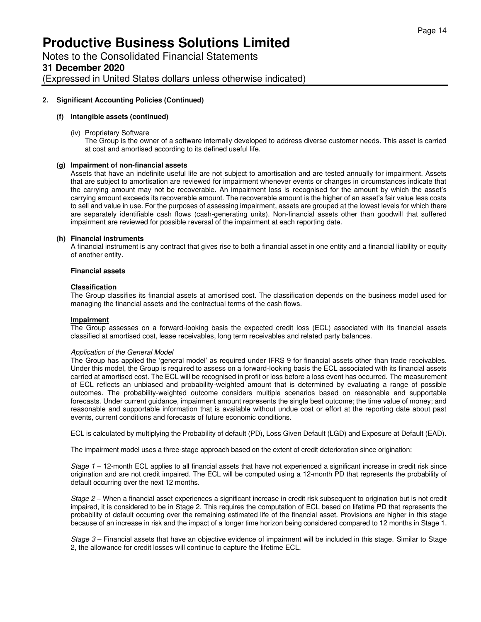Notes to the Consolidated Financial Statements **31 December 2020**  (Expressed in United States dollars unless otherwise indicated)

### **2. Significant Accounting Policies (Continued)**

#### **(f) Intangible assets (continued)**

(iv) Proprietary Software

The Group is the owner of a software internally developed to address diverse customer needs. This asset is carried at cost and amortised according to its defined useful life.

#### **(g) Impairment of non-financial assets**

Assets that have an indefinite useful life are not subject to amortisation and are tested annually for impairment. Assets that are subject to amortisation are reviewed for impairment whenever events or changes in circumstances indicate that the carrying amount may not be recoverable. An impairment loss is recognised for the amount by which the asset's carrying amount exceeds its recoverable amount. The recoverable amount is the higher of an asset's fair value less costs to sell and value in use. For the purposes of assessing impairment, assets are grouped at the lowest levels for which there are separately identifiable cash flows (cash-generating units). Non-financial assets other than goodwill that suffered impairment are reviewed for possible reversal of the impairment at each reporting date.

#### **(h) Financial instruments**

A financial instrument is any contract that gives rise to both a financial asset in one entity and a financial liability or equity of another entity.

#### **Financial assets**

#### **Classification**

The Group classifies its financial assets at amortised cost. The classification depends on the business model used for managing the financial assets and the contractual terms of the cash flows.

#### **Impairment**

The Group assesses on a forward-looking basis the expected credit loss (ECL) associated with its financial assets classified at amortised cost, lease receivables, long term receivables and related party balances.

#### Application of the General Model

The Group has applied the 'general model' as required under IFRS 9 for financial assets other than trade receivables. Under this model, the Group is required to assess on a forward-looking basis the ECL associated with its financial assets carried at amortised cost. The ECL will be recognised in profit or loss before a loss event has occurred. The measurement of ECL reflects an unbiased and probability-weighted amount that is determined by evaluating a range of possible outcomes. The probability-weighted outcome considers multiple scenarios based on reasonable and supportable forecasts. Under current guidance, impairment amount represents the single best outcome; the time value of money; and reasonable and supportable information that is available without undue cost or effort at the reporting date about past events, current conditions and forecasts of future economic conditions.

ECL is calculated by multiplying the Probability of default (PD), Loss Given Default (LGD) and Exposure at Default (EAD).

The impairment model uses a three-stage approach based on the extent of credit deterioration since origination:

Stage  $1 - 12$ -month ECL applies to all financial assets that have not experienced a significant increase in credit risk since origination and are not credit impaired. The ECL will be computed using a 12-month PD that represents the probability of default occurring over the next 12 months.

Stage 2 – When a financial asset experiences a significant increase in credit risk subsequent to origination but is not credit impaired, it is considered to be in Stage 2. This requires the computation of ECL based on lifetime PD that represents the probability of default occurring over the remaining estimated life of the financial asset. Provisions are higher in this stage because of an increase in risk and the impact of a longer time horizon being considered compared to 12 months in Stage 1.

Stage 3 – Financial assets that have an objective evidence of impairment will be included in this stage. Similar to Stage 2, the allowance for credit losses will continue to capture the lifetime ECL.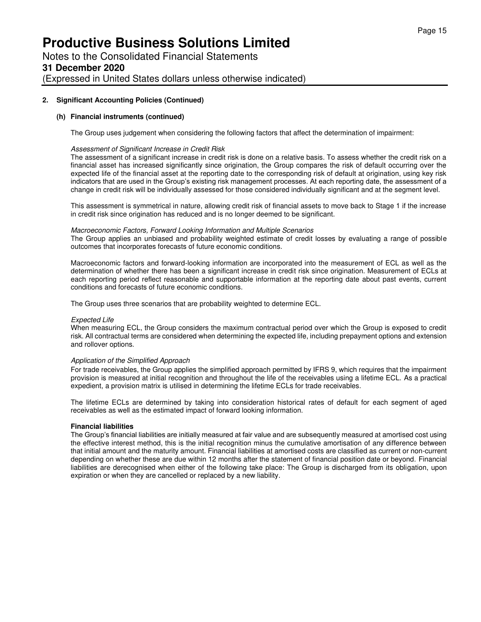#### **2. Significant Accounting Policies (Continued)**

#### **(h) Financial instruments (continued)**

The Group uses judgement when considering the following factors that affect the determination of impairment:

#### Assessment of Significant Increase in Credit Risk

The assessment of a significant increase in credit risk is done on a relative basis. To assess whether the credit risk on a financial asset has increased significantly since origination, the Group compares the risk of default occurring over the expected life of the financial asset at the reporting date to the corresponding risk of default at origination, using key risk indicators that are used in the Group's existing risk management processes. At each reporting date, the assessment of a change in credit risk will be individually assessed for those considered individually significant and at the segment level.

This assessment is symmetrical in nature, allowing credit risk of financial assets to move back to Stage 1 if the increase in credit risk since origination has reduced and is no longer deemed to be significant.

#### Macroeconomic Factors, Forward Looking Information and Multiple Scenarios

The Group applies an unbiased and probability weighted estimate of credit losses by evaluating a range of possible outcomes that incorporates forecasts of future economic conditions.

Macroeconomic factors and forward-looking information are incorporated into the measurement of ECL as well as the determination of whether there has been a significant increase in credit risk since origination. Measurement of ECLs at each reporting period reflect reasonable and supportable information at the reporting date about past events, current conditions and forecasts of future economic conditions.

The Group uses three scenarios that are probability weighted to determine ECL.

#### Expected Life

When measuring ECL, the Group considers the maximum contractual period over which the Group is exposed to credit risk. All contractual terms are considered when determining the expected life, including prepayment options and extension and rollover options.

#### Application of the Simplified Approach

For trade receivables, the Group applies the simplified approach permitted by IFRS 9, which requires that the impairment provision is measured at initial recognition and throughout the life of the receivables using a lifetime ECL. As a practical expedient, a provision matrix is utilised in determining the lifetime ECLs for trade receivables.

The lifetime ECLs are determined by taking into consideration historical rates of default for each segment of aged receivables as well as the estimated impact of forward looking information.

#### **Financial liabilities**

The Group's financial liabilities are initially measured at fair value and are subsequently measured at amortised cost using the effective interest method, this is the initial recognition minus the cumulative amortisation of any difference between that initial amount and the maturity amount. Financial liabilities at amortised costs are classified as current or non-current depending on whether these are due within 12 months after the statement of financial position date or beyond. Financial liabilities are derecognised when either of the following take place: The Group is discharged from its obligation, upon expiration or when they are cancelled or replaced by a new liability.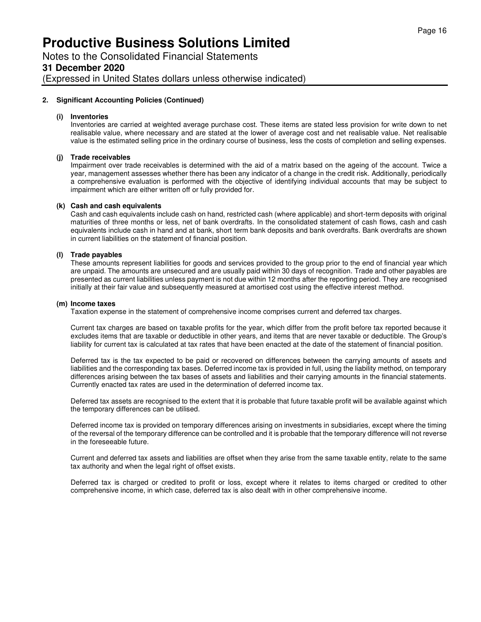Notes to the Consolidated Financial Statements **31 December 2020** 

(Expressed in United States dollars unless otherwise indicated)

### **2. Significant Accounting Policies (Continued)**

#### **(i) Inventories**

Inventories are carried at weighted average purchase cost. These items are stated less provision for write down to net realisable value, where necessary and are stated at the lower of average cost and net realisable value. Net realisable value is the estimated selling price in the ordinary course of business, less the costs of completion and selling expenses.

#### **(j) Trade receivables**

Impairment over trade receivables is determined with the aid of a matrix based on the ageing of the account. Twice a year, management assesses whether there has been any indicator of a change in the credit risk. Additionally, periodically a comprehensive evaluation is performed with the objective of identifying individual accounts that may be subject to impairment which are either written off or fully provided for.

#### **(k) Cash and cash equivalents**

 Cash and cash equivalents include cash on hand, restricted cash (where applicable) and short-term deposits with original maturities of three months or less, net of bank overdrafts. In the consolidated statement of cash flows, cash and cash equivalents include cash in hand and at bank, short term bank deposits and bank overdrafts. Bank overdrafts are shown in current liabilities on the statement of financial position.

#### **(l) Trade payables**

These amounts represent liabilities for goods and services provided to the group prior to the end of financial year which are unpaid. The amounts are unsecured and are usually paid within 30 days of recognition. Trade and other payables are presented as current liabilities unless payment is not due within 12 months after the reporting period. They are recognised initially at their fair value and subsequently measured at amortised cost using the effective interest method.

#### **(m) Income taxes**

Taxation expense in the statement of comprehensive income comprises current and deferred tax charges.

 Current tax charges are based on taxable profits for the year, which differ from the profit before tax reported because it excludes items that are taxable or deductible in other years, and items that are never taxable or deductible. The Group's liability for current tax is calculated at tax rates that have been enacted at the date of the statement of financial position.

 Deferred tax is the tax expected to be paid or recovered on differences between the carrying amounts of assets and liabilities and the corresponding tax bases. Deferred income tax is provided in full, using the liability method, on temporary differences arising between the tax bases of assets and liabilities and their carrying amounts in the financial statements. Currently enacted tax rates are used in the determination of deferred income tax.

 Deferred tax assets are recognised to the extent that it is probable that future taxable profit will be available against which the temporary differences can be utilised.

 Deferred income tax is provided on temporary differences arising on investments in subsidiaries, except where the timing of the reversal of the temporary difference can be controlled and it is probable that the temporary difference will not reverse in the foreseeable future.

 Current and deferred tax assets and liabilities are offset when they arise from the same taxable entity, relate to the same tax authority and when the legal right of offset exists.

 Deferred tax is charged or credited to profit or loss, except where it relates to items charged or credited to other comprehensive income, in which case, deferred tax is also dealt with in other comprehensive income.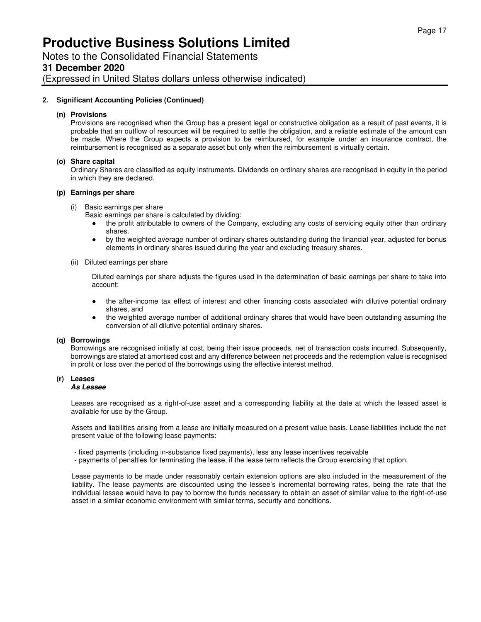Notes to the Consolidated Financial Statements

### **31 December 2020**

(Expressed in United States dollars unless otherwise indicated)

### **2. Significant Accounting Policies (Continued)**

#### **(n) Provisions**

 Provisions are recognised when the Group has a present legal or constructive obligation as a result of past events, it is probable that an outflow of resources will be required to settle the obligation, and a reliable estimate of the amount can be made. Where the Group expects a provision to be reimbursed, for example under an insurance contract, the reimbursement is recognised as a separate asset but only when the reimbursement is virtually certain.

#### **(o) Share capital**

Ordinary Shares are classified as equity instruments. Dividends on ordinary shares are recognised in equity in the period in which they are declared.

#### **(p) Earnings per share**

- (i) Basic earnings per share
	- Basic earnings per share is calculated by dividing:
		- the profit attributable to owners of the Company, excluding any costs of servicing equity other than ordinary shares.
		- by the weighted average number of ordinary shares outstanding during the financial year, adjusted for bonus elements in ordinary shares issued during the year and excluding treasury shares.
- (ii) Diluted earnings per share

Diluted earnings per share adjusts the figures used in the determination of basic earnings per share to take into account:

- the after-income tax effect of interest and other financing costs associated with dilutive potential ordinary shares, and
- the weighted average number of additional ordinary shares that would have been outstanding assuming the conversion of all dilutive potential ordinary shares.

#### **(q) Borrowings**

Borrowings are recognised initially at cost, being their issue proceeds, net of transaction costs incurred. Subsequently, borrowings are stated at amortised cost and any difference between net proceeds and the redemption value is recognised in profit or loss over the period of the borrowings using the effective interest method.

### **(r) Leases**

#### **As Lessee**

Leases are recognised as a right-of-use asset and a corresponding liability at the date at which the leased asset is available for use by the Group.

Assets and liabilities arising from a lease are initially measured on a present value basis. Lease liabilities include the net present value of the following lease payments:

- fixed payments (including in-substance fixed payments), less any lease incentives receivable
- payments of penalties for terminating the lease, if the lease term reflects the Group exercising that option.

Lease payments to be made under reasonably certain extension options are also included in the measurement of the liability. The lease payments are discounted using the lessee's incremental borrowing rates, being the rate that the individual lessee would have to pay to borrow the funds necessary to obtain an asset of similar value to the right-of-use asset in a similar economic environment with similar terms, security and conditions.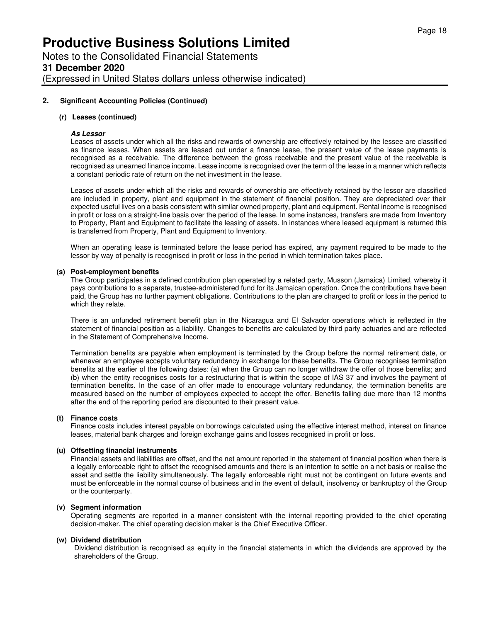Notes to the Consolidated Financial Statements **31 December 2020**  (Expressed in United States dollars unless otherwise indicated)

### **2. Significant Accounting Policies (Continued)**

#### **(r) Leases (continued)**

#### **As Lessor**

Leases of assets under which all the risks and rewards of ownership are effectively retained by the lessee are classified as finance leases. When assets are leased out under a finance lease, the present value of the lease payments is recognised as a receivable. The difference between the gross receivable and the present value of the receivable is recognised as unearned finance income. Lease income is recognised over the term of the lease in a manner which reflects a constant periodic rate of return on the net investment in the lease.

Leases of assets under which all the risks and rewards of ownership are effectively retained by the lessor are classified are included in property, plant and equipment in the statement of financial position. They are depreciated over their expected useful lives on a basis consistent with similar owned property, plant and equipment. Rental income is recognised in profit or loss on a straight-line basis over the period of the lease. In some instances, transfers are made from Inventory to Property, Plant and Equipment to facilitate the leasing of assets. In instances where leased equipment is returned this is transferred from Property, Plant and Equipment to Inventory.

When an operating lease is terminated before the lease period has expired, any payment required to be made to the lessor by way of penalty is recognised in profit or loss in the period in which termination takes place.

#### **(s) Post-employment benefits**

The Group participates in a defined contribution plan operated by a related party, Musson (Jamaica) Limited, whereby it pays contributions to a separate, trustee-administered fund for its Jamaican operation. Once the contributions have been paid, the Group has no further payment obligations. Contributions to the plan are charged to profit or loss in the period to which they relate.

There is an unfunded retirement benefit plan in the Nicaragua and El Salvador operations which is reflected in the statement of financial position as a liability. Changes to benefits are calculated by third party actuaries and are reflected in the Statement of Comprehensive Income.

Termination benefits are payable when employment is terminated by the Group before the normal retirement date, or whenever an employee accepts voluntary redundancy in exchange for these benefits. The Group recognises termination benefits at the earlier of the following dates: (a) when the Group can no longer withdraw the offer of those benefits; and (b) when the entity recognises costs for a restructuring that is within the scope of IAS 37 and involves the payment of termination benefits. In the case of an offer made to encourage voluntary redundancy, the termination benefits are measured based on the number of employees expected to accept the offer. Benefits falling due more than 12 months after the end of the reporting period are discounted to their present value.

#### **(t) Finance costs**

Finance costs includes interest payable on borrowings calculated using the effective interest method, interest on finance leases, material bank charges and foreign exchange gains and losses recognised in profit or loss.

#### **(u) Offsetting financial instruments**

Financial assets and liabilities are offset, and the net amount reported in the statement of financial position when there is a legally enforceable right to offset the recognised amounts and there is an intention to settle on a net basis or realise the asset and settle the liability simultaneously. The legally enforceable right must not be contingent on future events and must be enforceable in the normal course of business and in the event of default, insolvency or bankruptcy of the Group or the counterparty.

#### **(v) Segment information**

Operating segments are reported in a manner consistent with the internal reporting provided to the chief operating decision-maker. The chief operating decision maker is the Chief Executive Officer.

#### **(w) Dividend distribution**

Dividend distribution is recognised as equity in the financial statements in which the dividends are approved by the shareholders of the Group.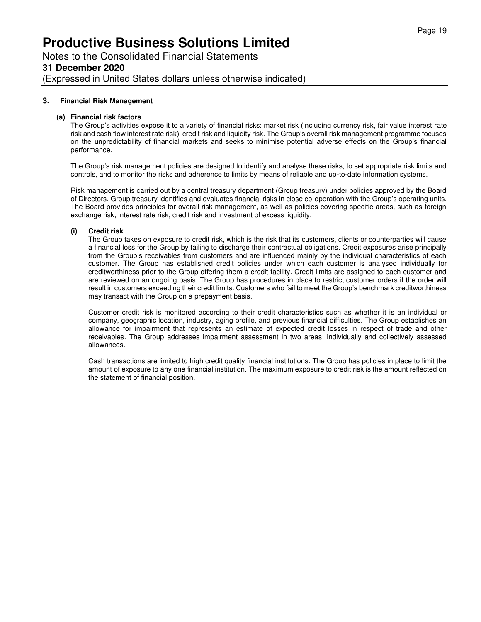Notes to the Consolidated Financial Statements **31 December 2020**  (Expressed in United States dollars unless otherwise indicated)

#### **3. Financial Risk Management**

#### **(a) Financial risk factors**

The Group's activities expose it to a variety of financial risks: market risk (including currency risk, fair value interest rate risk and cash flow interest rate risk), credit risk and liquidity risk. The Group's overall risk management programme focuses on the unpredictability of financial markets and seeks to minimise potential adverse effects on the Group's financial performance.

The Group's risk management policies are designed to identify and analyse these risks, to set appropriate risk limits and controls, and to monitor the risks and adherence to limits by means of reliable and up-to-date information systems.

 Risk management is carried out by a central treasury department (Group treasury) under policies approved by the Board of Directors. Group treasury identifies and evaluates financial risks in close co-operation with the Group's operating units. The Board provides principles for overall risk management, as well as policies covering specific areas, such as foreign exchange risk, interest rate risk, credit risk and investment of excess liquidity.

#### **(i) Credit risk**

The Group takes on exposure to credit risk, which is the risk that its customers, clients or counterparties will cause a financial loss for the Group by failing to discharge their contractual obligations. Credit exposures arise principally from the Group's receivables from customers and are influenced mainly by the individual characteristics of each customer. The Group has established credit policies under which each customer is analysed individually for creditworthiness prior to the Group offering them a credit facility. Credit limits are assigned to each customer and are reviewed on an ongoing basis. The Group has procedures in place to restrict customer orders if the order will result in customers exceeding their credit limits. Customers who fail to meet the Group's benchmark creditworthiness may transact with the Group on a prepayment basis.

Customer credit risk is monitored according to their credit characteristics such as whether it is an individual or company, geographic location, industry, aging profile, and previous financial difficulties. The Group establishes an allowance for impairment that represents an estimate of expected credit losses in respect of trade and other receivables. The Group addresses impairment assessment in two areas: individually and collectively assessed allowances.

Cash transactions are limited to high credit quality financial institutions. The Group has policies in place to limit the amount of exposure to any one financial institution. The maximum exposure to credit risk is the amount reflected on the statement of financial position.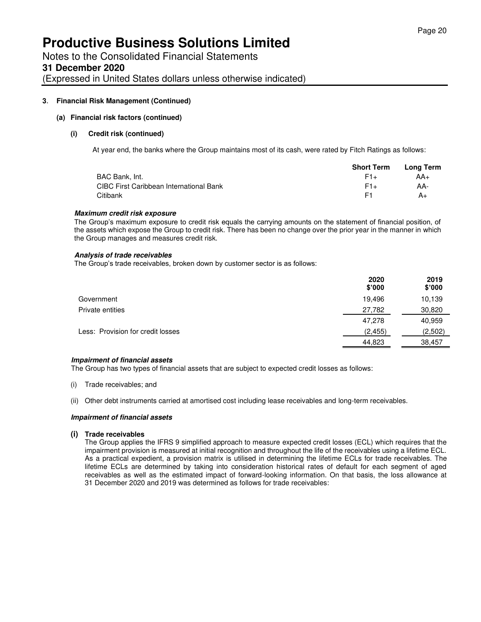Notes to the Consolidated Financial Statements **31 December 2020**  (Expressed in United States dollars unless otherwise indicated)

### **3**. **Financial Risk Management (Continued)**

#### **(a) Financial risk factors (continued)**

#### **(i) Credit risk (continued)**

At year end, the banks where the Group maintains most of its cash, were rated by Fitch Ratings as follows:

|                                         | <b>Short Term</b> | Long Term |
|-----------------------------------------|-------------------|-----------|
| BAC Bank, Int.                          | $F1+$             | AA+       |
| CIBC First Caribbean International Bank | $F1+$             | AA-       |
| Citibank                                | F1                | A+        |

#### **Maximum credit risk exposure**

The Group's maximum exposure to credit risk equals the carrying amounts on the statement of financial position, of the assets which expose the Group to credit risk. There has been no change over the prior year in the manner in which the Group manages and measures credit risk.

#### **Analysis of trade receivables**

The Group's trade receivables, broken down by customer sector is as follows:

|                                   | 2020<br>\$'000 | 2019<br>\$'000 |
|-----------------------------------|----------------|----------------|
| Government                        | 19.496         | 10,139         |
| Private entities                  | 27,782         | 30,820         |
|                                   | 47.278         | 40,959         |
| Less: Provision for credit losses | (2, 455)       | (2,502)        |
|                                   | 44,823         | 38,457         |

#### **Impairment of financial assets**

The Group has two types of financial assets that are subject to expected credit losses as follows:

- (i) Trade receivables; and
- (ii) Other debt instruments carried at amortised cost including lease receivables and long-term receivables.

#### **Impairment of financial assets**

#### **(i) Trade receivables**

The Group applies the IFRS 9 simplified approach to measure expected credit losses (ECL) which requires that the impairment provision is measured at initial recognition and throughout the life of the receivables using a lifetime ECL. As a practical expedient, a provision matrix is utilised in determining the lifetime ECLs for trade receivables. The lifetime ECLs are determined by taking into consideration historical rates of default for each segment of aged receivables as well as the estimated impact of forward-looking information. On that basis, the loss allowance at 31 December 2020 and 2019 was determined as follows for trade receivables: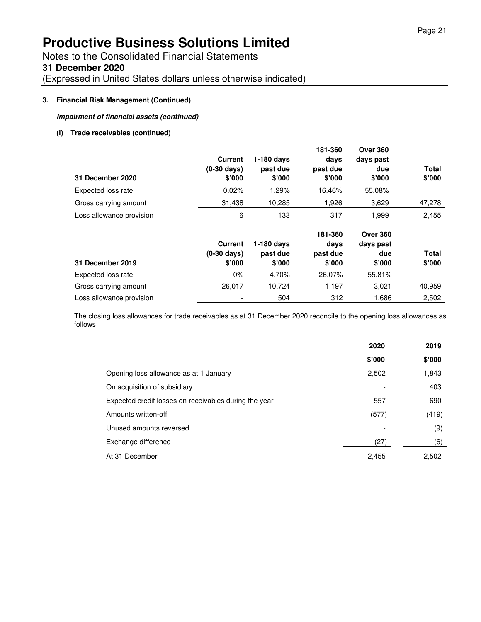Notes to the Consolidated Financial Statements **31 December 2020** 

(Expressed in United States dollars unless otherwise indicated)

### **3. Financial Risk Management (Continued)**

**Impairment of financial assets (continued)** 

### **(i) Trade receivables (continued)**

| 31 December 2020         | <b>Current</b><br>$(0-30$ days)<br>\$'000 | 1-180 days<br>past due<br>\$'000 | 181-360<br>days<br>past due<br>\$'000 | <b>Over 360</b><br>days past<br>due<br>\$'000 | <b>Total</b><br>\$'000 |
|--------------------------|-------------------------------------------|----------------------------------|---------------------------------------|-----------------------------------------------|------------------------|
| Expected loss rate       | 0.02%                                     | 1.29%                            | 16.46%                                | 55.08%                                        |                        |
| Gross carrying amount    | 31,438                                    | 10,285                           | 1,926                                 | 3,629                                         | 47,278                 |
| Loss allowance provision | 6                                         | 133                              | 317                                   | 1,999                                         | 2,455                  |
| 31 December 2019         | <b>Current</b><br>$(0-30$ days)<br>\$'000 | 1-180 days<br>past due<br>\$'000 | 181-360<br>days<br>past due<br>\$'000 | <b>Over 360</b><br>days past<br>due<br>\$'000 | <b>Total</b><br>\$'000 |
| Expected loss rate       | $0\%$                                     | 4.70%                            | 26.07%                                | 55.81%                                        |                        |
| Gross carrying amount    | 26,017                                    | 10,724                           | 1,197                                 | 3,021                                         | 40,959                 |
| Loss allowance provision |                                           | 504                              | 312                                   | 1,686                                         | 2,502                  |

The closing loss allowances for trade receivables as at 31 December 2020 reconcile to the opening loss allowances as follows:

|                                                       | 2020   | 2019   |
|-------------------------------------------------------|--------|--------|
|                                                       | \$'000 | \$'000 |
| Opening loss allowance as at 1 January                | 2,502  | 1,843  |
| On acquisition of subsidiary                          |        | 403    |
| Expected credit losses on receivables during the year | 557    | 690    |
| Amounts written-off                                   | (577)  | (419)  |
| Unused amounts reversed                               |        | (9)    |
| Exchange difference                                   | (27)   | (6)    |
| At 31 December                                        | 2,455  | 2,502  |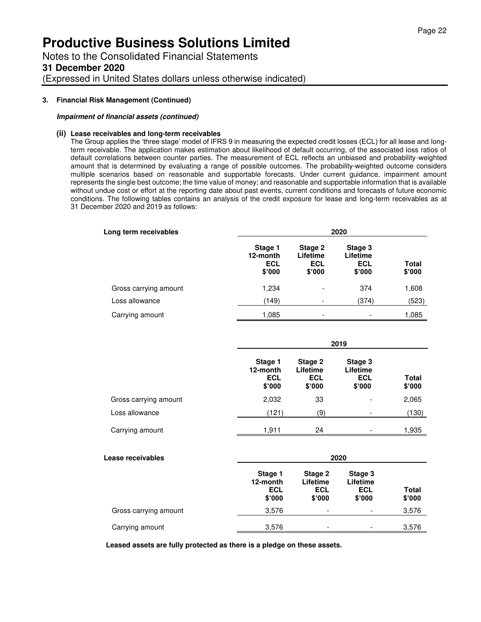Notes to the Consolidated Financial Statements **31 December 2020**  (Expressed in United States dollars unless otherwise indicated)

#### **3. Financial Risk Management (Continued)**

#### **Impairment of financial assets (continued)**

#### **(ii) Lease receivables and long-term receivables**

The Group applies the 'three stage' model of IFRS 9 in measuring the expected credit losses (ECL) for all lease and longterm receivable. The application makes estimation about likelihood of default occurring, of the associated loss ratios of default correlations between counter parties. The measurement of ECL reflects an unbiased and probability-weighted amount that is determined by evaluating a range of possible outcomes. The probability-weighted outcome considers multiple scenarios based on reasonable and supportable forecasts. Under current guidance, impairment amount represents the single best outcome; the time value of money; and reasonable and supportable information that is available without undue cost or effort at the reporting date about past events, current conditions and forecasts of future economic conditions. The following tables contains an analysis of the credit exposure for lease and long-term receivables as at 31 December 2020 and 2019 as follows:

| Long term receivables | 2020                                        |                                             |                                             |                 |  |  |  |
|-----------------------|---------------------------------------------|---------------------------------------------|---------------------------------------------|-----------------|--|--|--|
|                       | Stage 1<br>12-month<br><b>ECL</b><br>\$'000 | Stage 2<br>Lifetime<br><b>ECL</b><br>\$'000 | Stage 3<br>Lifetime<br><b>ECL</b><br>\$'000 | Total<br>\$'000 |  |  |  |
| Gross carrying amount | 1,234                                       | $\overline{\phantom{a}}$                    | 374                                         | 1,608           |  |  |  |
| Loss allowance        | (149)                                       |                                             | (374)                                       | (523)           |  |  |  |
| Carrying amount       | 1,085                                       | $\overline{\phantom{0}}$                    | ۰.                                          | 1,085           |  |  |  |

|                       |                                             | 2019                                        |                                             |                        |  |  |  |  |
|-----------------------|---------------------------------------------|---------------------------------------------|---------------------------------------------|------------------------|--|--|--|--|
|                       | Stage 1<br>12-month<br><b>ECL</b><br>\$'000 | Stage 2<br>Lifetime<br><b>ECL</b><br>\$'000 | Stage 3<br>Lifetime<br><b>ECL</b><br>\$'000 | <b>Total</b><br>\$'000 |  |  |  |  |
| Gross carrying amount | 2,032                                       | 33                                          | -                                           | 2,065                  |  |  |  |  |
| Loss allowance        | (121)                                       | (9)                                         | ۰                                           | (130)                  |  |  |  |  |
| Carrying amount       | 1,911                                       | 24                                          | $\overline{\phantom{0}}$                    | 1,935                  |  |  |  |  |

| Lease receivables     | 2020                                        |                                      |                                      |                        |  |  |  |
|-----------------------|---------------------------------------------|--------------------------------------|--------------------------------------|------------------------|--|--|--|
|                       | Stage 1<br>12-month<br><b>ECL</b><br>\$'000 | Stage 2<br>Lifetime<br>ECL<br>\$'000 | Stage 3<br>Lifetime<br>ECL<br>\$'000 | <b>Total</b><br>\$'000 |  |  |  |
| Gross carrying amount | 3,576                                       | -                                    |                                      | 3,576                  |  |  |  |
| Carrying amount       | 3,576                                       |                                      |                                      | 3,576                  |  |  |  |

**Leased assets are fully protected as there is a pledge on these assets.**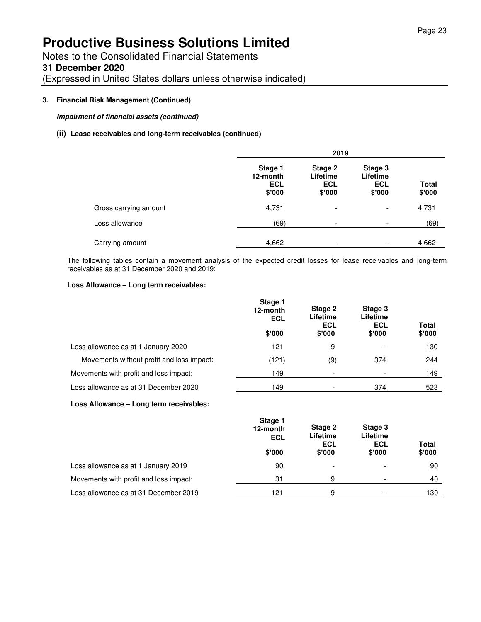Notes to the Consolidated Financial Statements **31 December 2020**  (Expressed in United States dollars unless otherwise indicated)

### **3. Financial Risk Management (Continued)**

**Impairment of financial assets (continued)** 

#### **(ii) Lease receivables and long-term receivables (continued)**

|                       |                                      | 2019                                        |                                             |                        |  |  |  |
|-----------------------|--------------------------------------|---------------------------------------------|---------------------------------------------|------------------------|--|--|--|
|                       | Stage 1<br>12-month<br>ECL<br>\$'000 | Stage 2<br>Lifetime<br><b>ECL</b><br>\$'000 | Stage 3<br>Lifetime<br><b>ECL</b><br>\$'000 | <b>Total</b><br>\$'000 |  |  |  |
| Gross carrying amount | 4,731                                |                                             | ٠                                           | 4,731                  |  |  |  |
| Loss allowance        | (69)                                 |                                             |                                             | (69)                   |  |  |  |
| Carrying amount       | 4,662                                |                                             |                                             | 4,662                  |  |  |  |

The following tables contain a movement analysis of the expected credit losses for lease receivables and long-term receivables as at 31 December 2020 and 2019:

#### **Loss Allowance – Long term receivables:**

|                                           | Stage 1<br>12-month<br>ECL | Stage 2<br>Lifetime<br>ECL | Stage 3<br>Lifetime<br>ECL | Total  |
|-------------------------------------------|----------------------------|----------------------------|----------------------------|--------|
|                                           | \$'000                     | \$'000                     | \$'000                     | \$'000 |
| Loss allowance as at 1 January 2020       | 121                        | 9                          |                            | 130    |
| Movements without profit and loss impact: | (121)                      | (9)                        | 374                        | 244    |
| Movements with profit and loss impact:    | 149                        |                            |                            | 149    |
| Loss allowance as at 31 December 2020     | 149                        |                            | 374                        | 523    |

#### **Loss Allowance – Long term receivables:**

|                                        | Stage 1<br>12-month<br>ECL<br>\$'000 | Stage 2<br>Lifetime<br><b>ECL</b><br>\$'000 | Stage 3<br>Lifetime<br><b>ECL</b><br>\$'000 | <b>Total</b><br>\$'000 |
|----------------------------------------|--------------------------------------|---------------------------------------------|---------------------------------------------|------------------------|
| Loss allowance as at 1 January 2019    | 90                                   | -                                           | -                                           | 90                     |
| Movements with profit and loss impact: | 31                                   | 9                                           | $\overline{\phantom{a}}$                    | 40                     |
| Loss allowance as at 31 December 2019  | 121                                  | 9                                           | $\overline{\phantom{a}}$                    | 130                    |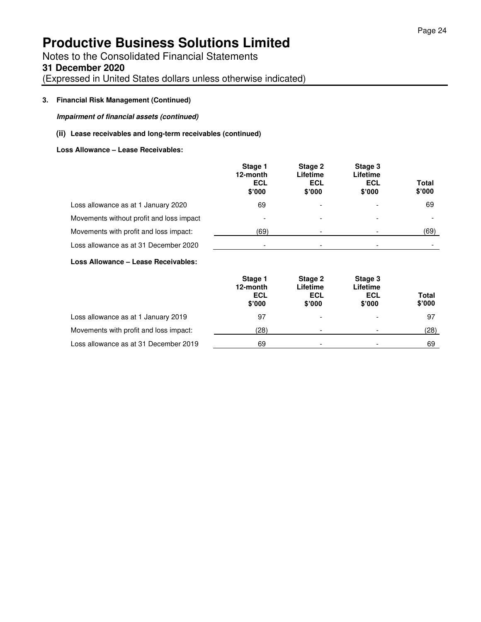Notes to the Consolidated Financial Statements **31 December 2020**  (Expressed in United States dollars unless otherwise indicated)

### **3. Financial Risk Management (Continued)**

**Impairment of financial assets (continued)** 

#### **(ii) Lease receivables and long-term receivables (continued)**

#### **Loss Allowance – Lease Receivables:**

|                                          | Stage 1<br>12-month<br>ECL<br>\$'000 | Stage 2<br>Lifetime<br>ECL<br>\$'000 | Stage 3<br>Lifetime<br>ECL<br>\$'000 | Total<br>\$'000 |
|------------------------------------------|--------------------------------------|--------------------------------------|--------------------------------------|-----------------|
| Loss allowance as at 1 January 2020      | 69                                   |                                      |                                      | 69              |
| Movements without profit and loss impact |                                      |                                      | $\overline{\phantom{a}}$             |                 |
| Movements with profit and loss impact:   | (69)                                 |                                      |                                      | (69)            |
| Loss allowance as at 31 December 2020    |                                      |                                      |                                      |                 |

#### **Loss Allowance – Lease Receivables:**

|                                        | Stage 1<br>12-month<br>ECL<br>\$'000 | Stage 2<br>Lifetime<br>ECL<br>\$'000 | Stage 3<br>Lifetime<br>ECL<br>\$'000 | <b>Total</b><br>\$'000 |
|----------------------------------------|--------------------------------------|--------------------------------------|--------------------------------------|------------------------|
| Loss allowance as at 1 January 2019    | 97                                   | $\overline{\phantom{0}}$             | $\overline{\phantom{a}}$             | 97                     |
| Movements with profit and loss impact: | (28)                                 |                                      | $\overline{\phantom{0}}$             | (28)                   |
| Loss allowance as at 31 December 2019  | 69                                   |                                      | -                                    | 69                     |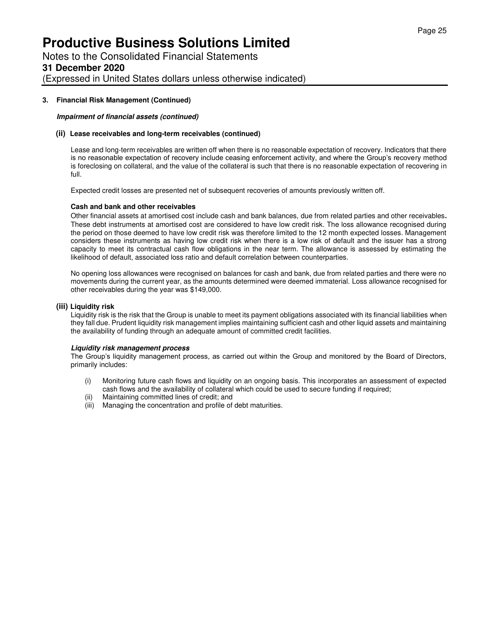Notes to the Consolidated Financial Statements **31 December 2020**  (Expressed in United States dollars unless otherwise indicated)

#### **3. Financial Risk Management (Continued)**

#### **Impairment of financial assets (continued)**

#### **(ii) Lease receivables and long-term receivables (continued)**

Lease and long-term receivables are written off when there is no reasonable expectation of recovery. Indicators that there is no reasonable expectation of recovery include ceasing enforcement activity, and where the Group's recovery method is foreclosing on collateral, and the value of the collateral is such that there is no reasonable expectation of recovering in full.

Expected credit losses are presented net of subsequent recoveries of amounts previously written off.

#### **Cash and bank and other receivables**

Other financial assets at amortised cost include cash and bank balances, due from related parties and other receivables**.**  These debt instruments at amortised cost are considered to have low credit risk. The loss allowance recognised during the period on those deemed to have low credit risk was therefore limited to the 12 month expected losses. Management considers these instruments as having low credit risk when there is a low risk of default and the issuer has a strong capacity to meet its contractual cash flow obligations in the near term. The allowance is assessed by estimating the likelihood of default, associated loss ratio and default correlation between counterparties.

No opening loss allowances were recognised on balances for cash and bank, due from related parties and there were no movements during the current year, as the amounts determined were deemed immaterial. Loss allowance recognised for other receivables during the year was \$149,000.

#### **(iii) Liquidity risk**

Liquidity risk is the risk that the Group is unable to meet its payment obligations associated with its financial liabilities when they fall due. Prudent liquidity risk management implies maintaining sufficient cash and other liquid assets and maintaining the availability of funding through an adequate amount of committed credit facilities.

#### **Liquidity risk management process**

The Group's liquidity management process, as carried out within the Group and monitored by the Board of Directors, primarily includes:

- (i) Monitoring future cash flows and liquidity on an ongoing basis. This incorporates an assessment of expected cash flows and the availability of collateral which could be used to secure funding if required;
- (ii) Maintaining committed lines of credit; and
- Managing the concentration and profile of debt maturities.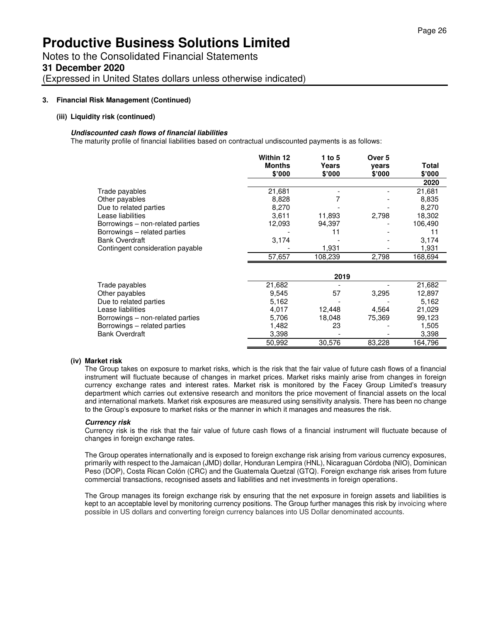Notes to the Consolidated Financial Statements **31 December 2020**  (Expressed in United States dollars unless otherwise indicated)

#### **3. Financial Risk Management (Continued)**

#### **(iii) Liquidity risk (continued)**

#### **Undiscounted cash flows of financial liabilities**

The maturity profile of financial liabilities based on contractual undiscounted payments is as follows:

|                                  | Within 12     | $1$ to 5 | Over 5 |              |
|----------------------------------|---------------|----------|--------|--------------|
|                                  | <b>Months</b> | Years    | vears  | <b>Total</b> |
|                                  | \$'000        | \$'000   | \$'000 | \$'000       |
|                                  |               |          |        | 2020         |
| Trade payables                   | 21,681        |          |        | 21,681       |
| Other payables                   | 8,828         |          |        | 8,835        |
| Due to related parties           | 8,270         |          |        | 8,270        |
| Lease liabilities                | 3,611         | 11,893   | 2,798  | 18,302       |
| Borrowings - non-related parties | 12,093        | 94,397   |        | 106,490      |
| Borrowings - related parties     |               | 11       |        | 11           |
| <b>Bank Overdraft</b>            | 3,174         |          |        | 3,174        |
| Contingent consideration payable |               | 1,931    |        | 1,931        |
|                                  | 57,657        | 108,239  | 2,798  | 168,694      |
|                                  |               |          |        |              |
|                                  |               | 2019     |        |              |
| Trade payables                   | 21,682        |          |        | 21,682       |
| Other payables                   | 9,545         | 57       | 3,295  | 12,897       |
| Due to related parties           | 5,162         |          |        | 5,162        |
| Lease liabilities                | 4,017         | 12,448   | 4,564  | 21,029       |
| Borrowings - non-related parties | 5,706         | 18,048   | 75,369 | 99,123       |
| Borrowings - related parties     | 1,482         | 23       |        | 1,505        |
| <b>Bank Overdraft</b>            | 3,398         |          |        | 3,398        |
|                                  | 50,992        | 30,576   | 83,228 | 164,796      |

#### **(iv) Market risk**

The Group takes on exposure to market risks, which is the risk that the fair value of future cash flows of a financial instrument will fluctuate because of changes in market prices. Market risks mainly arise from changes in foreign currency exchange rates and interest rates. Market risk is monitored by the Facey Group Limited's treasury department which carries out extensive research and monitors the price movement of financial assets on the local and international markets. Market risk exposures are measured using sensitivity analysis. There has been no change to the Group's exposure to market risks or the manner in which it manages and measures the risk.

#### **Currency risk**

Currency risk is the risk that the fair value of future cash flows of a financial instrument will fluctuate because of changes in foreign exchange rates.

The Group operates internationally and is exposed to foreign exchange risk arising from various currency exposures, primarily with respect to the Jamaican (JMD) dollar, Honduran Lempira (HNL), Nicaraguan Córdoba (NIO), Dominican Peso (DOP), Costa Rican Colón (CRC) and the Guatemala Quetzal (GTQ). Foreign exchange risk arises from future commercial transactions, recognised assets and liabilities and net investments in foreign operations.

The Group manages its foreign exchange risk by ensuring that the net exposure in foreign assets and liabilities is kept to an acceptable level by monitoring currency positions. The Group further manages this risk by invoicing where possible in US dollars and converting foreign currency balances into US Dollar denominated accounts.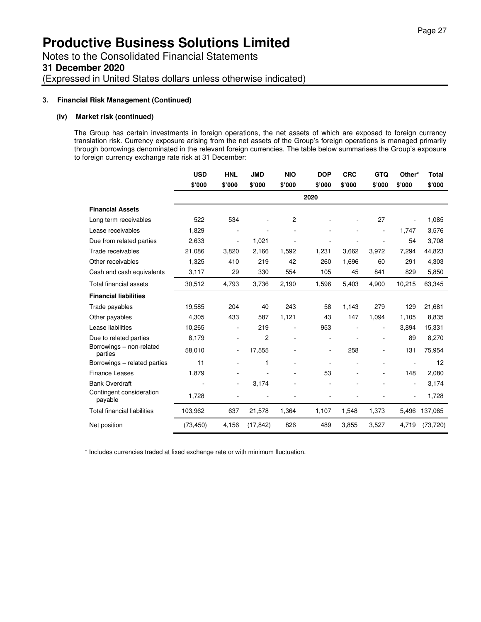Notes to the Consolidated Financial Statements **31 December 2020**  (Expressed in United States dollars unless otherwise indicated)

#### **3. Financial Risk Management (Continued)**

#### **(iv) Market risk (continued)**

The Group has certain investments in foreign operations, the net assets of which are exposed to foreign currency translation risk. Currency exposure arising from the net assets of the Group's foreign operations is managed primarily through borrowings denominated in the relevant foreign currencies. The table below summarises the Group's exposure to foreign currency exchange rate risk at 31 December:

|                                     | <b>USD</b> | <b>HNL</b>                   | <b>JMD</b> | <b>NIO</b> | <b>DOP</b> | <b>CRC</b> | <b>GTQ</b> | Other*                   | <b>Total</b> |
|-------------------------------------|------------|------------------------------|------------|------------|------------|------------|------------|--------------------------|--------------|
|                                     | \$'000     | \$'000                       | \$'000     | \$'000     | \$'000     | \$'000     | \$'000     | \$'000                   | \$'000       |
|                                     |            |                              |            |            | 2020       |            |            |                          |              |
| <b>Financial Assets</b>             |            |                              |            |            |            |            |            |                          |              |
| Long term receivables               | 522        | 534                          |            | 2          |            |            | 27         | $\overline{\phantom{a}}$ | 1,085        |
| Lease receivables                   | 1.829      |                              |            |            |            |            | ÷,         | 1.747                    | 3,576        |
| Due from related parties            | 2,633      | $\qquad \qquad \blacksquare$ | 1,021      |            |            |            |            | 54                       | 3,708        |
| Trade receivables                   | 21,086     | 3,820                        | 2,166      | 1,592      | 1,231      | 3,662      | 3,972      | 7,294                    | 44,823       |
| Other receivables                   | 1,325      | 410                          | 219        | 42         | 260        | 1,696      | 60         | 291                      | 4,303        |
| Cash and cash equivalents           | 3,117      | 29                           | 330        | 554        | 105        | 45         | 841        | 829                      | 5,850        |
| Total financial assets              | 30,512     | 4,793                        | 3,736      | 2,190      | 1,596      | 5,403      | 4,900      | 10,215                   | 63,345       |
| <b>Financial liabilities</b>        |            |                              |            |            |            |            |            |                          |              |
| Trade payables                      | 19,585     | 204                          | 40         | 243        | 58         | 1,143      | 279        | 129                      | 21,681       |
| Other payables                      | 4,305      | 433                          | 587        | 1,121      | 43         | 147        | 1,094      | 1,105                    | 8,835        |
| Lease liabilities                   | 10,265     | ä,                           | 219        |            | 953        |            |            | 3.894                    | 15,331       |
| Due to related parties              | 8,179      |                              | 2          |            |            |            |            | 89                       | 8,270        |
| Borrowings - non-related<br>parties | 58,010     | $\overline{\phantom{a}}$     | 17,555     |            | ÷          | 258        |            | 131                      | 75,954       |
| Borrowings - related parties        | 11         | ä,                           | 1          | L,         |            |            |            | ä,                       | 12           |
| <b>Finance Leases</b>               | 1,879      |                              |            | ä,         | 53         |            |            | 148                      | 2,080        |
| <b>Bank Overdraft</b>               |            |                              | 3,174      |            |            |            |            | $\overline{\phantom{a}}$ | 3,174        |
| Contingent consideration<br>payable | 1,728      |                              |            |            |            |            |            | ٠                        | 1,728        |
| <b>Total financial liabilities</b>  | 103,962    | 637                          | 21,578     | 1,364      | 1,107      | 1,548      | 1,373      | 5,496                    | 137,065      |
| Net position                        | (73, 450)  | 4,156                        | (17, 842)  | 826        | 489        | 3,855      | 3,527      | 4,719                    | (73, 720)    |

\* Includes currencies traded at fixed exchange rate or with minimum fluctuation.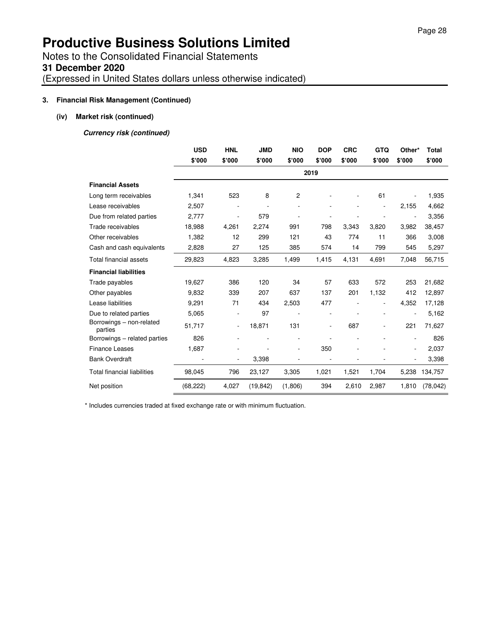Notes to the Consolidated Financial Statements

**31 December 2020** 

(Expressed in United States dollars unless otherwise indicated)

### **3. Financial Risk Management (Continued)**

### **(iv) Market risk (continued)**

### **Currency risk (continued)**

|                                     | <b>USD</b> | <b>HNL</b>               | <b>JMD</b>               | <b>NIO</b>   | <b>DOP</b> | <b>CRC</b> | <b>GTQ</b> | Other*                   | <b>Total</b> |
|-------------------------------------|------------|--------------------------|--------------------------|--------------|------------|------------|------------|--------------------------|--------------|
|                                     | \$'000     | \$'000                   | \$'000                   | \$'000       | \$'000     | \$'000     | \$'000     | \$'000                   | \$'000       |
|                                     |            |                          |                          |              | 2019       |            |            |                          |              |
| <b>Financial Assets</b>             |            |                          |                          |              |            |            |            |                          |              |
| Long term receivables               | 1,341      | 523                      | 8                        | $\mathbf{2}$ |            |            | 61         | $\overline{\phantom{a}}$ | 1,935        |
| Lease receivables                   | 2,507      | ÷,                       | $\overline{\phantom{a}}$ |              | ä,         |            | ÷,         | 2,155                    | 4,662        |
| Due from related parties            | 2,777      | ٠                        | 579                      |              |            |            |            |                          | 3,356        |
| Trade receivables                   | 18,988     | 4,261                    | 2.274                    | 991          | 798        | 3,343      | 3,820      | 3,982                    | 38,457       |
| Other receivables                   | 1,382      | 12                       | 299                      | 121          | 43         | 774        | 11         | 366                      | 3,008        |
| Cash and cash equivalents           | 2,828      | 27                       | 125                      | 385          | 574        | 14         | 799        | 545                      | 5,297        |
| Total financial assets              | 29,823     | 4,823                    | 3,285                    | 1,499        | 1,415      | 4,131      | 4,691      | 7,048                    | 56,715       |
| <b>Financial liabilities</b>        |            |                          |                          |              |            |            |            |                          |              |
| Trade payables                      | 19,627     | 386                      | 120                      | 34           | 57         | 633        | 572        | 253                      | 21,682       |
| Other payables                      | 9,832      | 339                      | 207                      | 637          | 137        | 201        | 1,132      | 412                      | 12,897       |
| Lease liabilities                   | 9,291      | 71                       | 434                      | 2,503        | 477        |            |            | 4,352                    | 17,128       |
| Due to related parties              | 5,065      |                          | 97                       |              |            |            |            |                          | 5,162        |
| Borrowings - non-related<br>parties | 51,717     | $\overline{\phantom{a}}$ | 18,871                   | 131          | ÷,         | 687        |            | 221                      | 71,627       |
| Borrowings - related parties        | 826        |                          |                          |              | ٠          |            |            | $\overline{\phantom{a}}$ | 826          |
| Finance Leases                      | 1,687      |                          |                          |              | 350        |            |            | $\overline{\phantom{a}}$ | 2,037        |
| <b>Bank Overdraft</b>               |            | ٠                        | 3,398                    |              |            |            |            | ٠                        | 3,398        |
| Total financial liabilities         | 98,045     | 796                      | 23,127                   | 3,305        | 1,021      | 1,521      | 1,704      | 5,238                    | 134,757      |
| Net position                        | (68, 222)  | 4,027                    | (19, 842)                | (1,806)      | 394        | 2,610      | 2,987      | 1,810                    | (78, 042)    |

\* Includes currencies traded at fixed exchange rate or with minimum fluctuation.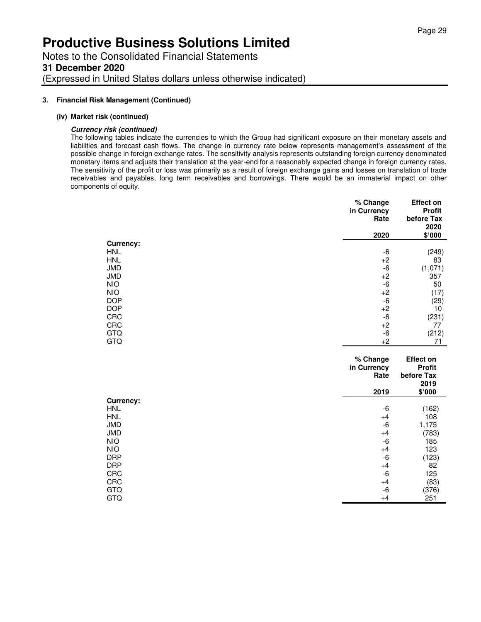Notes to the Consolidated Financial Statements **31 December 2020** 

(Expressed in United States dollars unless otherwise indicated)

### **3. Financial Risk Management (Continued)**

#### **(iv) Market risk (continued)**

### **Currency risk (continued)**

The following tables indicate the currencies to which the Group had significant exposure on their monetary assets and liabilities and forecast cash flows. The change in currency rate below represents management's assessment of the possible change in foreign exchange rates. The sensitivity analysis represents outstanding foreign currency denominated monetary items and adjusts their translation at the year-end for a reasonably expected change in foreign currency rates. The sensitivity of the profit or loss was primarily as a result of foreign exchange gains and losses on translation of trade receivables and payables, long term receivables and borrowings. There would be an immaterial impact on other components of equity.

|            | % Change<br>in Currency<br>Rate | <b>Effect on</b><br><b>Profit</b><br>before Tax<br>2020 |
|------------|---------------------------------|---------------------------------------------------------|
|            | 2020                            | \$'000                                                  |
| Currency:  |                                 |                                                         |
| <b>HNL</b> | -6                              | (249)                                                   |
| <b>HNL</b> | $+2$                            | 83                                                      |
| <b>JMD</b> | -6                              | (1,071)                                                 |
| JMD        | $+2$                            | 357                                                     |
| <b>NIO</b> | -6                              | 50                                                      |
| <b>NIO</b> | $+2$                            | (17)                                                    |
| <b>DOP</b> | -6                              | (29)                                                    |
| <b>DOP</b> | $+2$                            | 10                                                      |
| CRC        | -6                              | (231)                                                   |
| <b>CRC</b> | $+2$                            | 77                                                      |
| <b>GTQ</b> | -6                              | (212)                                                   |
| <b>GTQ</b> | $+2$                            | 71                                                      |

|                   | % Change<br>in Currency<br>Rate | <b>Effect on</b><br><b>Profit</b><br>before Tax<br>2019 |
|-------------------|---------------------------------|---------------------------------------------------------|
|                   | 2019                            | \$'000                                                  |
| Currency:         |                                 |                                                         |
| <b>HNL</b>        | -6                              | (162)                                                   |
| <b>HNL</b><br>JMD | $+4$<br>-6                      | 108<br>1,175                                            |
| JMD               |                                 |                                                         |
| <b>NIO</b>        | $+4$<br>-6                      | (783)<br>185                                            |
| <b>NIO</b>        | $+4$                            | 123                                                     |
| <b>DRP</b>        | -6                              | (123)                                                   |
| <b>DRP</b>        | $+4$                            | 82                                                      |
| <b>CRC</b>        | -6                              | 125                                                     |
| <b>CRC</b>        | $+4$                            | (83)                                                    |
| <b>GTQ</b>        | -6                              | (376)                                                   |
| <b>GTQ</b>        | $+4$                            | 251                                                     |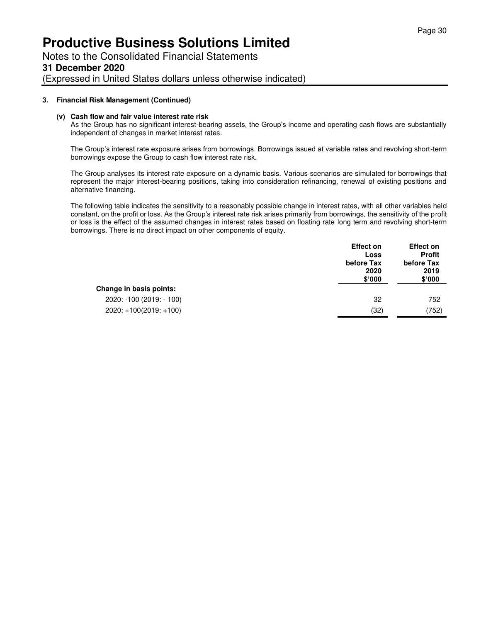Notes to the Consolidated Financial Statements **31 December 2020**  (Expressed in United States dollars unless otherwise indicated)

#### **3. Financial Risk Management (Continued)**

#### **(v) Cash flow and fair value interest rate risk**

As the Group has no significant interest-bearing assets, the Group's income and operating cash flows are substantially independent of changes in market interest rates.

The Group's interest rate exposure arises from borrowings. Borrowings issued at variable rates and revolving short-term borrowings expose the Group to cash flow interest rate risk.

The Group analyses its interest rate exposure on a dynamic basis. Various scenarios are simulated for borrowings that represent the major interest-bearing positions, taking into consideration refinancing, renewal of existing positions and alternative financing.

The following table indicates the sensitivity to a reasonably possible change in interest rates, with all other variables held constant, on the profit or loss. As the Group's interest rate risk arises primarily from borrowings, the sensitivity of the profit or loss is the effect of the assumed changes in interest rates based on floating rate long term and revolving short-term borrowings. There is no direct impact on other components of equity.

|                          | <b>Effect on</b><br>Loss<br>before Tax<br>2020<br>\$'000 | <b>Effect on</b><br><b>Profit</b><br>before Tax<br>2019<br>\$'000 |
|--------------------------|----------------------------------------------------------|-------------------------------------------------------------------|
| Change in basis points:  |                                                          |                                                                   |
| 2020: -100 (2019: -100)  | 32                                                       | 752                                                               |
| $2020: +100(2019: +100)$ | (32)                                                     | (752)                                                             |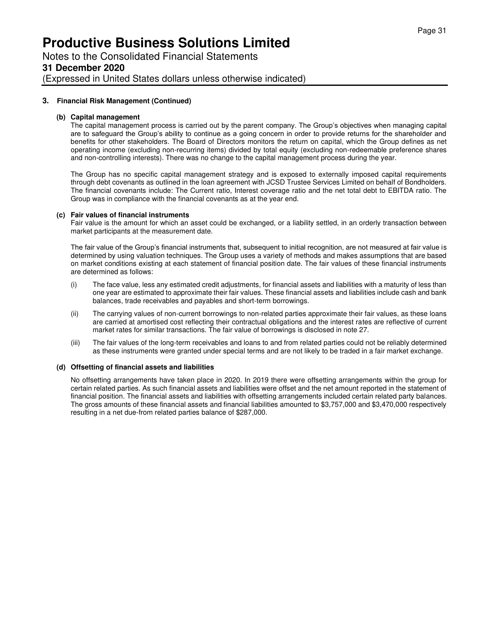Notes to the Consolidated Financial Statements **31 December 2020** 

(Expressed in United States dollars unless otherwise indicated)

### **3. Financial Risk Management (Continued)**

### **(b) Capital management**

The capital management process is carried out by the parent company. The Group's objectives when managing capital are to safeguard the Group's ability to continue as a going concern in order to provide returns for the shareholder and benefits for other stakeholders. The Board of Directors monitors the return on capital, which the Group defines as net operating income (excluding non-recurring items) divided by total equity (excluding non-redeemable preference shares and non-controlling interests). There was no change to the capital management process during the year.

The Group has no specific capital management strategy and is exposed to externally imposed capital requirements through debt covenants as outlined in the loan agreement with JCSD Trustee Services Limited on behalf of Bondholders. The financial covenants include: The Current ratio, Interest coverage ratio and the net total debt to EBITDA ratio. The Group was in compliance with the financial covenants as at the year end.

#### **(c) Fair values of financial instruments**

Fair value is the amount for which an asset could be exchanged, or a liability settled, in an orderly transaction between market participants at the measurement date.

The fair value of the Group's financial instruments that, subsequent to initial recognition, are not measured at fair value is determined by using valuation techniques. The Group uses a variety of methods and makes assumptions that are based on market conditions existing at each statement of financial position date. The fair values of these financial instruments are determined as follows:

- (i) The face value, less any estimated credit adjustments, for financial assets and liabilities with a maturity of less than one year are estimated to approximate their fair values. These financial assets and liabilities include cash and bank balances, trade receivables and payables and short-term borrowings.
- (ii) The carrying values of non-current borrowings to non-related parties approximate their fair values, as these loans are carried at amortised cost reflecting their contractual obligations and the interest rates are reflective of current market rates for similar transactions. The fair value of borrowings is disclosed in note 27.
- (iii) The fair values of the long-term receivables and loans to and from related parties could not be reliably determined as these instruments were granted under special terms and are not likely to be traded in a fair market exchange.

### **(d) Offsetting of financial assets and liabilities**

No offsetting arrangements have taken place in 2020. In 2019 there were offsetting arrangements within the group for certain related parties. As such financial assets and liabilities were offset and the net amount reported in the statement of financial position. The financial assets and liabilities with offsetting arrangements included certain related party balances. The gross amounts of these financial assets and financial liabilities amounted to \$3,757,000 and \$3,470,000 respectively resulting in a net due-from related parties balance of \$287,000.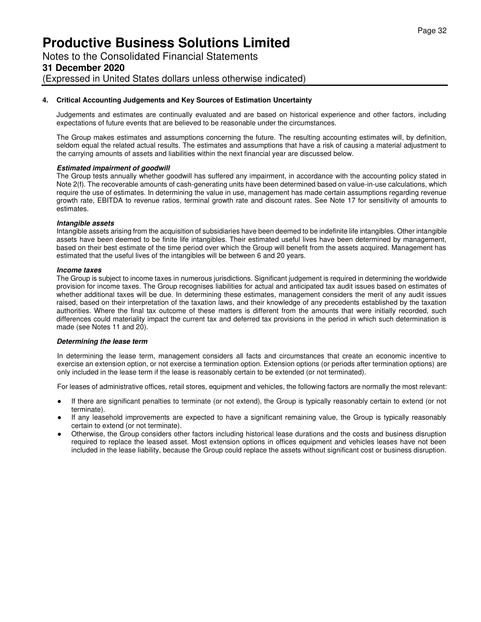Notes to the Consolidated Financial Statements **31 December 2020**  (Expressed in United States dollars unless otherwise indicated)

### **4. Critical Accounting Judgements and Key Sources of Estimation Uncertainty**

Judgements and estimates are continually evaluated and are based on historical experience and other factors, including expectations of future events that are believed to be reasonable under the circumstances.

The Group makes estimates and assumptions concerning the future. The resulting accounting estimates will, by definition, seldom equal the related actual results. The estimates and assumptions that have a risk of causing a material adjustment to the carrying amounts of assets and liabilities within the next financial year are discussed below.

#### **Estimated impairment of goodwill**

The Group tests annually whether goodwill has suffered any impairment, in accordance with the accounting policy stated in Note 2(f). The recoverable amounts of cash-generating units have been determined based on value-in-use calculations, which require the use of estimates. In determining the value in use, management has made certain assumptions regarding revenue growth rate, EBITDA to revenue ratios, terminal growth rate and discount rates. See Note 17 for sensitivity of amounts to estimates.

#### **Intangible assets**

Intangible assets arising from the acquisition of subsidiaries have been deemed to be indefinite life intangibles. Other intangible assets have been deemed to be finite life intangibles. Their estimated useful lives have been determined by management, based on their best estimate of the time period over which the Group will benefit from the assets acquired. Management has estimated that the useful lives of the intangibles will be between 6 and 20 years.

#### **Income taxes**

The Group is subject to income taxes in numerous jurisdictions. Significant judgement is required in determining the worldwide provision for income taxes. The Group recognises liabilities for actual and anticipated tax audit issues based on estimates of whether additional taxes will be due. In determining these estimates, management considers the merit of any audit issues raised, based on their interpretation of the taxation laws, and their knowledge of any precedents established by the taxation authorities. Where the final tax outcome of these matters is different from the amounts that were initially recorded, such differences could materiality impact the current tax and deferred tax provisions in the period in which such determination is made (see Notes 11 and 20).

#### **Determining the lease term**

In determining the lease term, management considers all facts and circumstances that create an economic incentive to exercise an extension option, or not exercise a termination option. Extension options (or periods after termination options) are only included in the lease term if the lease is reasonably certain to be extended (or not terminated).

For leases of administrative offices, retail stores, equipment and vehicles, the following factors are normally the most relevant:

- If there are significant penalties to terminate (or not extend), the Group is typically reasonably certain to extend (or not terminate).
- If any leasehold improvements are expected to have a significant remaining value, the Group is typically reasonably certain to extend (or not terminate).
- Otherwise, the Group considers other factors including historical lease durations and the costs and business disruption required to replace the leased asset. Most extension options in offices equipment and vehicles leases have not been included in the lease liability, because the Group could replace the assets without significant cost or business disruption.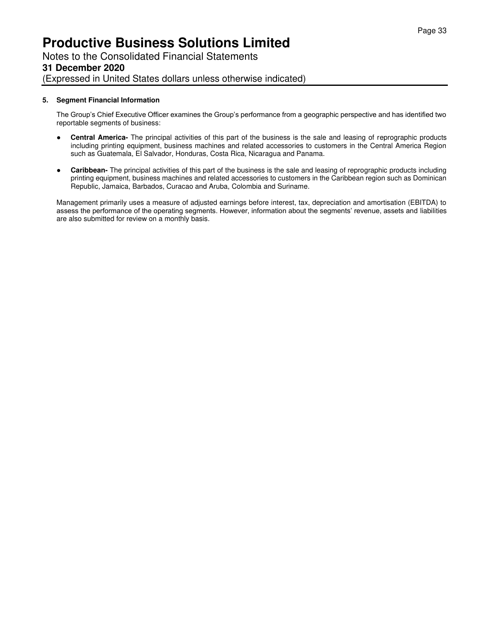Notes to the Consolidated Financial Statements **31 December 2020**  (Expressed in United States dollars unless otherwise indicated)

### **5. Segment Financial Information**

The Group's Chief Executive Officer examines the Group's performance from a geographic perspective and has identified two reportable segments of business:

- **Central America-** The principal activities of this part of the business is the sale and leasing of reprographic products including printing equipment, business machines and related accessories to customers in the Central America Region such as Guatemala, El Salvador, Honduras, Costa Rica, Nicaragua and Panama.
- **Caribbean-** The principal activities of this part of the business is the sale and leasing of reprographic products including printing equipment, business machines and related accessories to customers in the Caribbean region such as Dominican Republic, Jamaica, Barbados, Curacao and Aruba, Colombia and Suriname.

Management primarily uses a measure of adjusted earnings before interest, tax, depreciation and amortisation (EBITDA) to assess the performance of the operating segments. However, information about the segments' revenue, assets and liabilities are also submitted for review on a monthly basis.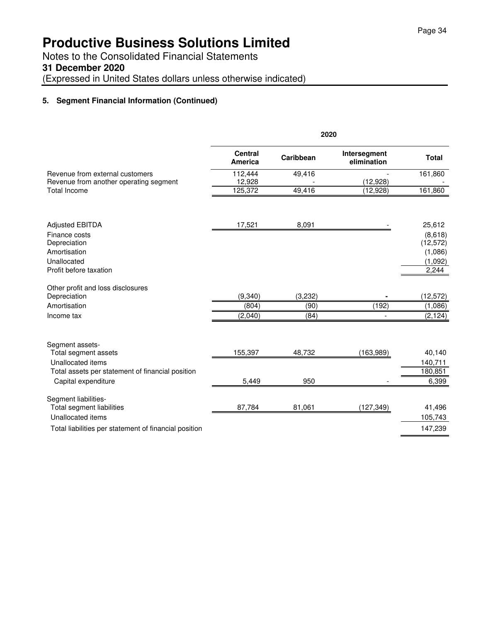Notes to the Consolidated Financial Statements **31 December 2020**  (Expressed in United States dollars unless otherwise indicated)

# **5. Segment Financial Information (Continued)**

|                                                       |                                  | 2020      |                             |              |
|-------------------------------------------------------|----------------------------------|-----------|-----------------------------|--------------|
|                                                       | <b>Central</b><br><b>America</b> | Caribbean | Intersegment<br>elimination | <b>Total</b> |
| Revenue from external customers                       | 112,444                          | 49,416    |                             | 161,860      |
| Revenue from another operating segment                | 12,928                           |           | (12, 928)                   |              |
| <b>Total Income</b>                                   | 125,372                          | 49,416    | (12,928)                    | 161,860      |
| <b>Adjusted EBITDA</b>                                | 17,521                           | 8,091     |                             | 25,612       |
| Finance costs                                         |                                  |           |                             | (8,618)      |
| Depreciation                                          |                                  |           |                             | (12, 572)    |
| Amortisation                                          |                                  |           |                             | (1,086)      |
| Unallocated                                           |                                  |           |                             | (1,092)      |
| Profit before taxation                                |                                  |           |                             | 2,244        |
| Other profit and loss disclosures                     |                                  |           |                             |              |
| Depreciation                                          | (9, 340)                         | (3,232)   |                             | (12, 572)    |
| Amortisation                                          | (804)                            | (90)      | (192)                       | (1,086)      |
| Income tax                                            | (2,040)                          | (84)      |                             | (2, 124)     |
| Segment assets-                                       |                                  |           |                             |              |
| Total segment assets                                  | 155,397                          | 48,732    | (163,989)                   | 40,140       |
| Unallocated items                                     |                                  |           |                             | 140,711      |
| Total assets per statement of financial position      |                                  |           |                             | 180,851      |
| Capital expenditure                                   | 5,449                            | 950       |                             | 6,399        |
| Segment liabilities-                                  |                                  |           |                             |              |
| Total segment liabilities                             | 87,784                           | 81,061    | (127, 349)                  | 41,496       |
| Unallocated items                                     |                                  |           |                             | 105,743      |
| Total liabilities per statement of financial position |                                  |           |                             | 147,239      |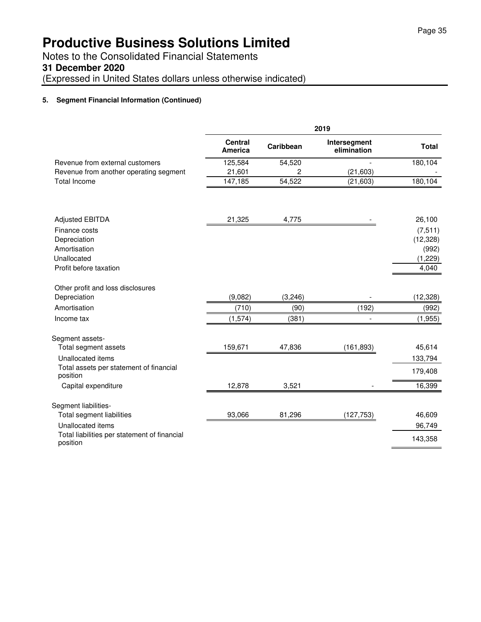Notes to the Consolidated Financial Statements **31 December 2020**  (Expressed in United States dollars unless otherwise indicated)

## **5. Segment Financial Information (Continued)**

|                                                          |                                  |           | 2019                        |              |
|----------------------------------------------------------|----------------------------------|-----------|-----------------------------|--------------|
|                                                          | <b>Central</b><br><b>America</b> | Caribbean | Intersegment<br>elimination | <b>Total</b> |
| Revenue from external customers                          | 125,584                          | 54,520    |                             | 180,104      |
| Revenue from another operating segment                   | 21,601                           | 2         | (21, 603)                   |              |
| <b>Total Income</b>                                      | 147,185                          | 54,522    | (21, 603)                   | 180,104      |
| <b>Adjusted EBITDA</b>                                   | 21,325                           | 4,775     |                             | 26,100       |
| Finance costs                                            |                                  |           |                             | (7, 511)     |
| Depreciation                                             |                                  |           |                             | (12, 328)    |
| Amortisation                                             |                                  |           |                             | (992)        |
| Unallocated                                              |                                  |           |                             | (1, 229)     |
| Profit before taxation                                   |                                  |           |                             | 4,040        |
| Other profit and loss disclosures                        |                                  |           |                             |              |
| Depreciation                                             | (9,082)                          | (3, 246)  |                             | (12, 328)    |
| Amortisation                                             | (710)                            | (90)      | (192)                       | (992)        |
| Income tax                                               | (1, 574)                         | (381)     |                             | (1, 955)     |
| Segment assets-                                          |                                  |           |                             |              |
| Total segment assets                                     | 159,671                          | 47,836    | (161, 893)                  | 45,614       |
| Unallocated items                                        |                                  |           |                             | 133,794      |
| Total assets per statement of financial<br>position      |                                  |           |                             | 179,408      |
| Capital expenditure                                      | 12,878                           | 3,521     |                             | 16,399       |
| Segment liabilities-                                     |                                  |           |                             |              |
| Total segment liabilities                                | 93,066                           | 81,296    | (127, 753)                  | 46,609       |
| Unallocated items                                        |                                  |           |                             | 96,749       |
| Total liabilities per statement of financial<br>position |                                  |           |                             | 143,358      |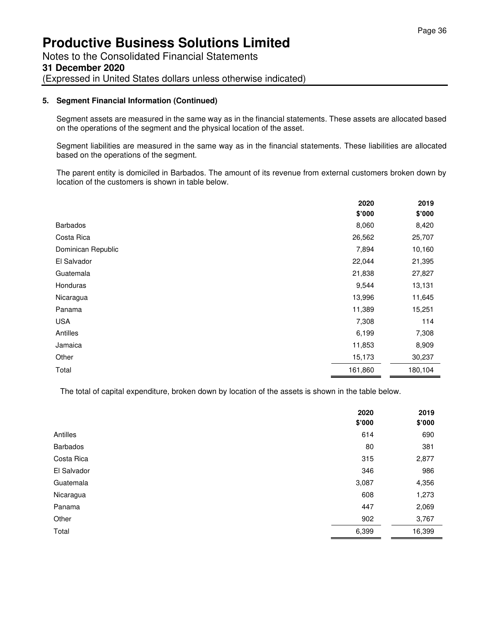Notes to the Consolidated Financial Statements **31 December 2020**  (Expressed in United States dollars unless otherwise indicated)

## **5. Segment Financial Information (Continued)**

Segment assets are measured in the same way as in the financial statements. These assets are allocated based on the operations of the segment and the physical location of the asset.

Segment liabilities are measured in the same way as in the financial statements. These liabilities are allocated based on the operations of the segment.

The parent entity is domiciled in Barbados. The amount of its revenue from external customers broken down by location of the customers is shown in table below.

|                    | 2020<br>\$'000 | 2019<br>\$'000 |
|--------------------|----------------|----------------|
| <b>Barbados</b>    | 8,060          | 8,420          |
|                    |                |                |
| Costa Rica         | 26,562         | 25,707         |
| Dominican Republic | 7,894          | 10,160         |
| El Salvador        | 22,044         | 21,395         |
| Guatemala          | 21,838         | 27,827         |
| Honduras           | 9,544          | 13,131         |
| Nicaragua          | 13,996         | 11,645         |
| Panama             | 11,389         | 15,251         |
| <b>USA</b>         | 7,308          | 114            |
| Antilles           | 6,199          | 7,308          |
| Jamaica            | 11,853         | 8,909          |
| Other              | 15,173         | 30,237         |
| Total              | 161,860        | 180,104        |

The total of capital expenditure, broken down by location of the assets is shown in the table below.

|                 | 2020<br>\$'000 | 2019<br>\$'000 |
|-----------------|----------------|----------------|
| Antilles        | 614            | 690            |
| <b>Barbados</b> | 80             | 381            |
| Costa Rica      | 315            | 2,877          |
| El Salvador     | 346            | 986            |
| Guatemala       | 3,087          | 4,356          |
| Nicaragua       | 608            | 1,273          |
| Panama          | 447            | 2,069          |
| Other           | 902            | 3,767          |
| Total           | 6,399          | 16,399         |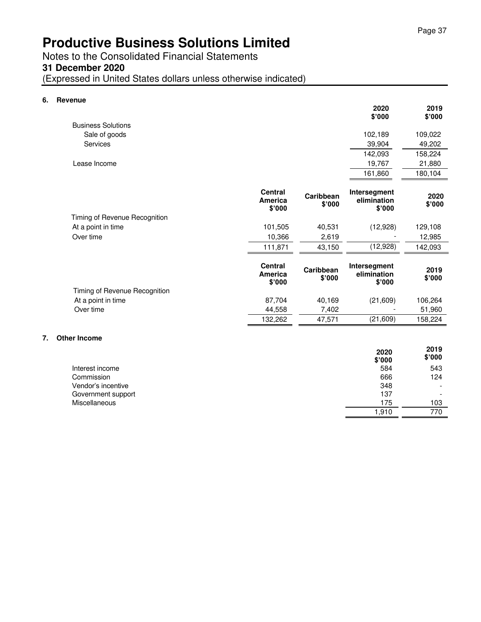Notes to the Consolidated Financial Statements

## **31 December 2020**

(Expressed in United States dollars unless otherwise indicated)

## **6. Revenue**

|    |                               |                                            |                     | 2020<br>\$'000                        | 2019<br>\$'000 |
|----|-------------------------------|--------------------------------------------|---------------------|---------------------------------------|----------------|
|    | <b>Business Solutions</b>     |                                            |                     |                                       |                |
|    | Sale of goods                 |                                            |                     | 102,189                               | 109,022        |
|    | <b>Services</b>               |                                            |                     | 39,904                                | 49,202         |
|    |                               |                                            |                     | 142,093                               | 158,224        |
|    | Lease Income                  |                                            |                     | 19,767                                | 21,880         |
|    |                               |                                            |                     | 161,860                               | 180,104        |
|    |                               | <b>Central</b><br><b>America</b><br>\$'000 | Caribbean<br>\$'000 | Intersegment<br>elimination<br>\$'000 | 2020<br>\$'000 |
|    | Timing of Revenue Recognition |                                            |                     |                                       |                |
|    | At a point in time            | 101,505                                    | 40,531              | (12, 928)                             | 129,108        |
|    | Over time                     | 10,366                                     | 2,619               |                                       | 12,985         |
|    |                               | 111,871                                    | 43,150              | (12, 928)                             | 142,093        |
|    |                               | <b>Central</b><br><b>America</b>           | Caribbean<br>\$'000 | Intersegment<br>elimination           | 2019<br>\$'000 |
|    |                               | \$'000                                     |                     | \$'000                                |                |
|    | Timing of Revenue Recognition |                                            |                     |                                       |                |
|    | At a point in time            | 87,704                                     | 40,169              | (21,609)                              | 106,264        |
|    | Over time                     | 44,558                                     | 7,402               |                                       | 51,960         |
|    |                               | 132,262                                    | 47,571              | (21, 609)                             | 158,224        |
| 7. | <b>Other Income</b>           |                                            |                     |                                       |                |
|    |                               |                                            |                     | 2020<br>\$'000                        | 2019<br>\$'000 |
|    | Interest income               |                                            |                     | 584                                   | 543            |
|    | Commission                    |                                            |                     | 666                                   | 124            |
|    | Vendor's incentive            |                                            |                     | 348                                   |                |
|    | Government support            |                                            |                     | 137                                   |                |
|    | Miscellaneous                 |                                            |                     | 175<br>1,910                          | 103<br>770     |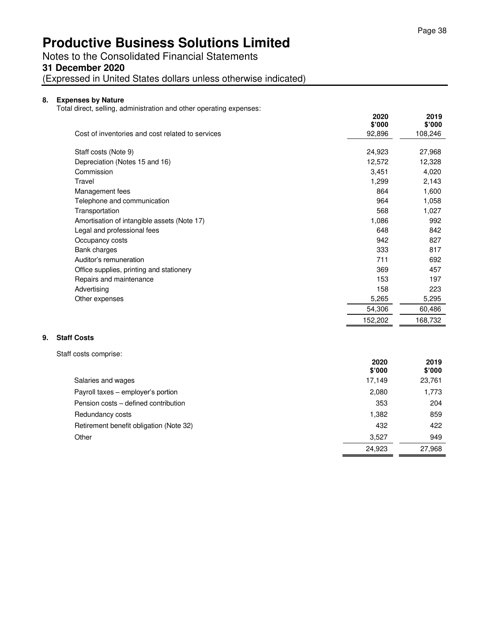# **Productive Business Solutions Limited**

Notes to the Consolidated Financial Statements

**31 December 2020** 

(Expressed in United States dollars unless otherwise indicated)

## **8. Expenses by Nature**

Total direct, selling, administration and other operating expenses:

|                                                  | 2020<br>\$'000 | 2019<br>\$'000 |
|--------------------------------------------------|----------------|----------------|
| Cost of inventories and cost related to services | 92,896         | 108,246        |
| Staff costs (Note 9)                             | 24,923         | 27,968         |
| Depreciation (Notes 15 and 16)                   | 12,572         | 12,328         |
| Commission                                       | 3,451          | 4,020          |
| Travel                                           | 1,299          | 2,143          |
| Management fees                                  | 864            | 1,600          |
| Telephone and communication                      | 964            | 1,058          |
| Transportation                                   | 568            | 1,027          |
| Amortisation of intangible assets (Note 17)      | 1,086          | 992            |
| Legal and professional fees                      | 648            | 842            |
| Occupancy costs                                  | 942            | 827            |
| Bank charges                                     | 333            | 817            |
| Auditor's remuneration                           | 711            | 692            |
| Office supplies, printing and stationery         | 369            | 457            |
| Repairs and maintenance                          | 153            | 197            |
| Advertising                                      | 158            | 223            |
| Other expenses                                   | 5,265          | 5,295          |
|                                                  | 54,306         | 60,486         |
|                                                  | 152,202        | 168,732        |
|                                                  |                |                |

## **9. Staff Costs**

Staff costs comprise:

|                                         | 2020<br>\$'000 | 2019<br>\$'000 |
|-----------------------------------------|----------------|----------------|
| Salaries and wages                      | 17,149         | 23,761         |
| Payroll taxes – employer's portion      | 2,080          | 1,773          |
| Pension costs – defined contribution    | 353            | 204            |
| Redundancy costs                        | 1,382          | 859            |
| Retirement benefit obligation (Note 32) | 432            | 422            |
| Other                                   | 3.527          | 949            |
|                                         | 24,923         | 27,968         |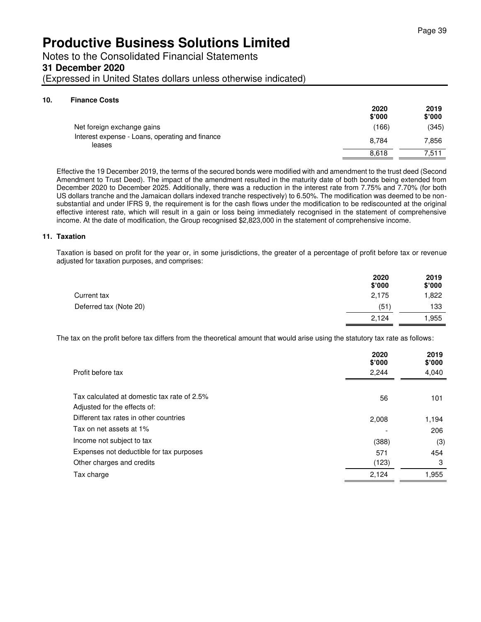Notes to the Consolidated Financial Statements **31 December 2020** 

(Expressed in United States dollars unless otherwise indicated)

### **10. Finance Costs**

|                                                           | 2020<br>\$'000 | 2019<br>\$'000 |
|-----------------------------------------------------------|----------------|----------------|
| Net foreign exchange gains                                | (166)          | (345)          |
| Interest expense - Loans, operating and finance<br>leases | 8.784          | 7,856          |
|                                                           | 8.618          | 7.511          |

Effective the 19 December 2019, the terms of the secured bonds were modified with and amendment to the trust deed (Second Amendment to Trust Deed). The impact of the amendment resulted in the maturity date of both bonds being extended from December 2020 to December 2025. Additionally, there was a reduction in the interest rate from 7.75% and 7.70% (for both US dollars tranche and the Jamaican dollars indexed tranche respectively) to 6.50%. The modification was deemed to be nonsubstantial and under IFRS 9, the requirement is for the cash flows under the modification to be rediscounted at the original effective interest rate, which will result in a gain or loss being immediately recognised in the statement of comprehensive income. At the date of modification, the Group recognised \$2,823,000 in the statement of comprehensive income.

#### **11. Taxation**

Taxation is based on profit for the year or, in some jurisdictions, the greater of a percentage of profit before tax or revenue adjusted for taxation purposes, and comprises:

|                        | 2020<br>\$'000 | 2019<br>\$'000 |
|------------------------|----------------|----------------|
| Current tax            | 2,175          | 1,822          |
| Deferred tax (Note 20) | (51            | 133            |
|                        | 2,124          | 955. ا         |

The tax on the profit before tax differs from the theoretical amount that would arise using the statutory tax rate as follows:

| Profit before tax                                                           | 2020<br>\$'000<br>2,244 | 2019<br>\$'000<br>4,040 |
|-----------------------------------------------------------------------------|-------------------------|-------------------------|
|                                                                             |                         |                         |
| Tax calculated at domestic tax rate of 2.5%<br>Adjusted for the effects of: | 56                      | 101                     |
| Different tax rates in other countries                                      | 2,008                   | 1,194                   |
| Tax on net assets at 1%                                                     |                         | 206                     |
| Income not subject to tax                                                   | (388)                   | (3)                     |
| Expenses not deductible for tax purposes                                    | 571                     | 454                     |
| Other charges and credits                                                   | (123)                   | 3                       |
| Tax charge                                                                  | 2,124                   | 1,955                   |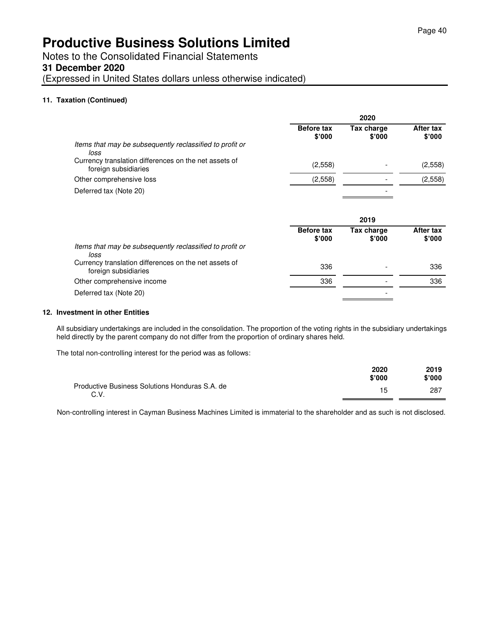Notes to the Consolidated Financial Statements

## **31 December 2020**

(Expressed in United States dollars unless otherwise indicated)

## **11. Taxation (Continued)**

|                                                                               | 2020                        |                      |                            |
|-------------------------------------------------------------------------------|-----------------------------|----------------------|----------------------------|
|                                                                               | <b>Before tax</b><br>\$'000 | Tax charge<br>\$'000 | <b>After tax</b><br>\$'000 |
| Items that may be subsequently reclassified to profit or<br>loss              |                             |                      |                            |
| Currency translation differences on the net assets of<br>foreign subsidiaries | (2,558)                     |                      | (2,558)                    |
| Other comprehensive loss                                                      | (2,558)                     |                      | (2, 558)                   |
| Deferred tax (Note 20)                                                        |                             |                      |                            |

|                                                                               | 2019                        |                      |                     |
|-------------------------------------------------------------------------------|-----------------------------|----------------------|---------------------|
|                                                                               | <b>Before tax</b><br>\$'000 | Tax charge<br>\$'000 | After tax<br>\$'000 |
| Items that may be subsequently reclassified to profit or<br>loss              |                             |                      |                     |
| Currency translation differences on the net assets of<br>foreign subsidiaries | 336                         |                      | 336                 |
| Other comprehensive income                                                    | 336                         |                      | 336                 |
| Deferred tax (Note 20)                                                        |                             |                      |                     |

#### **12. Investment in other Entities**

All subsidiary undertakings are included in the consolidation. The proportion of the voting rights in the subsidiary undertakings held directly by the parent company do not differ from the proportion of ordinary shares held.

The total non-controlling interest for the period was as follows:

|                                                        | 2020<br>\$'000 | 2019<br>\$'000 |
|--------------------------------------------------------|----------------|----------------|
| Productive Business Solutions Honduras S.A. de<br>C.V. |                | 287            |

Non-controlling interest in Cayman Business Machines Limited is immaterial to the shareholder and as such is not disclosed.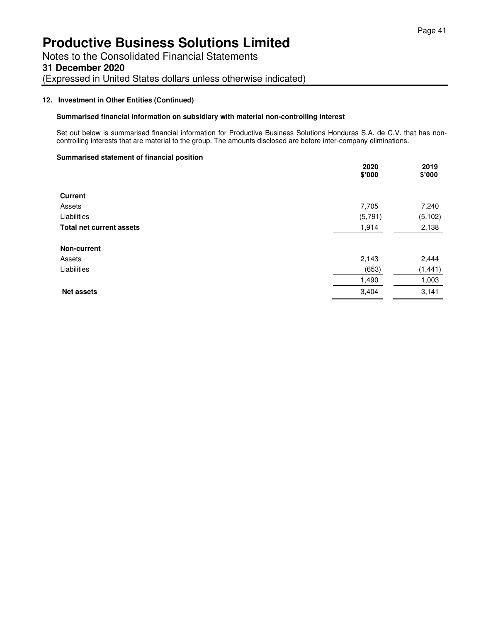Notes to the Consolidated Financial Statements **31 December 2020**  (Expressed in United States dollars unless otherwise indicated)

#### **12. Investment in Other Entities (Continued)**

### **Summarised financial information on subsidiary with material non-controlling interest**

Set out below is summarised financial information for Productive Business Solutions Honduras S.A. de C.V. that has noncontrolling interests that are material to the group. The amounts disclosed are before inter-company eliminations.

#### **Summarised statement of financial position**

|                                 | 2020<br>\$'000 | 2019<br>\$'000 |
|---------------------------------|----------------|----------------|
| <b>Current</b>                  |                |                |
| Assets                          | 7,705          | 7,240          |
| Liabilities                     | (5,791)        | (5, 102)       |
| <b>Total net current assets</b> | 1,914          | 2,138          |
| Non-current                     |                |                |
| Assets                          | 2,143          | 2,444          |
| Liabilities                     | (653)          | (1, 441)       |
|                                 | 1,490          | 1,003          |
| <b>Net assets</b>               | 3,404          | 3,141          |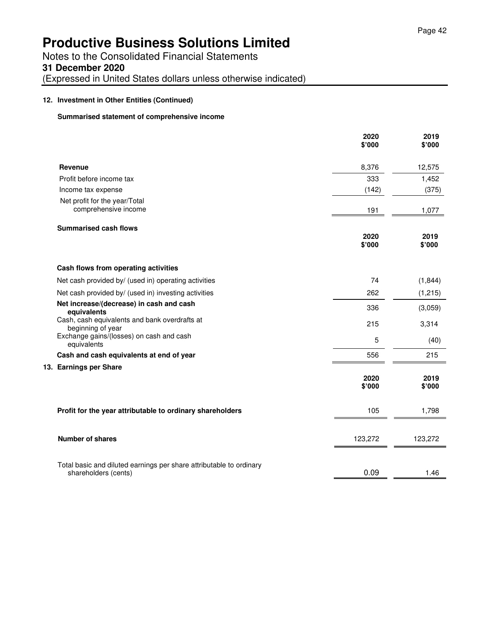Notes to the Consolidated Financial Statements **31 December 2020** 

(Expressed in United States dollars unless otherwise indicated)

## **12. Investment in Other Entities (Continued)**

## **Summarised statement of comprehensive income**

|                                                                                             | 2020<br>\$'000 | 2019<br>\$'000 |
|---------------------------------------------------------------------------------------------|----------------|----------------|
| <b>Revenue</b>                                                                              | 8,376          | 12,575         |
| Profit before income tax                                                                    | 333            | 1,452          |
| Income tax expense                                                                          | (142)          | (375)          |
| Net profit for the year/Total<br>comprehensive income                                       | 191            | 1,077          |
| <b>Summarised cash flows</b>                                                                | 2020<br>\$'000 | 2019<br>\$'000 |
| Cash flows from operating activities                                                        |                |                |
| Net cash provided by/ (used in) operating activities                                        | 74             | (1, 844)       |
| Net cash provided by/ (used in) investing activities                                        | 262            | (1,215)        |
| Net increase/(decrease) in cash and cash<br>equivalents                                     | 336            | (3,059)        |
| Cash, cash equivalents and bank overdrafts at<br>beginning of year                          | 215            | 3,314          |
| Exchange gains/(losses) on cash and cash<br>equivalents                                     | 5              | (40)           |
| Cash and cash equivalents at end of year                                                    | 556            | 215            |
| 13. Earnings per Share                                                                      |                |                |
|                                                                                             | 2020<br>\$'000 | 2019<br>\$'000 |
| Profit for the year attributable to ordinary shareholders                                   | 105            | 1,798          |
| <b>Number of shares</b>                                                                     | 123,272        | 123,272        |
| Total basic and diluted earnings per share attributable to ordinary<br>shareholders (cents) | 0.09           | 1.46           |
|                                                                                             |                |                |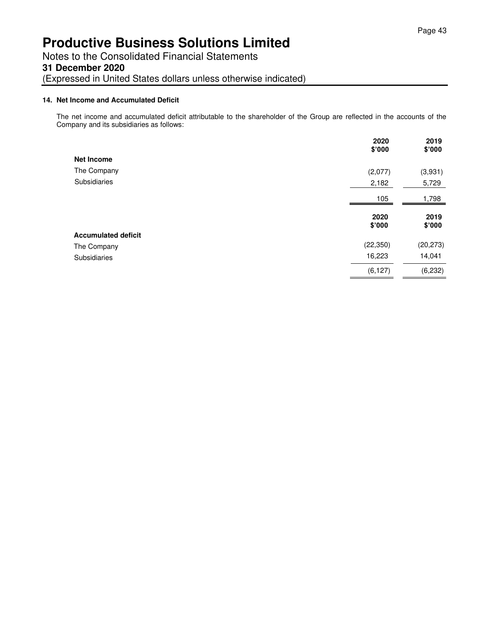Notes to the Consolidated Financial Statements **31 December 2020**  (Expressed in United States dollars unless otherwise indicated)

### **14. Net Income and Accumulated Deficit**

The net income and accumulated deficit attributable to the shareholder of the Group are reflected in the accounts of the Company and its subsidiaries as follows:

|                            | 2020<br>\$'000 | 2019<br>\$'000 |
|----------------------------|----------------|----------------|
| <b>Net Income</b>          |                |                |
| The Company                | (2,077)        | (3,931)        |
| <b>Subsidiaries</b>        | 2,182          | 5,729          |
|                            | 105            | 1,798          |
|                            | 2020<br>\$'000 | 2019<br>\$'000 |
| <b>Accumulated deficit</b> |                |                |
| The Company                | (22, 350)      | (20, 273)      |
| <b>Subsidiaries</b>        | 16,223         | 14,041         |
|                            |                |                |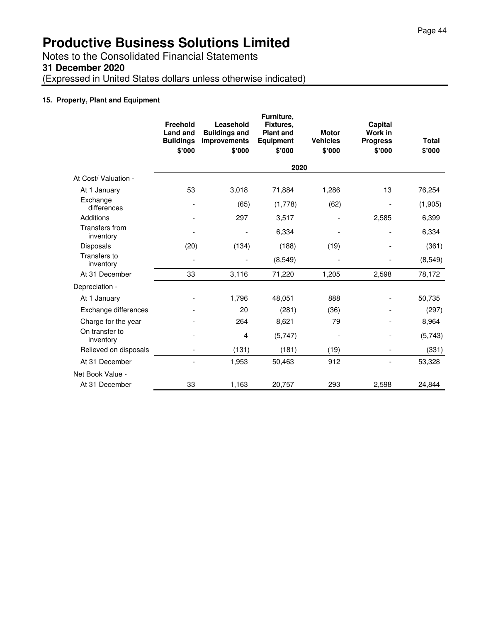Notes to the Consolidated Financial Statements

**31 December 2020** 

(Expressed in United States dollars unless otherwise indicated)

## **15. Property, Plant and Equipment**

|                             | Freehold<br><b>Land and</b><br><b>Buildings</b><br>\$'000 | Leasehold<br><b>Buildings and</b><br><b>Improvements</b><br>\$'000 | Furniture,<br>Fixtures.<br><b>Plant and</b><br><b>Equipment</b><br>\$'000 | <b>Motor</b><br><b>Vehicles</b><br>\$'000 | Capital<br>Work in<br><b>Progress</b><br>\$'000 | <b>Total</b><br>\$'000 |
|-----------------------------|-----------------------------------------------------------|--------------------------------------------------------------------|---------------------------------------------------------------------------|-------------------------------------------|-------------------------------------------------|------------------------|
|                             |                                                           |                                                                    | 2020                                                                      |                                           |                                                 |                        |
| At Cost/ Valuation -        |                                                           |                                                                    |                                                                           |                                           |                                                 |                        |
| At 1 January                | 53                                                        | 3,018                                                              | 71,884                                                                    | 1,286                                     | 13                                              | 76,254                 |
| Exchange<br>differences     | $\overline{\phantom{a}}$                                  | (65)                                                               | (1,778)                                                                   | (62)                                      |                                                 | (1,905)                |
| Additions                   |                                                           | 297                                                                | 3,517                                                                     |                                           | 2,585                                           | 6,399                  |
| Transfers from<br>inventory |                                                           |                                                                    | 6,334                                                                     |                                           |                                                 | 6,334                  |
| <b>Disposals</b>            | (20)                                                      | (134)                                                              | (188)                                                                     | (19)                                      |                                                 | (361)                  |
| Transfers to<br>inventory   |                                                           | $\overline{\phantom{a}}$                                           | (8, 549)                                                                  |                                           |                                                 | (8, 549)               |
| At 31 December              | 33                                                        | 3,116                                                              | 71,220                                                                    | 1,205                                     | 2,598                                           | 78,172                 |
| Depreciation -              |                                                           |                                                                    |                                                                           |                                           |                                                 |                        |
| At 1 January                |                                                           | 1,796                                                              | 48,051                                                                    | 888                                       |                                                 | 50,735                 |
| Exchange differences        |                                                           | 20                                                                 | (281)                                                                     | (36)                                      |                                                 | (297)                  |
| Charge for the year         |                                                           | 264                                                                | 8,621                                                                     | 79                                        |                                                 | 8,964                  |
| On transfer to<br>inventory |                                                           | 4                                                                  | (5,747)                                                                   |                                           |                                                 | (5,743)                |
| Relieved on disposals       |                                                           | (131)                                                              | (181)                                                                     | (19)                                      | $\overline{\phantom{a}}$                        | (331)                  |
| At 31 December              |                                                           | 1,953                                                              | 50,463                                                                    | 912                                       |                                                 | 53,328                 |
| Net Book Value -            |                                                           |                                                                    |                                                                           |                                           |                                                 |                        |
| At 31 December              | 33                                                        | 1,163                                                              | 20,757                                                                    | 293                                       | 2,598                                           | 24,844                 |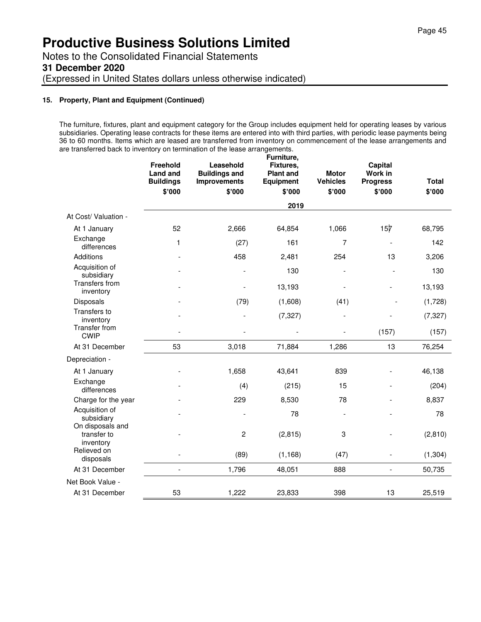Notes to the Consolidated Financial Statements **31 December 2020**  (Expressed in United States dollars unless otherwise indicated)

### **15. Property, Plant and Equipment (Continued)**

The furniture, fixtures, plant and equipment category for the Group includes equipment held for operating leases by various subsidiaries. Operating lease contracts for these items are entered into with third parties, with periodic lease payments being 36 to 60 months. Items which are leased are transferred from inventory on commencement of the lease arrangements and are transferred back to inventory on termination of the lease arrangements.

|                                                | Freehold<br><b>Land and</b><br><b>Buildings</b><br>\$'000 | Leasehold<br><b>Buildings and</b><br>Improvements<br>\$'000 | Furniture,<br>Fixtures,<br><b>Plant and</b><br><b>Equipment</b><br>\$'000 | <b>Motor</b><br><b>Vehicles</b><br>\$'000 | Capital<br>Work in<br><b>Progress</b><br>\$'000 | <b>Total</b><br>\$'000 |
|------------------------------------------------|-----------------------------------------------------------|-------------------------------------------------------------|---------------------------------------------------------------------------|-------------------------------------------|-------------------------------------------------|------------------------|
|                                                |                                                           |                                                             | 2019                                                                      |                                           |                                                 |                        |
| At Cost/ Valuation -                           |                                                           |                                                             |                                                                           |                                           |                                                 |                        |
| At 1 January                                   | 52                                                        | 2,666                                                       | 64,854                                                                    | 1,066                                     | 15 <sup>7</sup>                                 | 68,795                 |
| Exchange<br>differences                        | $\mathbf{1}$                                              | (27)                                                        | 161                                                                       | $\overline{7}$                            |                                                 | 142                    |
| <b>Additions</b>                               |                                                           | 458                                                         | 2,481                                                                     | 254                                       | 13                                              | 3,206                  |
| Acquisition of<br>subsidiary<br>Transfers from |                                                           |                                                             | 130                                                                       | $\overline{a}$                            |                                                 | 130                    |
| inventory                                      |                                                           |                                                             | 13,193                                                                    |                                           |                                                 | 13,193                 |
| Disposals                                      |                                                           | (79)                                                        | (1,608)                                                                   | (41)                                      |                                                 | (1,728)                |
| Transfers to<br>inventory                      |                                                           |                                                             | (7, 327)                                                                  |                                           |                                                 | (7, 327)               |
| Transfer from<br><b>CWIP</b>                   |                                                           |                                                             |                                                                           | $\overline{a}$                            | (157)                                           | (157)                  |
| At 31 December                                 | 53                                                        | 3,018                                                       | 71,884                                                                    | 1,286                                     | 13                                              | 76,254                 |
| Depreciation -                                 |                                                           |                                                             |                                                                           |                                           |                                                 |                        |
| At 1 January                                   |                                                           | 1,658                                                       | 43,641                                                                    | 839                                       |                                                 | 46,138                 |
| Exchange<br>differences                        |                                                           | (4)                                                         | (215)                                                                     | 15                                        | $\overline{a}$                                  | (204)                  |
| Charge for the year                            |                                                           | 229                                                         | 8,530                                                                     | 78                                        |                                                 | 8,837                  |
| Acquisition of<br>subsidiary                   |                                                           | $\overline{\phantom{a}}$                                    | 78                                                                        | $\overline{\phantom{a}}$                  | $\blacksquare$                                  | 78                     |
| On disposals and<br>transfer to<br>inventory   |                                                           | $\overline{c}$                                              | (2, 815)                                                                  | 3                                         | $\overline{a}$                                  | (2,810)                |
| Relieved on<br>disposals                       |                                                           | (89)                                                        | (1, 168)                                                                  | (47)                                      | $\overline{\phantom{a}}$                        | (1, 304)               |
| At 31 December                                 | $\blacksquare$                                            | 1,796                                                       | 48,051                                                                    | 888                                       | $\blacksquare$                                  | 50,735                 |
| Net Book Value -                               |                                                           |                                                             |                                                                           |                                           |                                                 |                        |
| At 31 December                                 | 53                                                        | 1,222                                                       | 23,833                                                                    | 398                                       | 13                                              | 25,519                 |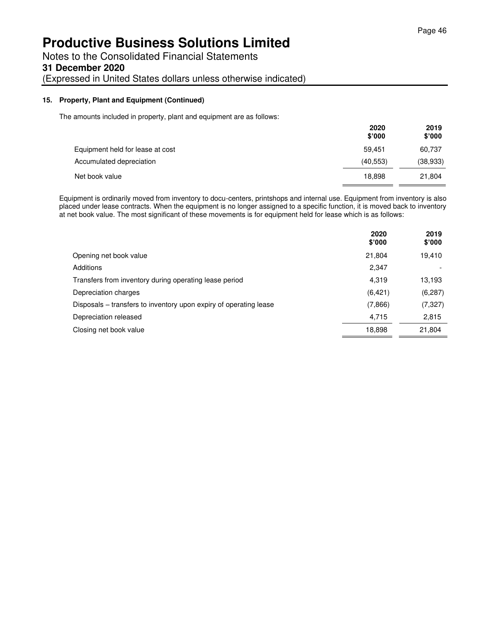Notes to the Consolidated Financial Statements **31 December 2020** 

(Expressed in United States dollars unless otherwise indicated)

### **15. Property, Plant and Equipment (Continued)**

The amounts included in property, plant and equipment are as follows:

|                                  | 2020<br>\$'000 | 2019<br>\$'000 |
|----------------------------------|----------------|----------------|
| Equipment held for lease at cost | 59.451         | 60,737         |
| Accumulated depreciation         | (40, 553)      | (38, 933)      |
| Net book value                   | 18.898         | 21,804         |

Equipment is ordinarily moved from inventory to docu-centers, printshops and internal use. Equipment from inventory is also placed under lease contracts. When the equipment is no longer assigned to a specific function, it is moved back to inventory at net book value. The most significant of these movements is for equipment held for lease which is as follows:

|                                                                   | 2020<br>\$'000 | 2019<br>\$'000 |
|-------------------------------------------------------------------|----------------|----------------|
| Opening net book value                                            | 21,804         | 19,410         |
| Additions                                                         | 2,347          |                |
| Transfers from inventory during operating lease period            | 4,319          | 13,193         |
| Depreciation charges                                              | (6, 421)       | (6,287)        |
| Disposals – transfers to inventory upon expiry of operating lease | (7,866)        | (7, 327)       |
| Depreciation released                                             | 4,715          | 2,815          |
| Closing net book value                                            | 18,898         | 21,804         |
|                                                                   |                |                |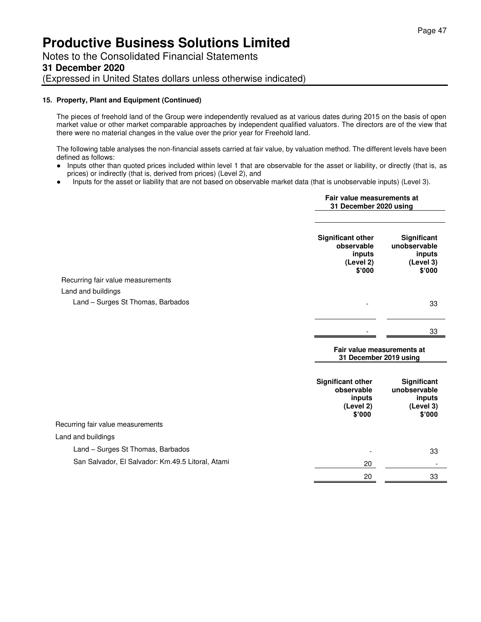Notes to the Consolidated Financial Statements **31 December 2020**  (Expressed in United States dollars unless otherwise indicated)

### **15. Property, Plant and Equipment (Continued)**

The pieces of freehold land of the Group were independently revalued as at various dates during 2015 on the basis of open market value or other market comparable approaches by independent qualified valuators. The directors are of the view that there were no material changes in the value over the prior year for Freehold land.

The following table analyses the non-financial assets carried at fair value, by valuation method. The different levels have been defined as follows:

- Inputs other than quoted prices included within level 1 that are observable for the asset or liability, or directly (that is, as prices) or indirectly (that is, derived from prices) (Level 2), and
- Inputs for the asset or liability that are not based on observable market data (that is unobservable inputs) (Level 3).

|                                   | Fair value measurements at<br>31 December 2020 using                    |                                                              |  |
|-----------------------------------|-------------------------------------------------------------------------|--------------------------------------------------------------|--|
|                                   | <b>Significant other</b><br>observable<br>inputs<br>(Level 2)<br>\$'000 | Significant<br>unobservable<br>inputs<br>(Level 3)<br>\$'000 |  |
| Recurring fair value measurements |                                                                         |                                                              |  |
| Land and buildings                |                                                                         |                                                              |  |
| Land - Surges St Thomas, Barbados |                                                                         | 33                                                           |  |
|                                   |                                                                         | 33                                                           |  |
|                                   |                                                                         | Fair value measurements at<br>31 December 2019 using         |  |
|                                   | <b>Significant other</b><br>observable                                  | Significant<br>unobservable                                  |  |

|                                                   | \$'000                   | \$'000 |
|---------------------------------------------------|--------------------------|--------|
| Recurring fair value measurements                 |                          |        |
| Land and buildings                                |                          |        |
| Land - Surges St Thomas, Barbados                 | $\overline{\phantom{a}}$ | 33     |
| San Salvador, El Salvador: Km.49.5 Litoral, Atami | 20                       |        |
|                                                   | 20                       | 33     |

**inputs (Level 2)** 

**inputs (Level 3)**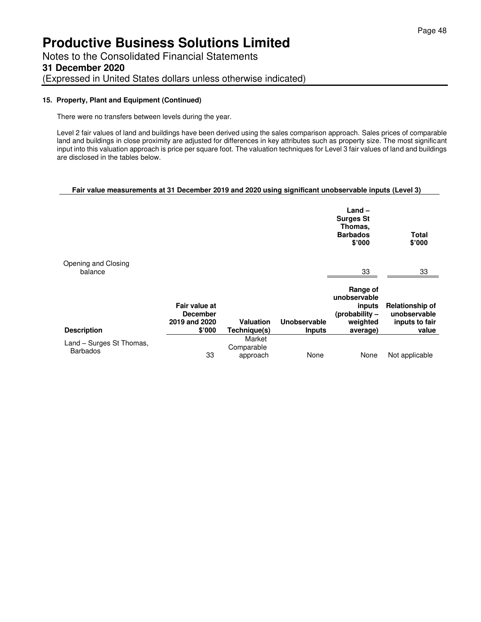Notes to the Consolidated Financial Statements **31 December 2020**  (Expressed in United States dollars unless otherwise indicated)

### **15. Property, Plant and Equipment (Continued)**

There were no transfers between levels during the year.

Level 2 fair values of land and buildings have been derived using the sales comparison approach. Sales prices of comparable land and buildings in close proximity are adjusted for differences in key attributes such as property size. The most significant input into this valuation approach is price per square foot. The valuation techniques for Level 3 fair values of land and buildings are disclosed in the tables below.

#### **Fair value measurements at 31 December 2019 and 2020 using significant unobservable inputs (Level 3)**

|                                             |                                                             |                                  |                               | $Land -$<br><b>Surges St</b><br>Thomas.<br><b>Barbados</b><br>\$'000         | <b>Total</b><br>\$'000                                            |
|---------------------------------------------|-------------------------------------------------------------|----------------------------------|-------------------------------|------------------------------------------------------------------------------|-------------------------------------------------------------------|
| Opening and Closing<br>balance              |                                                             |                                  |                               | 33                                                                           | 33                                                                |
| <b>Description</b>                          | Fair value at<br><b>December</b><br>2019 and 2020<br>\$'000 | Valuation<br>Technique(s)        | Unobservable<br><b>Inputs</b> | Range of<br>unobservable<br>inputs<br>(probability -<br>weighted<br>average) | <b>Relationship of</b><br>unobservable<br>inputs to fair<br>value |
|                                             |                                                             |                                  |                               |                                                                              |                                                                   |
| Land - Surges St Thomas,<br><b>Barbados</b> | 33                                                          | Market<br>Comparable<br>approach | None                          | None                                                                         | Not applicable                                                    |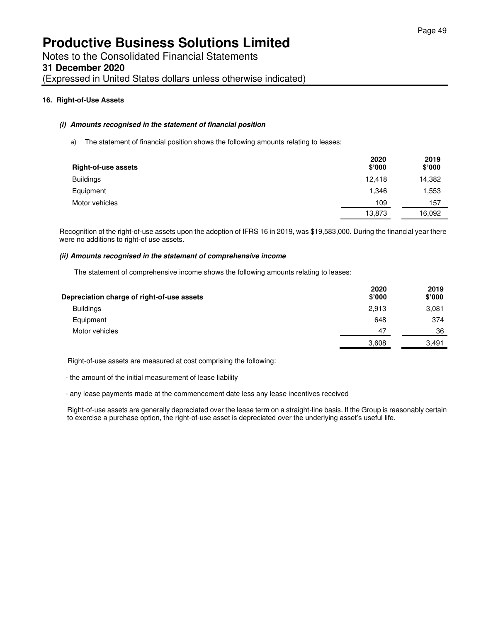Notes to the Consolidated Financial Statements **31 December 2020**  (Expressed in United States dollars unless otherwise indicated)

### **16. Right-of-Use Assets**

### **(i) Amounts recognised in the statement of financial position**

a) The statement of financial position shows the following amounts relating to leases:

| <b>Right-of-use assets</b> | 2020<br>\$'000 | 2019<br>\$'000 |
|----------------------------|----------------|----------------|
| <b>Buildings</b>           | 12.418         | 14,382         |
| Equipment                  | 1,346          | 1,553          |
| Motor vehicles             | 109            | 157            |
|                            | 13,873         | 16,092         |

Recognition of the right-of-use assets upon the adoption of IFRS 16 in 2019, was \$19,583,000. During the financial year there were no additions to right-of use assets.

#### **(ii) Amounts recognised in the statement of comprehensive income**

The statement of comprehensive income shows the following amounts relating to leases:

| Depreciation charge of right-of-use assets | 2020<br>\$'000 | 2019<br>\$'000 |
|--------------------------------------------|----------------|----------------|
| <b>Buildings</b>                           | 2,913          | 3,081          |
| Equipment                                  | 648            | 374            |
| Motor vehicles                             | 47             | 36             |
|                                            | 3,608          | 3.491          |

Right-of-use assets are measured at cost comprising the following:

- the amount of the initial measurement of lease liability

- any lease payments made at the commencement date less any lease incentives received

 Right-of-use assets are generally depreciated over the lease term on a straight-line basis. If the Group is reasonably certain to exercise a purchase option, the right-of-use asset is depreciated over the underlying asset's useful life.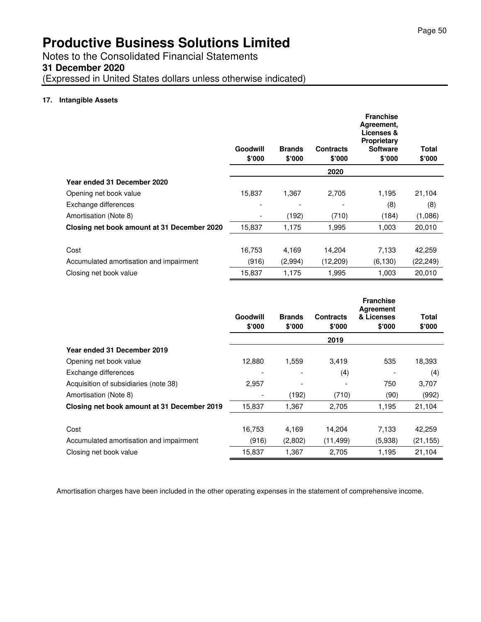Notes to the Consolidated Financial Statements

## **31 December 2020**

(Expressed in United States dollars unless otherwise indicated)

## **17. Intangible Assets**

|                                             | Goodwill<br>\$'000 | <b>Brands</b><br>\$'000  | <b>Contracts</b><br>\$'000 | <b>Franchise</b><br>Agreement,<br>Licenses &<br>Proprietary<br><b>Software</b><br>\$'000 | Total<br>\$'000 |
|---------------------------------------------|--------------------|--------------------------|----------------------------|------------------------------------------------------------------------------------------|-----------------|
|                                             |                    |                          | 2020                       |                                                                                          |                 |
| Year ended 31 December 2020                 |                    |                          |                            |                                                                                          |                 |
| Opening net book value                      | 15,837             | 1,367                    | 2,705                      | 1,195                                                                                    | 21,104          |
| Exchange differences                        | -                  | $\overline{\phantom{0}}$ |                            | (8)                                                                                      | (8)             |
| Amortisation (Note 8)                       |                    | (192)                    | (710)                      | (184)                                                                                    | (1,086)         |
| Closing net book amount at 31 December 2020 | 15,837             | 1,175                    | 1,995                      | 1,003                                                                                    | 20,010          |
|                                             |                    |                          |                            |                                                                                          |                 |
| Cost                                        | 16,753             | 4,169                    | 14,204                     | 7,133                                                                                    | 42,259          |
| Accumulated amortisation and impairment     | (916)              | (2,994)                  | (12, 209)                  | (6, 130)                                                                                 | (22, 249)       |
| Closing net book value                      | 15,837             | 1,175                    | 1,995                      | 1,003                                                                                    | 20,010          |

|                                             | Goodwill<br>\$'000 | <b>Brands</b><br>\$'000 | <b>Contracts</b><br>\$'000 | <b>Franchise</b><br>Agreement<br>& Licenses<br>\$'000 | Total<br>\$'000 |
|---------------------------------------------|--------------------|-------------------------|----------------------------|-------------------------------------------------------|-----------------|
|                                             |                    |                         | 2019                       |                                                       |                 |
| Year ended 31 December 2019                 |                    |                         |                            |                                                       |                 |
| Opening net book value                      | 12,880             | 1,559                   | 3,419                      | 535                                                   | 18,393          |
| Exchange differences                        |                    |                         | (4)                        |                                                       | (4)             |
| Acquisition of subsidiaries (note 38)       | 2,957              |                         |                            | 750                                                   | 3,707           |
| Amortisation (Note 8)                       |                    | (192)                   | (710)                      | (90)                                                  | (992)           |
| Closing net book amount at 31 December 2019 | 15,837             | 1,367                   | 2,705                      | 1,195                                                 | 21,104          |
| Cost                                        | 16,753             | 4,169                   | 14,204                     | 7,133                                                 | 42,259          |
| Accumulated amortisation and impairment     | (916)              | (2,802)                 | (11, 499)                  | (5,938)                                               | (21, 155)       |
| Closing net book value                      | 15,837             | 1,367                   | 2,705                      | 1,195                                                 | 21.104          |

Amortisation charges have been included in the other operating expenses in the statement of comprehensive income.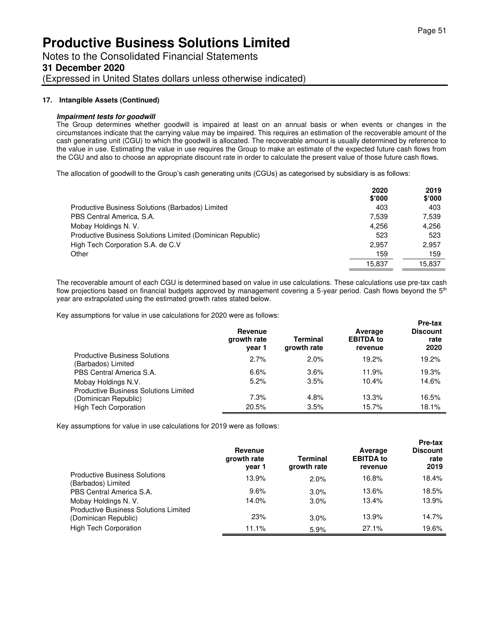**Pre-tax** 

# **Productive Business Solutions Limited**

Notes to the Consolidated Financial Statements **31 December 2020**  (Expressed in United States dollars unless otherwise indicated)

### **17. Intangible Assets (Continued)**

#### **Impairment tests for goodwill**

The Group determines whether goodwill is impaired at least on an annual basis or when events or changes in the circumstances indicate that the carrying value may be impaired. This requires an estimation of the recoverable amount of the cash generating unit (CGU) to which the goodwill is allocated. The recoverable amount is usually determined by reference to the value in use. Estimating the value in use requires the Group to make an estimate of the expected future cash flows from the CGU and also to choose an appropriate discount rate in order to calculate the present value of those future cash flows.

The allocation of goodwill to the Group's cash generating units (CGUs) as categorised by subsidiary is as follows:

|                                                            | 2020<br>\$'000 | 2019<br>\$'000 |
|------------------------------------------------------------|----------------|----------------|
| Productive Business Solutions (Barbados) Limited           | 403            | 403            |
| PBS Central America, S.A.                                  | 7.539          | 7.539          |
| Mobay Holdings N.V.                                        | 4.256          | 4.256          |
| Productive Business Solutions Limited (Dominican Republic) | 523            | 523            |
| High Tech Corporation S.A. de C.V                          | 2.957          | 2.957          |
| Other                                                      | 159            | 159            |
|                                                            | 15.837         | 15.837         |

The recoverable amount of each CGU is determined based on value in use calculations. These calculations use pre-tax cash flow projections based on financial budgets approved by management covering a 5-year period. Cash flows beyond the 5<sup>th</sup> year are extrapolated using the estimated growth rates stated below.

Key assumptions for value in use calculations for 2020 were as follows:

|                                                              | Revenue<br>growth rate<br>vear 1 | Terminal<br>growth rate | Average<br><b>EBITDA</b> to<br>revenue | Pre-tax<br><b>Discount</b><br>rate<br>2020 |
|--------------------------------------------------------------|----------------------------------|-------------------------|----------------------------------------|--------------------------------------------|
| <b>Productive Business Solutions</b><br>(Barbados) Limited   | 2.7%                             | 2.0%                    | 19.2%                                  | 19.2%                                      |
| PBS Central America S.A.                                     | 6.6%                             | 3.6%                    | 11.9%                                  | 19.3%                                      |
| Mobay Holdings N.V.<br>Productive Business Solutions Limited | 5.2%                             | 3.5%                    | 10.4%                                  | 14.6%                                      |
| (Dominican Republic)                                         | 7.3%                             | 4.8%                    | 13.3%                                  | 16.5%                                      |
| <b>High Tech Corporation</b>                                 | 20.5%                            | 3.5%                    | 15.7%                                  | 18.1%                                      |

Key assumptions for value in use calculations for 2019 were as follows:

|                                                                      | <b>Revenue</b><br>growth rate<br>vear 1 | <b>Terminal</b><br>growth rate | Average<br><b>EBITDA to</b><br>revenue | Pre-tax<br><b>Discount</b><br>rate<br>2019 |
|----------------------------------------------------------------------|-----------------------------------------|--------------------------------|----------------------------------------|--------------------------------------------|
| <b>Productive Business Solutions</b><br>(Barbados) Limited           | 13.9%                                   | 2.0%                           | 16.8%                                  | 18.4%                                      |
| PBS Central America S.A.                                             | 9.6%                                    | 3.0%                           | 13.6%                                  | 18.5%                                      |
| Mobay Holdings N. V.<br><b>Productive Business Solutions Limited</b> | 14.0%                                   | 3.0%                           | 13.4%                                  | 13.9%                                      |
| (Dominican Republic)                                                 | 23%                                     | 3.0%                           | 13.9%                                  | 14.7%                                      |
| <b>High Tech Corporation</b>                                         | 11.1%                                   | 5.9%                           | 27.1%                                  | 19.6%                                      |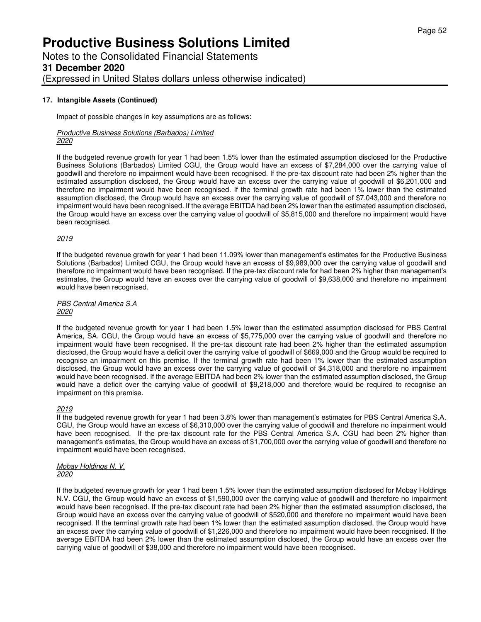Notes to the Consolidated Financial Statements **31 December 2020**  (Expressed in United States dollars unless otherwise indicated)

### **17. Intangible Assets (Continued)**

Impact of possible changes in key assumptions are as follows:

#### Productive Business Solutions (Barbados) Limited 2020

If the budgeted revenue growth for year 1 had been 1.5% lower than the estimated assumption disclosed for the Productive Business Solutions (Barbados) Limited CGU, the Group would have an excess of \$7,284,000 over the carrying value of goodwill and therefore no impairment would have been recognised. If the pre-tax discount rate had been 2% higher than the estimated assumption disclosed, the Group would have an excess over the carrying value of goodwill of \$6,201,000 and therefore no impairment would have been recognised. If the terminal growth rate had been 1% lower than the estimated assumption disclosed, the Group would have an excess over the carrying value of goodwill of \$7,043,000 and therefore no impairment would have been recognised. If the average EBITDA had been 2% lower than the estimated assumption disclosed, the Group would have an excess over the carrying value of goodwill of \$5,815,000 and therefore no impairment would have been recognised.

#### 2019

If the budgeted revenue growth for year 1 had been 11.09% lower than management's estimates for the Productive Business Solutions (Barbados) Limited CGU, the Group would have an excess of \$9,989,000 over the carrying value of goodwill and therefore no impairment would have been recognised. If the pre-tax discount rate for had been 2% higher than management's estimates, the Group would have an excess over the carrying value of goodwill of \$9,638,000 and therefore no impairment would have been recognised.

#### PBS Central America S.A 2020

If the budgeted revenue growth for year 1 had been 1.5% lower than the estimated assumption disclosed for PBS Central America, SA. CGU, the Group would have an excess of \$5,775,000 over the carrying value of goodwill and therefore no impairment would have been recognised. If the pre-tax discount rate had been 2% higher than the estimated assumption disclosed, the Group would have a deficit over the carrying value of goodwill of \$669,000 and the Group would be required to recognise an impairment on this premise. If the terminal growth rate had been 1% lower than the estimated assumption disclosed, the Group would have an excess over the carrying value of goodwill of \$4,318,000 and therefore no impairment would have been recognised. If the average EBITDA had been 2% lower than the estimated assumption disclosed, the Group would have a deficit over the carrying value of goodwill of \$9,218,000 and therefore would be required to recognise an impairment on this premise.

### 2019

If the budgeted revenue growth for year 1 had been 3.8% lower than management's estimates for PBS Central America S.A. CGU, the Group would have an excess of \$6,310,000 over the carrying value of goodwill and therefore no impairment would have been recognised. If the pre-tax discount rate for the PBS Central America S.A. CGU had been 2% higher than management's estimates, the Group would have an excess of \$1,700,000 over the carrying value of goodwill and therefore no impairment would have been recognised.

#### Mobay Holdings N. V. 2020

If the budgeted revenue growth for year 1 had been 1.5% lower than the estimated assumption disclosed for Mobay Holdings N.V. CGU, the Group would have an excess of \$1,590,000 over the carrying value of goodwill and therefore no impairment would have been recognised. If the pre-tax discount rate had been 2% higher than the estimated assumption disclosed, the Group would have an excess over the carrying value of goodwill of \$520,000 and therefore no impairment would have been recognised. If the terminal growth rate had been 1% lower than the estimated assumption disclosed, the Group would have an excess over the carrying value of goodwill of \$1,226,000 and therefore no impairment would have been recognised. If the average EBITDA had been 2% lower than the estimated assumption disclosed, the Group would have an excess over the carrying value of goodwill of \$38,000 and therefore no impairment would have been recognised.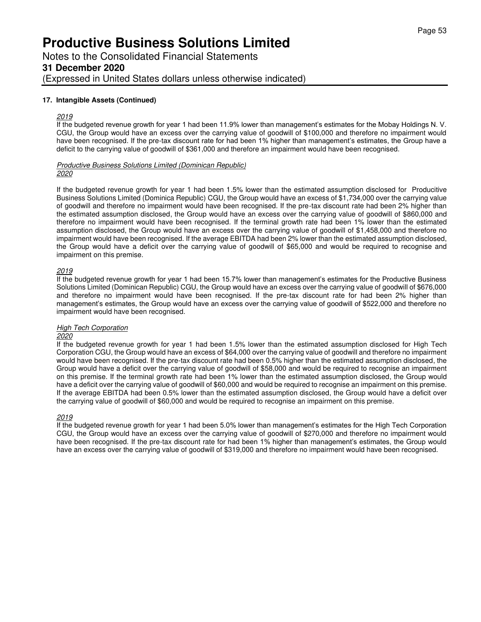Notes to the Consolidated Financial Statements **31 December 2020**  (Expressed in United States dollars unless otherwise indicated)

### **17. Intangible Assets (Continued)**

#### 2019

If the budgeted revenue growth for year 1 had been 11.9% lower than management's estimates for the Mobay Holdings N. V. CGU, the Group would have an excess over the carrying value of goodwill of \$100,000 and therefore no impairment would have been recognised. If the pre-tax discount rate for had been 1% higher than management's estimates, the Group have a deficit to the carrying value of goodwill of \$361,000 and therefore an impairment would have been recognised.

#### Productive Business Solutions Limited (Dominican Republic) 2020

If the budgeted revenue growth for year 1 had been 1.5% lower than the estimated assumption disclosed for Producitive Business Solutions Limited (Dominica Republic) CGU, the Group would have an excess of \$1,734,000 over the carrying value of goodwill and therefore no impairment would have been recognised. If the pre-tax discount rate had been 2% higher than the estimated assumption disclosed, the Group would have an excess over the carrying value of goodwill of \$860,000 and therefore no impairment would have been recognised. If the terminal growth rate had been 1% lower than the estimated assumption disclosed, the Group would have an excess over the carrying value of goodwill of \$1,458,000 and therefore no impairment would have been recognised. If the average EBITDA had been 2% lower than the estimated assumption disclosed, the Group would have a deficit over the carrying value of goodwill of \$65,000 and would be required to recognise and impairment on this premise.

#### 2019

If the budgeted revenue growth for year 1 had been 15.7% lower than management's estimates for the Productive Business Solutions Limited (Dominican Republic) CGU, the Group would have an excess over the carrying value of goodwill of \$676,000 and therefore no impairment would have been recognised. If the pre-tax discount rate for had been 2% higher than management's estimates, the Group would have an excess over the carrying value of goodwill of \$522,000 and therefore no impairment would have been recognised.

#### High Tech Corporation

#### 2020

If the budgeted revenue growth for year 1 had been 1.5% lower than the estimated assumption disclosed for High Tech Corporation CGU, the Group would have an excess of \$64,000 over the carrying value of goodwill and therefore no impairment would have been recognised. If the pre-tax discount rate had been 0.5% higher than the estimated assumption disclosed, the Group would have a deficit over the carrying value of goodwill of \$58,000 and would be required to recognise an impairment on this premise. If the terminal growth rate had been 1% lower than the estimated assumption disclosed, the Group would have a deficit over the carrying value of goodwill of \$60,000 and would be required to recognise an impairment on this premise. If the average EBITDA had been 0.5% lower than the estimated assumption disclosed, the Group would have a deficit over the carrying value of goodwill of \$60,000 and would be required to recognise an impairment on this premise.

#### 2019

If the budgeted revenue growth for year 1 had been 5.0% lower than management's estimates for the High Tech Corporation CGU, the Group would have an excess over the carrying value of goodwill of \$270,000 and therefore no impairment would have been recognised. If the pre-tax discount rate for had been 1% higher than management's estimates, the Group would have an excess over the carrying value of goodwill of \$319,000 and therefore no impairment would have been recognised.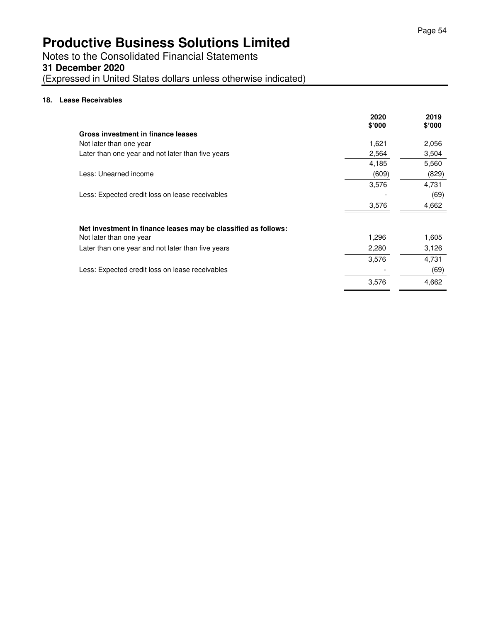Notes to the Consolidated Financial Statements

## **31 December 2020**

(Expressed in United States dollars unless otherwise indicated)

## **18. Lease Receivables**

|                                                                | 2020<br>\$'000 | 2019<br>\$'000 |
|----------------------------------------------------------------|----------------|----------------|
| Gross investment in finance leases                             |                |                |
| Not later than one year                                        | 1,621          | 2,056          |
| Later than one year and not later than five years              | 2,564          | 3,504          |
|                                                                | 4,185          | 5,560          |
| Less: Unearned income                                          | (609)          | (829)          |
|                                                                | 3,576          | 4,731          |
| Less: Expected credit loss on lease receivables                |                | (69)           |
|                                                                | 3,576          | 4,662          |
| Net investment in finance leases may be classified as follows: |                |                |
| Not later than one year                                        | 1,296          | 1,605          |
| Later than one year and not later than five years              | 2,280          | 3,126          |
|                                                                | 3,576          | 4,731          |
| Less: Expected credit loss on lease receivables                |                | (69)           |
|                                                                | 3,576          | 4,662          |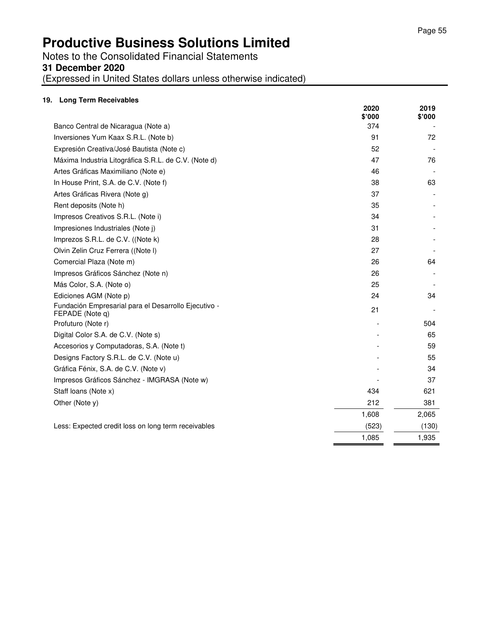Notes to the Consolidated Financial Statements **31 December 2020** 

(Expressed in United States dollars unless otherwise indicated)

## **19. Long Term Receivables**

|                                                                         | 2020<br>\$'000 | 2019<br>\$'000 |
|-------------------------------------------------------------------------|----------------|----------------|
| Banco Central de Nicaragua (Note a)                                     | 374            |                |
| Inversiones Yum Kaax S.R.L. (Note b)                                    | 91             | 72             |
| Expresión Creativa/José Bautista (Note c)                               | 52             |                |
| Máxima Industria Litográfica S.R.L. de C.V. (Note d)                    | 47             | 76             |
| Artes Gráficas Maximiliano (Note e)                                     | 46             |                |
| In House Print, S.A. de C.V. (Note f)                                   | 38             | 63             |
| Artes Gráficas Rivera (Note g)                                          | 37             |                |
| Rent deposits (Note h)                                                  | 35             |                |
| Impresos Creativos S.R.L. (Note i)                                      | 34             |                |
| Impresiones Industriales (Note j)                                       | 31             |                |
| Imprezos S.R.L. de C.V. ((Note k)                                       | 28             |                |
| Olvin Zelin Cruz Ferrera ((Note I)                                      | 27             |                |
| Comercial Plaza (Note m)                                                | 26             | 64             |
| Impresos Gráficos Sánchez (Note n)                                      | 26             |                |
| Más Color, S.A. (Note o)                                                | 25             |                |
| Ediciones AGM (Note p)                                                  | 24             | 34             |
| Fundación Empresarial para el Desarrollo Ejecutivo -<br>FEPADE (Note q) | 21             |                |
| Profuturo (Note r)                                                      |                | 504            |
| Digital Color S.A. de C.V. (Note s)                                     |                | 65             |
| Accesorios y Computadoras, S.A. (Note t)                                |                | 59             |
| Designs Factory S.R.L. de C.V. (Note u)                                 |                | 55             |
| Gráfica Fénix, S.A. de C.V. (Note v)                                    |                | 34             |
| Impresos Gráficos Sánchez - IMGRASA (Note w)                            |                | 37             |
| Staff loans (Note x)                                                    | 434            | 621            |
| Other (Note y)                                                          | 212            | 381            |
|                                                                         | 1,608          | 2,065          |
| Less: Expected credit loss on long term receivables                     | (523)          | (130)          |
|                                                                         | 1,085          | 1,935          |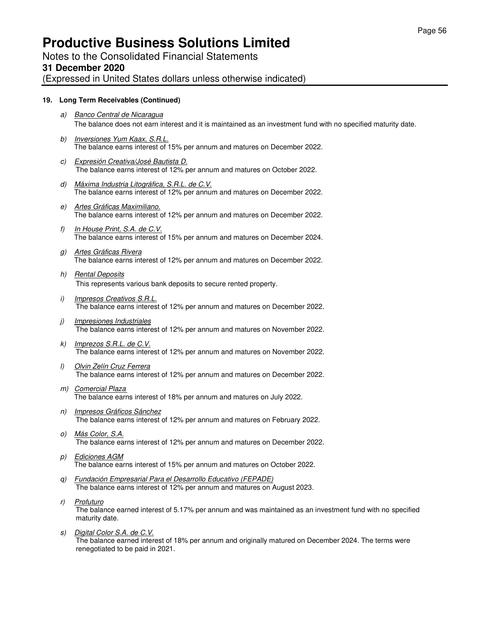## **19. Long Term Receivables (Continued)**

- a) Banco Central de Nicaragua The balance does not earn interest and it is maintained as an investment fund with no specified maturity date.
- b) Inversiones Yum Kaax, S.R.L. The balance earns interest of 15% per annum and matures on December 2022.
- c) Expresión Creativa/José Bautista D. The balance earns interest of 12% per annum and matures on October 2022.
- d) Máxima Industria Litográfica, S.R.L. de C.V. The balance earns interest of 12% per annum and matures on December 2022.
- e) Artes Gráficas Maximiliano. The balance earns interest of 12% per annum and matures on December 2022.
- f) In House Print, S.A. de C.V. The balance earns interest of 15% per annum and matures on December 2024.
- g) Artes Gráficas Rivera The balance earns interest of 12% per annum and matures on December 2022.
- h) Rental Deposits This represents various bank deposits to secure rented property.
- i) Impresos Creativos S.R.L. The balance earns interest of 12% per annum and matures on December 2022.
- j) Impresiones Industriales The balance earns interest of 12% per annum and matures on November 2022.
- k) Imprezos S.R.L. de C.V. The balance earns interest of 12% per annum and matures on November 2022.
- l) Olvin Zelín Cruz Ferrera The balance earns interest of 12% per annum and matures on December 2022.
- m) Comercial Plaza The balance earns interest of 18% per annum and matures on July 2022.
- n) Impresos Gráficos Sánchez The balance earns interest of 12% per annum and matures on February 2022.
- o) Más Color, S.A. The balance earns interest of 12% per annum and matures on December 2022.
- p) Ediciones AGM The balance earns interest of 15% per annum and matures on October 2022.
- q) Fundación Empresarial Para el Desarrollo Educativo (FEPADE) The balance earns interest of 12% per annum and matures on August 2023.
- r) Profuturo The balance earned interest of 5.17% per annum and was maintained as an investment fund with no specified maturity date.
- s) Digital Color S.A. de C.V. The balance earned interest of 18% per annum and originally matured on December 2024. The terms were renegotiated to be paid in 2021.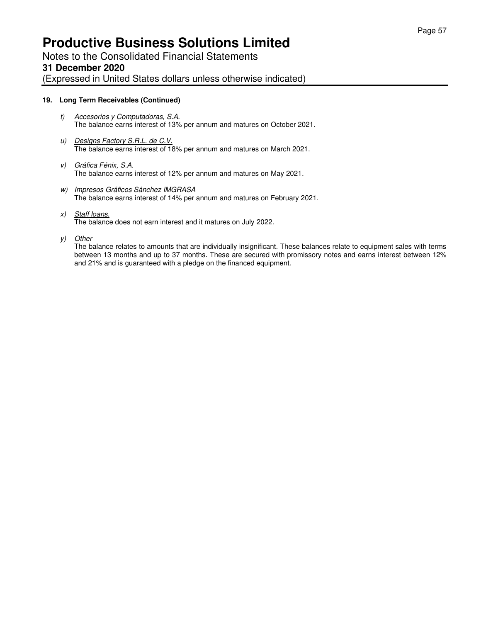# Notes to the Consolidated Financial Statements **31 December 2020**  (Expressed in United States dollars unless otherwise indicated)

### **19. Long Term Receivables (Continued)**

- t) Accesorios y Computadoras, S.A. The balance earns interest of 13% per annum and matures on October 2021.
- u) Designs Factory S.R.L. de C.V. The balance earns interest of 18% per annum and matures on March 2021.
- v) Gráfica Fénix, S.A. The balance earns interest of 12% per annum and matures on May 2021.
- w) Impresos Gráficos Sánchez IMGRASA The balance earns interest of 14% per annum and matures on February 2021.
- x) Staff loans. The balance does not earn interest and it matures on July 2022.
- y) Other

The balance relates to amounts that are individually insignificant. These balances relate to equipment sales with terms between 13 months and up to 37 months. These are secured with promissory notes and earns interest between 12% and 21% and is guaranteed with a pledge on the financed equipment.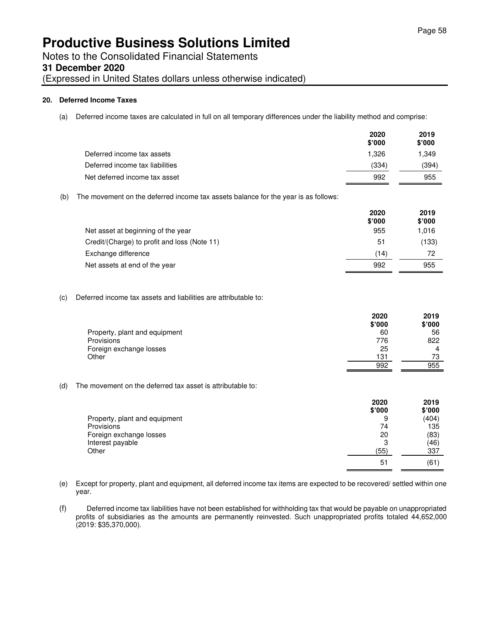Notes to the Consolidated Financial Statements **31 December 2020**  (Expressed in United States dollars unless otherwise indicated)

### **20. Deferred Income Taxes**

(a) Deferred income taxes are calculated in full on all temporary differences under the liability method and comprise:

|                                 | 2020<br>\$'000 | 2019<br>\$'000 |
|---------------------------------|----------------|----------------|
| Deferred income tax assets      | 1.326          | 1.349          |
| Deferred income tax liabilities | (334)          | (394)          |
| Net deferred income tax asset   | 992            | 955            |

(b) The movement on the deferred income tax assets balance for the year is as follows:

|                                              | 2020<br>\$'000 | 2019<br>\$'000 |
|----------------------------------------------|----------------|----------------|
| Net asset at beginning of the year           | 955            | 1.016          |
| Credit/(Charge) to profit and loss (Note 11) | 51             | (133)          |
| Exchange difference                          | (14)           | 72             |
| Net assets at end of the year                | 992            | 955            |

(c) Deferred income tax assets and liabilities are attributable to:

|                               | 2020<br>\$'000 | 2019<br>\$'000 |
|-------------------------------|----------------|----------------|
| Property, plant and equipment | 60             | 56             |
| Provisions                    | 776            | 822            |
| Foreign exchange losses       | 25             |                |
| Other                         | 131            | 73             |
|                               | 992            | 955            |

(d) The movement on the deferred tax asset is attributable to:

|                               | 2020<br>\$'000 | 2019<br>\$'000 |
|-------------------------------|----------------|----------------|
| Property, plant and equipment | 9              | (404)          |
| Provisions                    | 74             | 135            |
| Foreign exchange losses       | 20             | (83)           |
| Interest payable              | 3              | (46)           |
| Other                         | (55)           | 337            |
|                               | 51             | (61            |

- (e) Except for property, plant and equipment, all deferred income tax items are expected to be recovered/ settled within one year.
- (f) Deferred income tax liabilities have not been established for withholding tax that would be payable on unappropriated profits of subsidiaries as the amounts are permanently reinvested. Such unappropriated profits totaled 44,652,000 (2019: \$35,370,000).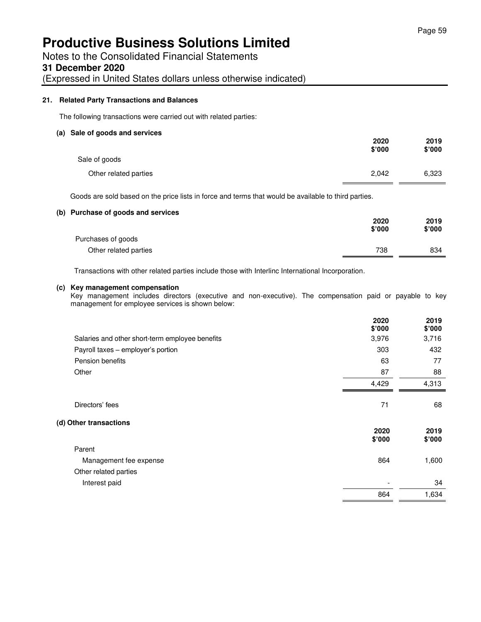Notes to the Consolidated Financial Statements **31 December 2020** 

(Expressed in United States dollars unless otherwise indicated)

### **21. Related Party Transactions and Balances**

The following transactions were carried out with related parties:

### **(a) Sale of goods and services**

|                       | 2020<br>\$'000 | 2019<br>\$'000 |
|-----------------------|----------------|----------------|
| Sale of goods         |                |                |
| Other related parties | 2.042          | 6,323          |

Goods are sold based on the price lists in force and terms that would be available to third parties.

#### **(b) Purchase of goods and services**

| .                     | 2020<br>\$'000 | 2019<br>\$'000 |
|-----------------------|----------------|----------------|
| Purchases of goods    |                |                |
| Other related parties | 738            | 834            |
|                       |                |                |

Transactions with other related parties include those with Interlinc International Incorporation.

#### **(c) Key management compensation**

Key management includes directors (executive and non-executive). The compensation paid or payable to key management for employee services is shown below:

| 2020<br>\$'000 | 2019<br>\$'000 |
|----------------|----------------|
| 3,976          | 3,716          |
| 303            | 432            |
| 63             | 77             |
| 87             | 88             |
| 4,429          | 4,313          |
| 71             | 68             |
| 2020<br>\$'000 | 2019<br>\$'000 |
|                |                |
| 864            | 1,600          |
|                |                |
|                | 34             |
| 864            | 1,634          |
|                |                |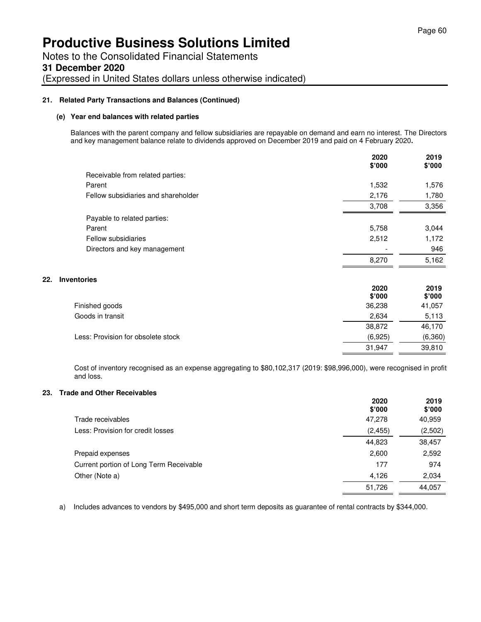Notes to the Consolidated Financial Statements **31 December 2020**  (Expressed in United States dollars unless otherwise indicated)

### **21. Related Party Transactions and Balances (Continued)**

#### **(e) Year end balances with related parties**

Balances with the parent company and fellow subsidiaries are repayable on demand and earn no interest. The Directors and key management balance relate to dividends approved on December 2019 and paid on 4 February 2020**.** 

|                                     | 2020<br>\$'000 | 2019<br>\$'000 |
|-------------------------------------|----------------|----------------|
| Receivable from related parties:    |                |                |
| Parent                              | 1,532          | 1,576          |
| Fellow subsidiaries and shareholder | 2,176          | 1,780          |
|                                     | 3,708          | 3,356          |
| Payable to related parties:         |                |                |
| Parent                              | 5,758          | 3,044          |
| <b>Fellow subsidiaries</b>          | 2,512          | 1,172          |
| Directors and key management        |                | 946            |
|                                     | 8,270          | 5,162          |
|                                     |                |                |

#### **22. Inventories**

|                                    | 2020<br>\$'000 | 2019<br>\$'000 |
|------------------------------------|----------------|----------------|
| Finished goods                     | 36,238         | 41,057         |
| Goods in transit                   | 2,634          | 5,113          |
|                                    | 38,872         | 46,170         |
| Less: Provision for obsolete stock | (6.925)        | (6,360)        |
|                                    | 31,947         | 39,810         |

Cost of inventory recognised as an expense aggregating to \$80,102,317 (2019: \$98,996,000), were recognised in profit and loss.

#### **23. Trade and Other Receivables**

|                                         | 2020<br>\$'000 | 2019<br>\$'000 |
|-----------------------------------------|----------------|----------------|
| Trade receivables                       | 47,278         | 40,959         |
| Less: Provision for credit losses       | (2, 455)       | (2,502)        |
|                                         | 44,823         | 38,457         |
| Prepaid expenses                        | 2,600          | 2,592          |
| Current portion of Long Term Receivable | 177            | 974            |
| Other (Note a)                          | 4.126          | 2,034          |
|                                         | 51,726         | 44,057         |

a) Includes advances to vendors by \$495,000 and short term deposits as guarantee of rental contracts by \$344,000.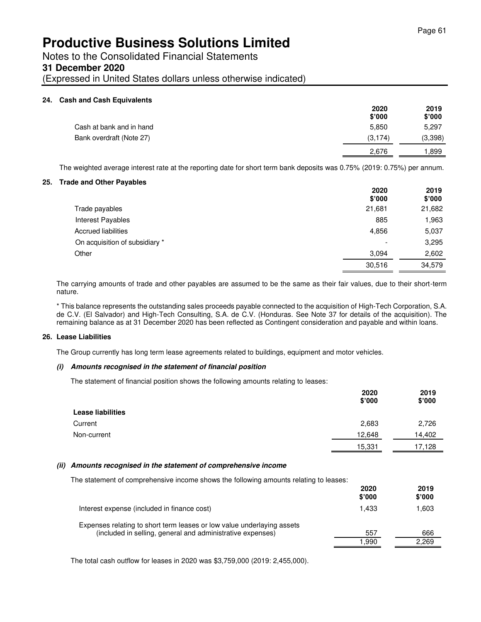Notes to the Consolidated Financial Statements

## **31 December 2020**

(Expressed in United States dollars unless otherwise indicated)

### **24. Cash and Cash Equivalents**

|                          | 2020<br>\$'000 | 2019<br>\$'000 |
|--------------------------|----------------|----------------|
| Cash at bank and in hand | 5,850          | 5,297          |
| Bank overdraft (Note 27) | (3, 174)       | (3,398)        |
|                          | 2,676          | .899           |
|                          |                |                |

The weighted average interest rate at the reporting date for short term bank deposits was 0.75% (2019: 0.75%) per annum.

### **25. Trade and Other Payables**

|                                | 2020<br>\$'000 | 2019<br>\$'000 |
|--------------------------------|----------------|----------------|
| Trade payables                 | 21,681         | 21,682         |
| Interest Payables              | 885            | 1,963          |
| <b>Accrued liabilities</b>     | 4,856          | 5,037          |
| On acquisition of subsidiary * |                | 3,295          |
| Other                          | 3,094          | 2,602          |
|                                | 30,516         | 34,579         |

The carrying amounts of trade and other payables are assumed to be the same as their fair values, due to their short-term nature.

\* This balance represents the outstanding sales proceeds payable connected to the acquisition of High-Tech Corporation, S.A. de C.V. (El Salvador) and High-Tech Consulting, S.A. de C.V. (Honduras. See Note 37 for details of the acquisition). The remaining balance as at 31 December 2020 has been reflected as Contingent consideration and payable and within loans.

### **26. Lease Liabilities**

The Group currently has long term lease agreements related to buildings, equipment and motor vehicles.

### **(i) Amounts recognised in the statement of financial position**

The statement of financial position shows the following amounts relating to leases:

|                          | 2020<br>\$'000 | 2019<br>\$'000 |
|--------------------------|----------------|----------------|
| <b>Lease liabilities</b> |                |                |
| Current                  | 2,683          | 2,726          |
| Non-current              | 12,648         | 14,402         |
|                          | 15,331         | 17,128         |

### **(ii) Amounts recognised in the statement of comprehensive income**

The statement of comprehensive income shows the following amounts relating to leases:

|                                                                                                                                      | 2020<br>\$'000 | 2019<br>\$'000 |
|--------------------------------------------------------------------------------------------------------------------------------------|----------------|----------------|
| Interest expense (included in finance cost)                                                                                          | 1.433          | 603. ا         |
| Expenses relating to short term leases or low value underlaying assets<br>(included in selling, general and administrative expenses) | 557            | 666            |
|                                                                                                                                      | .990           | 2.269          |

The total cash outflow for leases in 2020 was \$3,759,000 (2019: 2,455,000).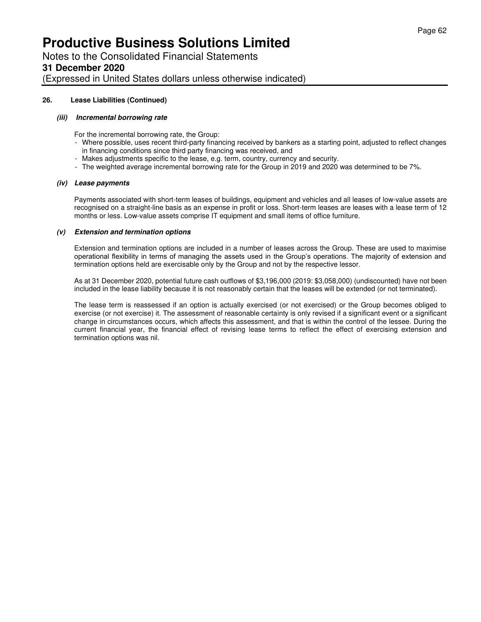Notes to the Consolidated Financial Statements **31 December 2020** 

(Expressed in United States dollars unless otherwise indicated)

### **26. Lease Liabilities (Continued)**

#### **(iii) Incremental borrowing rate**

For the incremental borrowing rate, the Group:

- Where possible, uses recent third-party financing received by bankers as a starting point, adjusted to reflect changes in financing conditions since third party financing was received, and
- Makes adjustments specific to the lease, e.g. term, country, currency and security.
- The weighted average incremental borrowing rate for the Group in 2019 and 2020 was determined to be 7%.

#### **(iv) Lease payments**

Payments associated with short-term leases of buildings, equipment and vehicles and all leases of low-value assets are recognised on a straight-line basis as an expense in profit or loss. Short-term leases are leases with a lease term of 12 months or less. Low-value assets comprise IT equipment and small items of office furniture.

#### **(v) Extension and termination options**

Extension and termination options are included in a number of leases across the Group. These are used to maximise operational flexibility in terms of managing the assets used in the Group's operations. The majority of extension and termination options held are exercisable only by the Group and not by the respective lessor.

As at 31 December 2020, potential future cash outflows of \$3,196,000 (2019: \$3,058,000) (undiscounted) have not been included in the lease liability because it is not reasonably certain that the leases will be extended (or not terminated).

The lease term is reassessed if an option is actually exercised (or not exercised) or the Group becomes obliged to exercise (or not exercise) it. The assessment of reasonable certainty is only revised if a significant event or a significant change in circumstances occurs, which affects this assessment, and that is within the control of the lessee. During the current financial year, the financial effect of revising lease terms to reflect the effect of exercising extension and termination options was nil.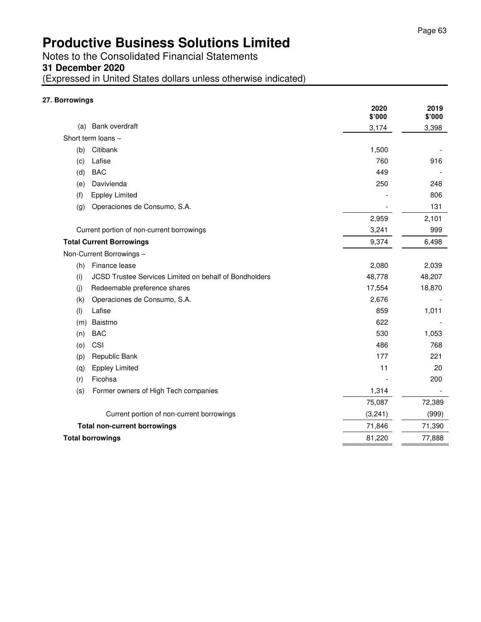Notes to the Consolidated Financial Statements

## **31 December 2020**

(Expressed in United States dollars unless otherwise indicated)

## **27. Borrowings**

|                                                                      | 2020<br>\$'000 | 2019<br>\$'000 |
|----------------------------------------------------------------------|----------------|----------------|
| Bank overdraft<br>(a)                                                | 3,174          | 3,398          |
| Short term loans -                                                   |                |                |
| Citibank<br>(b)                                                      | 1,500          |                |
| Lafise<br>(c)                                                        | 760            | 916            |
| <b>BAC</b><br>(d)                                                    | 449            |                |
| Davivienda<br>(e)                                                    | 250            | 248            |
| <b>Eppley Limited</b><br>(f)                                         |                | 806            |
| Operaciones de Consumo, S.A.<br>(g)                                  |                | 131            |
|                                                                      | 2,959          | 2,101          |
| Current portion of non-current borrowings                            | 3,241          | 999            |
| <b>Total Current Borrowings</b>                                      | 9,374          | 6,498          |
| Non-Current Borrowings -                                             |                |                |
| Finance lease<br>(h)                                                 | 2,080          | 2,039          |
| <b>JCSD Trustee Services Limited on behalf of Bondholders</b><br>(i) | 48,778         | 48,207         |
| (j)<br>Redeemable preference shares                                  | 17,554         | 18,870         |
| Operaciones de Consumo, S.A.<br>(k)                                  | 2,676          |                |
| Lafise<br>(1)                                                        | 859            | 1,011          |
| Baistmo<br>(m)                                                       | 622            |                |
| <b>BAC</b><br>(n)                                                    | 530            | 1,053          |
| CSI<br>(o)                                                           | 486            | 768            |
| Republic Bank<br>(p)                                                 | 177            | 221            |
| <b>Eppley Limited</b><br>(q)                                         | 11             | 20             |
| Ficohsa<br>(r)                                                       |                | 200            |
| Former owners of High Tech companies<br>(s)                          | 1,314          |                |
|                                                                      | 75,087         | 72,389         |
| Current portion of non-current borrowings                            | (3, 241)       | (999)          |
| <b>Total non-current borrowings</b>                                  | 71,846         | 71,390         |
| <b>Total borrowings</b>                                              | 81,220         | 77,888         |
|                                                                      |                |                |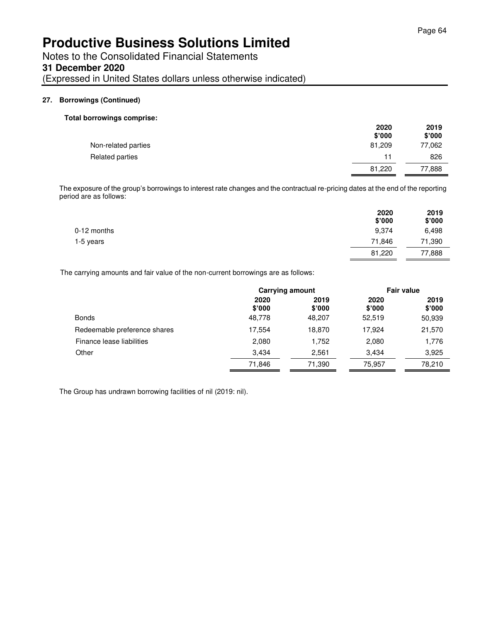Notes to the Consolidated Financial Statements **31 December 2020** 

(Expressed in United States dollars unless otherwise indicated)

### **27. Borrowings (Continued)**

### **Total borrowings comprise:**

|                     | 2020<br>\$'000 | 2019<br>\$'000 |
|---------------------|----------------|----------------|
| Non-related parties | 81,209         | 77,062         |
| Related parties     | 11             | 826            |
|                     | 81,220         | 77,888         |
|                     |                |                |

The exposure of the group's borrowings to interest rate changes and the contractual re-pricing dates at the end of the reporting period are as follows:

|             | 2020   | 2019   |
|-------------|--------|--------|
|             | \$'000 | \$'000 |
| 0-12 months | 9,374  | 6,498  |
| 1-5 years   | 71.846 | 71,390 |
|             | 81,220 | 77,888 |

The carrying amounts and fair value of the non-current borrowings are as follows:

|                              | <b>Carrying amount</b> |                | <b>Fair value</b> |                |
|------------------------------|------------------------|----------------|-------------------|----------------|
|                              | 2020<br>\$'000         | 2019<br>\$'000 | 2020<br>\$'000    | 2019<br>\$'000 |
| <b>Bonds</b>                 | 48.778                 | 48,207         | 52,519            | 50,939         |
| Redeemable preference shares | 17.554                 | 18.870         | 17.924            | 21,570         |
| Finance lease liabilities    | 2.080                  | 1.752          | 2,080             | 1,776          |
| Other                        | 3.434                  | 2,561          | 3,434             | 3,925          |
|                              | 71.846                 | 71,390         | 75,957            | 78,210         |

The Group has undrawn borrowing facilities of nil (2019: nil).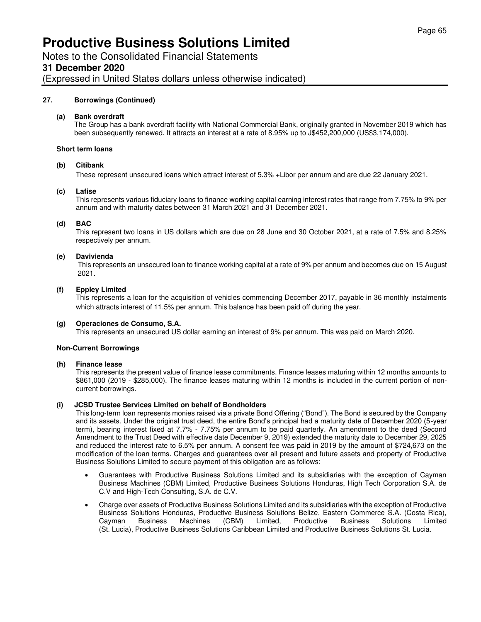Notes to the Consolidated Financial Statements

## **31 December 2020**

(Expressed in United States dollars unless otherwise indicated)

## **27. Borrowings (Continued)**

## **(a) Bank overdraft**

The Group has a bank overdraft facility with National Commercial Bank, originally granted in November 2019 which has been subsequently renewed. It attracts an interest at a rate of 8.95% up to J\$452,200,000 (US\$3,174,000).

### **Short term loans**

### **(b) Citibank**

These represent unsecured loans which attract interest of 5.3% +Libor per annum and are due 22 January 2021.

## **(c) Lafise**

 This represents various fiduciary loans to finance working capital earning interest rates that range from 7.75% to 9% per annum and with maturity dates between 31 March 2021 and 31 December 2021.

## **(d) BAC**

This represent two loans in US dollars which are due on 28 June and 30 October 2021, at a rate of 7.5% and 8.25% respectively per annum.

## **(e) Davivienda**

This represents an unsecured loan to finance working capital at a rate of 9% per annum and becomes due on 15 August 2021.

## **(f) Eppley Limited**

This represents a loan for the acquisition of vehicles commencing December 2017, payable in 36 monthly instalments which attracts interest of 11.5% per annum. This balance has been paid off during the year.

### **(g) Operaciones de Consumo, S.A.**

This represents an unsecured US dollar earning an interest of 9% per annum. This was paid on March 2020.

### **Non-Current Borrowings**

### **(h) Finance lease**

 This represents the present value of finance lease commitments. Finance leases maturing within 12 months amounts to \$861,000 (2019 - \$285,000). The finance leases maturing within 12 months is included in the current portion of noncurrent borrowings.

### **(i) JCSD Trustee Services Limited on behalf of Bondholders**

This long-term loan represents monies raised via a private Bond Offering ("Bond"). The Bond is secured by the Company and its assets. Under the original trust deed, the entire Bond's principal had a maturity date of December 2020 (5-year term), bearing interest fixed at 7.7% - 7.75% per annum to be paid quarterly. An amendment to the deed (Second Amendment to the Trust Deed with effective date December 9, 2019) extended the maturity date to December 29, 2025 and reduced the interest rate to 6.5% per annum. A consent fee was paid in 2019 by the amount of \$724,673 on the modification of the loan terms. Charges and guarantees over all present and future assets and property of Productive Business Solutions Limited to secure payment of this obligation are as follows:

- Guarantees with Productive Business Solutions Limited and its subsidiaries with the exception of Cayman Business Machines (CBM) Limited, Productive Business Solutions Honduras, High Tech Corporation S.A. de C.V and High-Tech Consulting, S.A. de C.V.
- Charge over assets of Productive Business Solutions Limited and its subsidiaries with the exception of Productive Business Solutions Honduras, Productive Business Solutions Belize, Eastern Commerce S.A. (Costa Rica), Cayman Business Machines (CBM) Limited, Productive Business Solutions Limited (St. Lucia), Productive Business Solutions Caribbean Limited and Productive Business Solutions St. Lucia.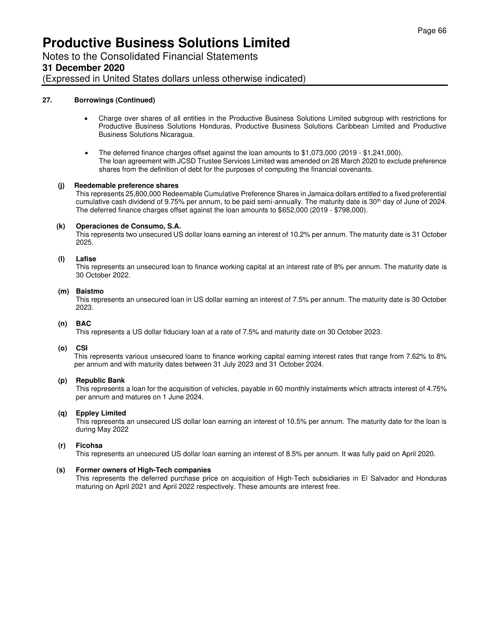Notes to the Consolidated Financial Statements **31 December 2020** 

(Expressed in United States dollars unless otherwise indicated)

### **27. Borrowings (Continued)**

- Charge over shares of all entities in the Productive Business Solutions Limited subgroup with restrictions for Productive Business Solutions Honduras, Productive Business Solutions Caribbean Limited and Productive Business Solutions Nicaragua.
- The deferred finance charges offset against the loan amounts to \$1,073,000 (2019 \$1,241,000). The loan agreement with JCSD Trustee Services Limited was amended on 28 March 2020 to exclude preference shares from the definition of debt for the purposes of computing the financial covenants.

### **(j) Reedemable preference shares**

This represents 25,800,000 Redeemable Cumulative Preference Shares in Jamaica dollars entitled to a fixed preferential cumulative cash dividend of 9.75% per annum, to be paid semi-annually. The maturity date is 30<sup>th</sup> day of June of 2024. The deferred finance charges offset against the loan amounts to \$652,000 (2019 - \$798,000).

### **(k) Operaciones de Consumo, S.A.**

This represents two unsecured US dollar loans earning an interest of 10.2% per annum. The maturity date is 31 October 2025.

### **(l) Lafise**

This represents an unsecured loan to finance working capital at an interest rate of 8% per annum. The maturity date is 30 October 2022.

#### **(m) Baistmo**

This represents an unsecured loan in US dollar earning an interest of 7.5% per annum. The maturity date is 30 October 2023.

#### **(n) BAC**

This represents a US dollar fiduciary loan at a rate of 7.5% and maturity date on 30 October 2023.

#### **(o) CSI**

This represents various unsecured loans to finance working capital earning interest rates that range from 7.62% to 8% per annum and with maturity dates between 31 July 2023 and 31 October 2024.

#### **(p) Republic Bank**

This represents a loan for the acquisition of vehicles, payable in 60 monthly instalments which attracts interest of 4.75% per annum and matures on 1 June 2024.

#### **(q) Eppley Limited**

This represents an unsecured US dollar loan earning an interest of 10.5% per annum. The maturity date for the loan is during May 2022

### **(r) Ficohsa**

This represents an unsecured US dollar loan earning an interest of 8.5% per annum. It was fully paid on April 2020.

#### **(s) Former owners of High-Tech companies**

This represents the deferred purchase price on acquisition of High-Tech subsidiaries in El Salvador and Honduras maturing on April 2021 and April 2022 respectively. These amounts are interest free.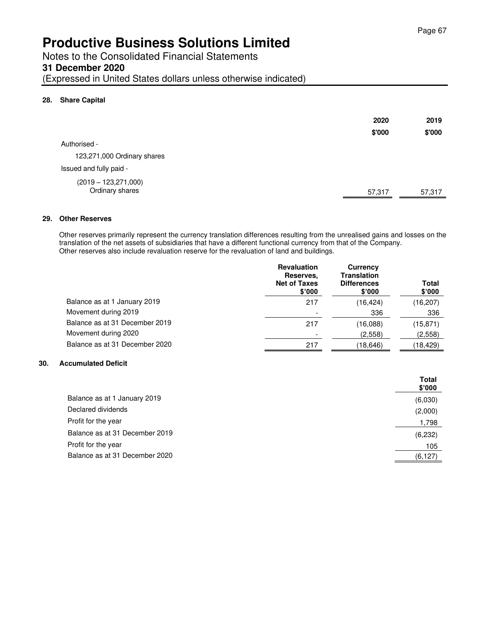Notes to the Consolidated Financial Statements **31 December 2020** 

(Expressed in United States dollars unless otherwise indicated)

### **28. Share Capital**

|                                             | 2020<br>\$'000 | 2019<br>\$'000 |
|---------------------------------------------|----------------|----------------|
| Authorised -                                |                |                |
| 123,271,000 Ordinary shares                 |                |                |
| Issued and fully paid -                     |                |                |
| $(2019 - 123, 271, 000)$<br>Ordinary shares | 57,317         | 57,317         |
|                                             |                |                |

### **29. Other Reserves**

Other reserves primarily represent the currency translation differences resulting from the unrealised gains and losses on the translation of the net assets of subsidiaries that have a different functional currency from that of the Company. Other reserves also include revaluation reserve for the revaluation of land and buildings.

|                                | <b>Revaluation</b><br>Reserves,<br><b>Net of Taxes</b><br>\$'000 | <b>Currency</b><br><b>Translation</b><br><b>Differences</b><br>\$'000 | Total<br>\$'000 |
|--------------------------------|------------------------------------------------------------------|-----------------------------------------------------------------------|-----------------|
| Balance as at 1 January 2019   | 217                                                              | (16, 424)                                                             | (16, 207)       |
| Movement during 2019           |                                                                  | 336                                                                   | 336             |
| Balance as at 31 December 2019 | 217                                                              | (16,088)                                                              | (15, 871)       |
| Movement during 2020           |                                                                  | (2,558)                                                               | (2,558)         |
| Balance as at 31 December 2020 | 217                                                              | (18,646)                                                              | (18, 429)       |

### **30. Accumulated Deficit**

|                                | <b>Total</b><br>\$'000 |
|--------------------------------|------------------------|
| Balance as at 1 January 2019   | (6,030)                |
| Declared dividends             | (2,000)                |
| Profit for the year            | 1,798                  |
| Balance as at 31 December 2019 | (6, 232)               |
| Profit for the year            | 105                    |
| Balance as at 31 December 2020 | (6,127)                |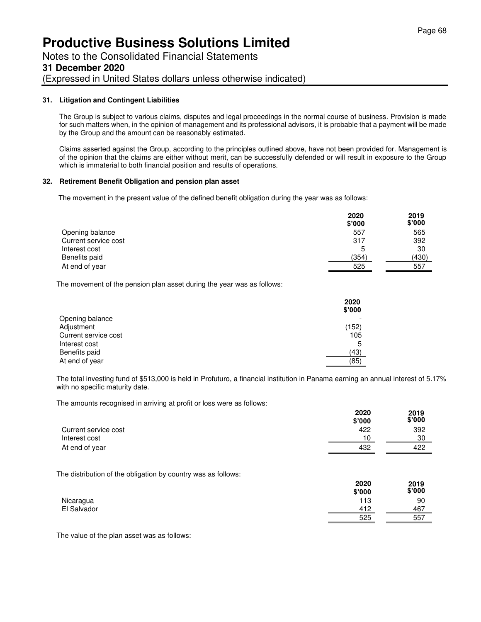Notes to the Consolidated Financial Statements **31 December 2020**  (Expressed in United States dollars unless otherwise indicated)

### **31. Litigation and Contingent Liabilities**

The Group is subject to various claims, disputes and legal proceedings in the normal course of business. Provision is made for such matters when, in the opinion of management and its professional advisors, it is probable that a payment will be made by the Group and the amount can be reasonably estimated.

Claims asserted against the Group, according to the principles outlined above, have not been provided for. Management is of the opinion that the claims are either without merit, can be successfully defended or will result in exposure to the Group which is immaterial to both financial position and results of operations.

#### **32. Retirement Benefit Obligation and pension plan asset**

The movement in the present value of the defined benefit obligation during the year was as follows:

|                      | 2020<br>\$'000 | 2019<br>\$'000 |
|----------------------|----------------|----------------|
| Opening balance      | 557            | 565            |
| Current service cost | 317            | 392            |
| Interest cost        | 5              | 30             |
| Benefits paid        | (354)          | (430)          |
| At end of year       | 525            | 557            |

The movement of the pension plan asset during the year was as follows:

|                      | 2020<br>\$'000 |
|----------------------|----------------|
| Opening balance      |                |
| Adjustment           | (152)          |
| Current service cost | 105            |
| Interest cost        | 5              |
| Benefits paid        | (43)           |
| At end of year       | (85)           |

The total investing fund of \$513,000 is held in Profuturo, a financial institution in Panama earning an annual interest of 5.17% with no specific maturity date.

The amounts recognised in arriving at profit or loss were as follows:

|                      | 2020<br>\$'000 | 2019<br>\$'000 |
|----------------------|----------------|----------------|
| Current service cost | 422            | 392            |
| Interest cost        | 10             | 30             |
| At end of year       | 432            | 422            |

The distribution of the obligation by country was as follows:

|             | 2020<br>\$'000 | 2019<br>\$'000 |
|-------------|----------------|----------------|
| Nicaragua   | 113            | 90             |
| El Salvador | 412            | 467            |
|             | 525            | 557            |

The value of the plan asset was as follows: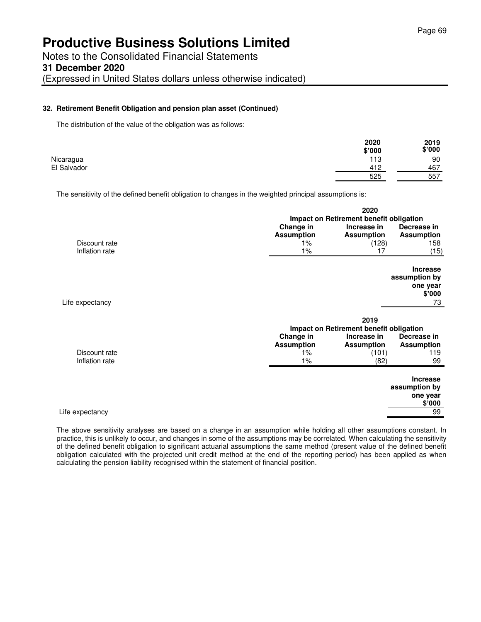Notes to the Consolidated Financial Statements **31 December 2020**  (Expressed in United States dollars unless otherwise indicated)

### **32. Retirement Benefit Obligation and pension plan asset (Continued)**

The distribution of the value of the obligation was as follows:

|             | 2020<br>\$'000 | 2019<br>\$'000 |
|-------------|----------------|----------------|
| Nicaragua   | 113            | 90             |
| El Salvador | 412            | 467            |
|             | 525            | 557            |
|             |                |                |

The sensitivity of the defined benefit obligation to changes in the weighted principal assumptions is:

|                                 | 2020                                       |                                                                                                      |                                                              |
|---------------------------------|--------------------------------------------|------------------------------------------------------------------------------------------------------|--------------------------------------------------------------|
|                                 | Impact on Retirement benefit obligation    |                                                                                                      |                                                              |
|                                 | Change in<br><b>Assumption</b>             | Increase in<br><b>Assumption</b>                                                                     | Decrease in<br><b>Assumption</b>                             |
| Discount rate<br>Inflation rate | $1\%$<br>1%                                | (128)<br>17                                                                                          | 158<br>(15)                                                  |
| Life expectancy                 |                                            |                                                                                                      | <b>Increase</b><br>assumption by<br>one year<br>\$'000<br>73 |
| Discount rate<br>Inflation rate | Change in<br><b>Assumption</b><br>1%<br>1% | 2019<br>Impact on Retirement benefit obligation<br>Increase in<br><b>Assumption</b><br>(101)<br>(82) | Decrease in<br><b>Assumption</b><br>119<br>99                |
| Life expectancy                 |                                            |                                                                                                      | <b>Increase</b><br>assumption by<br>one year<br>\$'000<br>99 |
|                                 |                                            |                                                                                                      |                                                              |

The above sensitivity analyses are based on a change in an assumption while holding all other assumptions constant. In practice, this is unlikely to occur, and changes in some of the assumptions may be correlated. When calculating the sensitivity of the defined benefit obligation to significant actuarial assumptions the same method (present value of the defined benefit obligation calculated with the projected unit credit method at the end of the reporting period) has been applied as when calculating the pension liability recognised within the statement of financial position.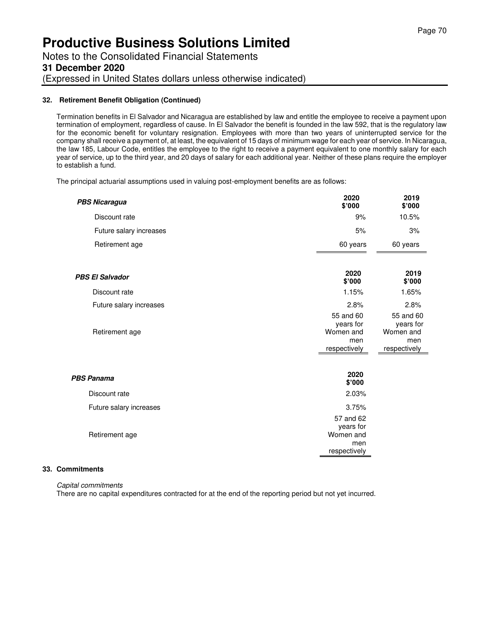Notes to the Consolidated Financial Statements **31 December 2020**  (Expressed in United States dollars unless otherwise indicated)

## **32. Retirement Benefit Obligation (Continued)**

Termination benefits in El Salvador and Nicaragua are established by law and entitle the employee to receive a payment upon termination of employment, regardless of cause. In El Salvador the benefit is founded in the law 592, that is the regulatory law for the economic benefit for voluntary resignation. Employees with more than two years of uninterrupted service for the company shall receive a payment of, at least, the equivalent of 15 days of minimum wage for each year of service. In Nicaragua, the law 185, Labour Code, entitles the employee to the right to receive a payment equivalent to one monthly salary for each year of service, up to the third year, and 20 days of salary for each additional year. Neither of these plans require the employer to establish a fund.

The principal actuarial assumptions used in valuing post-employment benefits are as follows:

| <b>PBS Nicaragua</b>    | 2020<br>\$'000                                             | 2019<br>\$'000                                             |
|-------------------------|------------------------------------------------------------|------------------------------------------------------------|
| Discount rate           | 9%                                                         | 10.5%                                                      |
| Future salary increases | 5%                                                         | 3%                                                         |
| Retirement age          | 60 years                                                   | 60 years                                                   |
| <b>PBS El Salvador</b>  | 2020<br>\$'000                                             | 2019<br>\$'000                                             |
| Discount rate           | 1.15%                                                      | 1.65%                                                      |
| Future salary increases | 2.8%                                                       | 2.8%                                                       |
| Retirement age          | 55 and 60<br>years for<br>Women and<br>men<br>respectively | 55 and 60<br>years for<br>Women and<br>men<br>respectively |
| <b>PBS Panama</b>       | 2020<br>\$'000                                             |                                                            |
| Discount rate           | 2.03%                                                      |                                                            |
| Future salary increases | 3.75%                                                      |                                                            |
| Retirement age          | 57 and 62<br>years for<br>Women and<br>men<br>respectively |                                                            |

### **33. Commitments**

Capital commitments

There are no capital expenditures contracted for at the end of the reporting period but not yet incurred.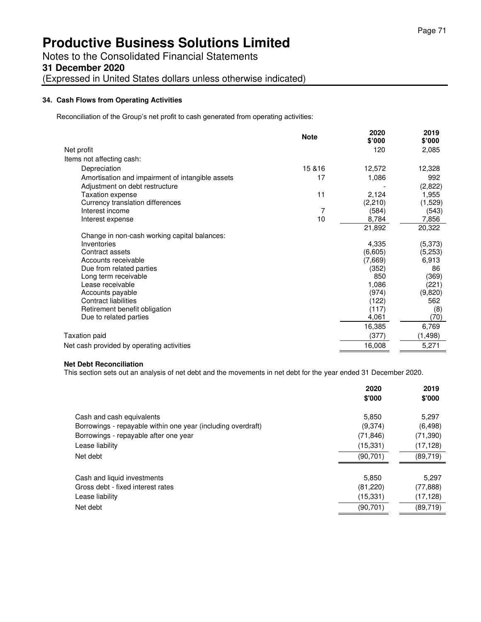Notes to the Consolidated Financial Statements

**31 December 2020** 

(Expressed in United States dollars unless otherwise indicated)

## **34. Cash Flows from Operating Activities**

Reconciliation of the Group's net profit to cash generated from operating activities:

|                                                  | <b>Note</b> | 2020<br>\$'000 | 2019<br>\$'000 |
|--------------------------------------------------|-------------|----------------|----------------|
| Net profit                                       |             | 120            | 2,085          |
| Items not affecting cash:                        |             |                |                |
| Depreciation                                     | 15 & 16     | 12,572         | 12,328         |
| Amortisation and impairment of intangible assets | 17          | 1,086          | 992            |
| Adjustment on debt restructure                   |             |                | (2,822)        |
| Taxation expense                                 | 11          | 2,124          | 1,955          |
| Currency translation differences                 |             | (2, 210)       | (1,529)        |
| Interest income                                  | 7           | (584)          | (543)          |
| Interest expense                                 | 10          | 8,784          | 7,856          |
|                                                  |             | 21,892         | 20,322         |
| Change in non-cash working capital balances:     |             |                |                |
| Inventories                                      |             | 4,335          | (5, 373)       |
| Contract assets                                  |             | (6,605)        | (5,253)        |
| Accounts receivable                              |             | (7,669)        | 6,913          |
| Due from related parties                         |             | (352)          | 86             |
| Long term receivable                             |             | 850            | (369)          |
| Lease receivable                                 |             | 1,086          | (221)          |
| Accounts payable                                 |             | (974)          | (9,820)        |
| Contract liabilities                             |             | (122)          | 562            |
| Retirement benefit obligation                    |             | (117)          | (8)            |
| Due to related parties                           |             | 4,061          | (70)           |
|                                                  |             | 16,385         | 6,769          |
| Taxation paid                                    |             | (377)          | (1, 498)       |
| Net cash provided by operating activities        |             | 16,008         | 5,271          |
|                                                  |             |                |                |

### **Net Debt Reconciliation**

This section sets out an analysis of net debt and the movements in net debt for the year ended 31 December 2020.

|                                                              | 2020<br>\$'000 | 2019<br>\$'000 |
|--------------------------------------------------------------|----------------|----------------|
| Cash and cash equivalents                                    | 5,850          | 5,297          |
| Borrowings - repayable within one year (including overdraft) | (9,374)        | (6, 498)       |
| Borrowings - repayable after one year                        | (71,846)       | (71,390)       |
| Lease liability                                              | (15, 331)      | (17, 128)      |
| Net debt                                                     | (90, 701)      | (89, 719)      |
|                                                              |                |                |
| Cash and liquid investments                                  | 5,850          | 5,297          |
| Gross debt - fixed interest rates                            | (81,220)       | (77,888)       |
| Lease liability                                              | (15,331)       | (17,128)       |
| Net debt                                                     | (90, 701)      | (89, 719)      |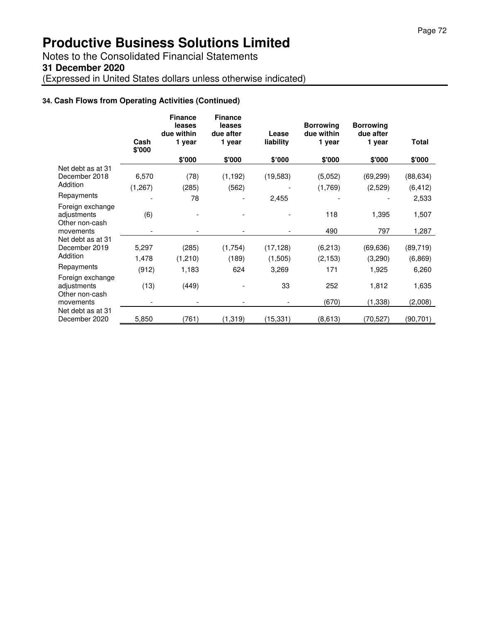Notes to the Consolidated Financial Statements

**31 December 2020** 

(Expressed in United States dollars unless otherwise indicated)

## **34. Cash Flows from Operating Activities (Continued)**

|                                                   | Cash<br>\$'000    | <b>Finance</b><br>leases<br>due within<br>1 year | <b>Finance</b><br>leases<br>due after<br>1 year | Lease<br>liability | <b>Borrowing</b><br>due within<br>1 year | <b>Borrowing</b><br>due after<br>1 year | <b>Total</b>          |
|---------------------------------------------------|-------------------|--------------------------------------------------|-------------------------------------------------|--------------------|------------------------------------------|-----------------------------------------|-----------------------|
|                                                   |                   | \$'000                                           | \$'000                                          | \$'000             | \$'000                                   | \$'000                                  | \$'000                |
| Net debt as at 31<br>December 2018<br>Addition    | 6,570<br>(1, 267) | (78)<br>(285)                                    | (1, 192)<br>(562)                               | (19, 583)          | (5,052)<br>(1,769)                       | (69, 299)<br>(2,529)                    | (88, 634)<br>(6, 412) |
| Repayments                                        |                   |                                                  |                                                 |                    |                                          |                                         |                       |
| Foreign exchange                                  |                   | 78                                               |                                                 | 2,455              |                                          |                                         | 2,533                 |
| adjustments<br>Other non-cash                     | (6)               |                                                  |                                                 |                    | 118                                      | 1,395                                   | 1,507                 |
| movements                                         |                   |                                                  |                                                 |                    | 490                                      | 797                                     | 1,287                 |
| Net debt as at 31<br>December 2019                | 5,297             | (285)                                            | (1,754)                                         | (17, 128)          | (6, 213)                                 | (69, 636)                               | (89, 719)             |
| Addition<br>Repayments                            | 1,478             | (1,210)                                          | (189)                                           | (1,505)            | (2, 153)                                 | (3,290)                                 | (6,869)               |
|                                                   | (912)             | 1,183                                            | 624                                             | 3,269              | 171                                      | 1,925                                   | 6,260                 |
| Foreign exchange<br>adjustments<br>Other non-cash | (13)              | (449)                                            |                                                 | 33                 | 252                                      | 1,812                                   | 1,635                 |
| movements                                         |                   |                                                  |                                                 |                    | (670)                                    | (1, 338)                                | (2,008)               |
| Net debt as at 31<br>December 2020                | 5,850             | (761)                                            | (1, 319)                                        | (15,331)           | (8,613)                                  | (70,527)                                | (90,701)              |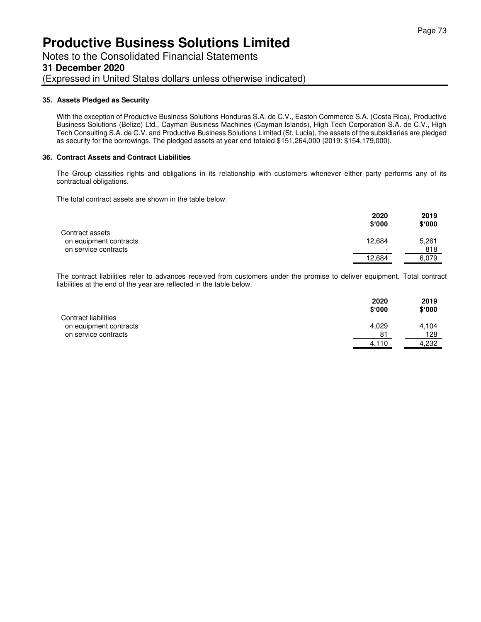Notes to the Consolidated Financial Statements **31 December 2020**  (Expressed in United States dollars unless otherwise indicated)

## **35. Assets Pledged as Security**

With the exception of Productive Business Solutions Honduras S.A. de C.V., Easton Commerce S.A. (Costa Rica), Productive Business Solutions (Belize) Ltd., Cayman Business Machines (Cayman Islands), High Tech Corporation S.A. de C.V., High Tech Consulting S.A. de C.V. and Productive Business Solutions Limited (St. Lucia), the assets of the subsidiaries are pledged as security for the borrowings. The pledged assets at year end totaled \$151,264,000 (2019: \$154,179,000).

#### **36. Contract Assets and Contract Liabilities**

The Group classifies rights and obligations in its relationship with customers whenever either party performs any of its contractual obligations.

The total contract assets are shown in the table below.

|                        | 2020<br>\$'000           | 2019<br>\$'000 |
|------------------------|--------------------------|----------------|
| Contract assets        |                          |                |
| on equipment contracts | 12,684                   | 5,261          |
| on service contracts   | $\overline{\phantom{a}}$ | 818            |
|                        | 12.684                   | 6.079          |

The contract liabilities refer to advances received from customers under the promise to deliver equipment. Total contract liabilities at the end of the year are reflected in the table below.

|                        | 2020<br>\$'000 | 2019<br>\$'000 |
|------------------------|----------------|----------------|
| Contract liabilities   |                |                |
| on equipment contracts | 4,029          | 4.104          |
| on service contracts   | 81             | 128            |
|                        | 4.110          | 4.232          |
|                        |                |                |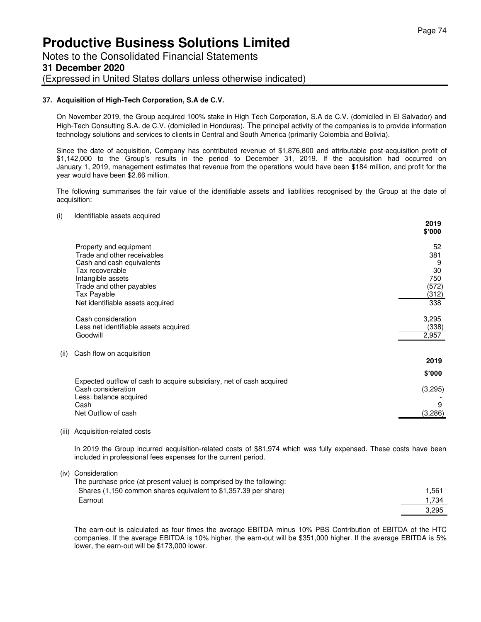Notes to the Consolidated Financial Statements **31 December 2020**  (Expressed in United States dollars unless otherwise indicated)

### **37. Acquisition of High-Tech Corporation, S.A de C.V.**

On November 2019, the Group acquired 100% stake in High Tech Corporation, S.A de C.V. (domiciled in El Salvador) and High-Tech Consulting S.A. de C.V. (domiciled in Honduras). The principal activity of the companies is to provide information technology solutions and services to clients in Central and South America (primarily Colombia and Bolivia).

Since the date of acquisition, Company has contributed revenue of \$1,876,800 and attributable post-acquisition profit of \$1,142,000 to the Group's results in the period to December 31, 2019. If the acquisition had occurred on January 1, 2019, management estimates that revenue from the operations would have been \$184 million, and profit for the year would have been \$2.66 million.

The following summarises the fair value of the identifiable assets and liabilities recognised by the Group at the date of acquisition:

#### (i) Identifiable assets acquired

|                                                                      | 2019<br>\$'000 |
|----------------------------------------------------------------------|----------------|
| Property and equipment                                               | 52             |
| Trade and other receivables                                          | 381            |
| Cash and cash equivalents                                            | 9              |
| Tax recoverable                                                      | 30             |
| Intangible assets                                                    | 750            |
| Trade and other payables                                             | (572)          |
| Tax Payable                                                          | (312)          |
| Net identifiable assets acquired                                     | 338            |
| Cash consideration                                                   | 3,295          |
| Less net identifiable assets acquired                                | (338)          |
| Goodwill                                                             | 2,957          |
|                                                                      |                |
| (ii)<br>Cash flow on acquisition                                     |                |
|                                                                      | 2019           |
|                                                                      | \$'000         |
| Expected outflow of cash to acquire subsidiary, net of cash acquired |                |
| Cash consideration                                                   | (3,295)        |
| Less: balance acquired                                               |                |
| Cash                                                                 | 9              |
| Net Outflow of cash                                                  | (3,286)        |

#### (iii) Acquisition-related costs

In 2019 the Group incurred acquisition-related costs of \$81,974 which was fully expensed. These costs have been included in professional fees expenses for the current period.

(iv) Consideration

| The purchase price (at present value) is comprised by the following: |       |
|----------------------------------------------------------------------|-------|
| Shares (1,150 common shares equivalent to \$1,357.39 per share)      | 1.561 |
| Earnout                                                              | 1.734 |
|                                                                      | 3.295 |

The earn-out is calculated as four times the average EBITDA minus 10% PBS Contribution of EBITDA of the HTC companies. If the average EBITDA is 10% higher, the earn-out will be \$351,000 higher. If the average EBITDA is 5% lower, the earn-out will be \$173,000 lower.